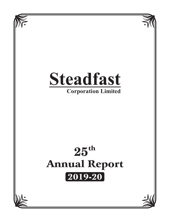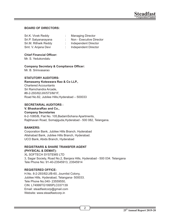## **BOARD OF DIRECTORS:**

| Sri.K. Vivek Reddy   | <b>Managing Director</b> |
|----------------------|--------------------------|
| Sri.P. Satyanarayana | Non - Executive Director |
| Sri.M. Rithwik Reddy | Independent Director     |
| Smt. V. Anjana Devi  | Independent Director     |

#### **Chief Financial Officer:**

Mr. S. Yedukondalu

#### **Company Secretary & Compliance Officer:**

Mr. B. Srinivasarao

### **STATUTORY AUDITORS:**

#### **Ramasamy Koteswara Rao & Co LLP.,** Chartered Accountants Sri Ramchandra Arcade, #8-2-293/82/JIII/573/M/1F, Road No.82, Jubilee Hills,Hyderabad – 500033

#### **SECRETARIAL AUDITORS :**

## **V. BhaskaraRao and Co.,**

#### **Company Secretaries**

6-2-1085/B, Flat No. 105,BadamSohana Apartments, Rajbhavan Road, Somajiguda,Hyderabad - 500 082, Telangana.

#### **BANKERS:**

Corporation Bank, Jubilee Hills Branch, Hyderabad Allahabad Bank, Jubilee Hills Branch, Hyderabad. UCO Bank, Abids Branch, Hyderabad

#### **REGISTRARS & SHARE TRANSFER AGENT (PHYSICAL & DEMAT):**

XL SOFTECH SYSTEMS LTD 3, Sagar Society, Road No.2, Banjara Hills, Hyderabad - 500 034. Telangana Tele Phone No: 91-40-23545913, 23545914

#### **REGISTERED OFFICE:**

H.No. 8-2-293/82/J/B-60, Journlist Colony, Jubilee Hills, Hyderabad, Telangana- 500033. Tele Phone No.040- 23559550, CIN: L74999TG1995PLC037139 Email: steadfastcorp@gmail.com Website: www.steadfastcorp.in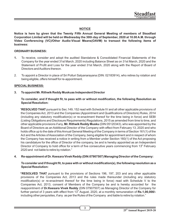## **NOTICE**

**Notice is here by given that the Twenty Fifth Annual General Meeting of members of Steadfast Corporation Limited will be held on Wednesday the 30th day of September, 2020 at 10.00 A.M. through Video Conferencing (VC)/Other Audio-Visual Means(OAVM) to transact the following items of business:**

#### **ORDINARY BUSINESS:**

- **1.** To receive, consider and adopt the audited Standalone & Consolidated Financial Statements of the Company for the year ended 31st March, 2020 including Balance Sheet as on 31st March, 2020 and the Statement of Profit and Loss for the year ended 31st March, 2020 along with the Report of Board of Directors and Auditors thereon.
- 2. To appoint a Director in place of Sri Potluri Satyanarayana (DIN: 02183914), who retires by rotation and being eligible, offers himself for re-appointment.

#### **SPECIAL BUSINESS:**

#### **3. To appoint Mr. Rithwik Reddy Muskuas Independent Director**

#### To consider, and if thought fit, to pass with or without modification, the following Resolution as **Special Resolution:**

"**RESOLVED THAT** pursuant to Sec.149, 152 read with Schedule IV and all other applicable provisions of the Companies Act, 2013 and the Companies (Appointment and Qualifications of Directors) Rules, 2014  $(including any statutory modification(s) or re-enactment thereof for the time being in force) and SEBI$ (Listing Obligations and Disclosure Requirements) Regulations, 2015 as amended from time to time, and other applicable provisions if any, **Mr. Rithwik Reddy Musku** (DIN:05120343), who was appointed by the Board of Directors as an Additional Director of the Company with effect from February 13, 2020 and who holds office up to the date of this Annual General Meeting of the Company in terms of Section 161(1) of the Act and the Articles of Association of the Company, being eligible for appointment and in respect of whom the Company has received a notice in writing from a Member under Section 160(1) of the Act proposing his candidature for the office of Director of the company, be and is hereby appointed as an Independent Director of Company to hold office for a term of five consecutive years commencing from  $13<sup>th</sup>$  February 2020 and not liable to retire by rotation."

#### **4. Re-appointment of Dr. Keesara Vivek Reddy (DIN:07907507) Managing Director of the Company:**

#### To consider and if thought fit, to pass with or without modification(s), the following resolution as a **Special Resolution:**

**"RESOLVED THAT** pursuant to the provisions of Sections 196, 197, 203 and any other applicable provisions of the Companies Act, 2013 and the rules made thereunder (including any statutory modification(s) or re-enactment thereof for the time being in force) read with Schedule V to the Companies Act, 2013, consent of Members of the Company be and is hereby accorded for the reappointment of **Dr.Keesara Vivek Reddy** (DIN 07907507) as Managing Director of the Company for further period of 3 years with effect from 13<sup>th</sup> August, 2020, at a monthly remuneration of **Rs.1,00,000/**including other perquisites, if any as per the Rules of the Company and liable to retire by rotation."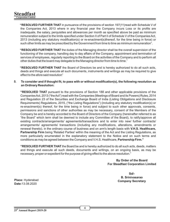**"RESOLVED FURTHER THAT** in pursuance of the provisions of section 197(11)read with Schedule V of the Companies Act, 2013 where in any financial year the Company incurs Loss or its profits are inadequate, the salary, perquisites and allowances per month as specified above be paid as minimum remuneration subject to the limits specified under Section II of Part II of Schedule V of the Companies Act, 2013 (including any statutory modification(s) or re-enactment(s)thereof, for the time being in force) or such other limits as may be prescribed by the Government from time to time as minimum remuneration".

**"RESOLVED FURTHER THAT** the duties of the Managing director shall be the overall supervision of the functioning of the company, handling day to day affairs of the Company, appointment and termination of services of employees, regularly reporting to the Board on the activities of the Company and to perform all other duties that the board may delegate to the Managing director from time to time."

**"RESOLVED FURTHER THAT** the Board of Directors be and is hereby authorized to do all such acts, deeds and things and execute all such documents, instruments and writings as may be required to give effect to the afore said resolution"

**5.** To consider and if thought fit, to pass with or without modification(s), the following resolution as **an Ordinary Resolution:** 

**"RESOLVED THAT** pursuant to the provisions of Section 188 and other applicable provisions of the Companies Act, 2013 ("the Act") read with the Companies (Meetings of Board and its Powers) Rules, 2014 and Regulation 23 of the Securities and Exchange Board of India (Listing Obligations and Disclosure Requirements) Regulations, 2015, ("the Listing Regulations") (including any statutory modification(s) or re-enactment(s) thereof, for the time being in force) and subject to such other approvals, consents, permissions and sanctions of other authorities as may be necessary, consent of the Members of the Company be and is hereby accorded to the Board of Directors of the Company (hereinafter referred to as "the Board" which term shall be deemed to include any Committee of the Board), to ratify/approve all existing contracts/arrangements/ agreements/transactions and to enter into new/ further contracts/ arrangements/ agreements/ transactions (including any modifications, alterations, amendments or renewal thereto), in the ordinary course of business and on arm's length basis with **V.H.S. Healthcare, Partnership Firm** being 'Related Parties' within the meaning of the Act and the Listing Regulations, as more particularly enumerated in the explanatory statement to the Notice and on such terms and conditions as may be agreed between the Company and V.H.S. Healthcare, **Partnership Firm."** 

**"RESOLVED FURTHER THAT** the Board be and is hereby authorized to do all such acts, deeds, matters and things and execute all such deeds, documents and writings, on an ongoing basis, as may be necessary, proper or expedient for the purpose of giving effect to the above resolution."

> **By Order of the Board For Steadfast Corporation Limited**

> > **Sd/- B. Srinivasarao Company Secretary**

**Place:** Hyderabad **Date:**13.08.2020

4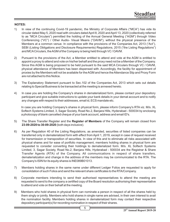#### **NOTES:**

- 1) In view of the continuing Covid-19 pandemic, the Ministry of Corporate Affairs ("MCA") has vide its circular dated May 5, 2020 read with circulars dated April 8, 2020 and April 13, 2020 (collectively referred to as "MCA Circulars") permitted the holding of the Annual General Meeting ("AGM") through Video Conferencing ("VC") / Other Audio- Visual Means ("OAVM"), without the physical presence of the Members at a common venue. In compliance with the provisions of the Companies Act, 2013 ("Act"), SEBI (Listing Obligations and Disclosure Requirements) Regulations, 2015 ("the Listing Regulations") and MCACirculars, the AGM of the Company is being held through VC / OAVM.
- 2) Pursuant to the provisions of the Act, a Member entitled to attend and vote at the AGM is entitled to appoint a proxy to attend and vote on his/her behalf and the proxy need not be a Member of the Company. Since this AGM is being proposed to be held pursuant to the said MCA Circulars through VC / OAVM, physical attendance of Members has been dispensed with. Accordingly, the facility for appointment of proxies by the Members will not be available for the AGM and hence the Attendance Slip and Proxy Form are not attached to this Notice.
- 3) The Explanatory Statement pursuant to Sec.102 of the Companies Act, 2013 which sets out details relating to Special Business to be transacted at the meeting is annexed hereto.
- 4) In case you are holding the Company's shares in dematerialized form, please contact your depository participant and give suitable instructions to update your bank details in your demat account and to notify any changes with respect to their addresses, email id, ECS mandate etc.

In case you are holding Company's shares in physical form, please inform Company's RTA viz. M/s. XL Softech Systems Limited, 3, Sagar Society, Road No.2, Banjara Hills, Hyderabad - 500034 by enclosing a photocopy of blank cancelled cheque of your bank account, address and email ID's.

- 5) The Share Transfer Register and the **Register of Members** of the Company will remain closed from **23-09-2020 to 30-09-2020** (both days inclusive).
- 6) As per Regulation 40 of the Listing Regulations, as amended, securities of listed companies can be transferred only in dematerialized form with effect from April 1, 2019, except in case of request received for transmission or transposition of securities. In view of this and to eliminate all risks associated with physical shares and for ease of portfolio management, members holding shares in physical form are requested to consider converting their holdings to dematerialized form. M/s. XL Softech Systems Limited, 3, Sagar Society, Road No.2, Banjara Hills, Hyderabad - 500034 are the Registrar & Share Transfer Agents (RTA) of the Company. All communications in respect of share transfers, dematerialization and change in the address of the members may be communicated to the RTA. The Company's ISIN for its equity shares is INE089B01013.
- 7) Members holding shares in the same name under different Ledger Folios are requested to apply for consolidation of such Folios and send the relevant share certicates to the RTA/Company.
- 8) Corporate members intending to send their authorised representatives to attend the meeting are requested to send to the company a certified copy of the Board resolution authorising their representative to attend and vote on their behalf at the meeting.
- 9) Members who hold shares in physical form can nominate a person in respect of all the shares held by them singly or jointly. Members who hold shares in single name are advised, in their own interest to avail the nomination facility. Members holding shares in dematerialized form may contact their respective depository participant(s) for recording nomination in respect of their shares.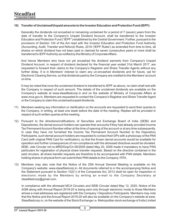#### **10) Transfer of Unclaimed/Unpaid amounts to the Investor Education and Protection Fund (IEPF):**

Generally the dividends not encashed or remaining unclaimed for a period of 7 (seven) years from the date of transfer to the Company's Unpaid Dividend Account, shall be transferred to the Investor Education and Protection Fund ("IEPF") established by the Central Government. Further, pursuant to the provisions of Section 124 of the Act read with the Investor Education and Protection Fund Authority (Accounting, Audit, Transfer and Refund) Rules, 2016 ('IEPF Rules') as amended from time to time, all shares on which dividend has not been paid or claimed for seven consecutive years or more shall be transferred to IEPF Authority as notified by the Ministry of Corporate Affairs.

And hence Members who have not yet encashed the dividend warrants from Company's Unpaid Dividend Account, in respect of dividend declared for the financial year ended 31st March 2017, are requested to forward their claims to the Company's Registrar and Share Transfer Agents without any further delay. It is in Members' interest to claim any un-encashed dividends and for future, opt for Electronic Clearing Service, so that dividends paid by the Company are credited to the Members' account on time.

It may be noted that once the unclaimed dividend is transferred to IEPF as above, no claim shall rest with the Company in respect of such amount. The details of the unclaimed dividends are available on the Company's website at www.steadfastcorp.in and on the website of Ministry of Corporate Affairs at www.mca.gov.in. Members are requested to contact the Company's Registrar and Share Transfer Agent or the Company to claim the unclaimed/unpaid dividends.

- 11) Members seeking any information or clarification on the accounts are requested to send their queries to the Company, in writing, at least one week before the date of the meeting. Replies will be provided in respect of such written queries at the meeting.
- 12) Pursuant to the directions/notifications of Securities and Exchange Board of India (SEBI) and Depositories, the demat account holders can operate their accounts if they had already provided Income Tax Permanent Account Number either at the time of opening of the account or at any time subsequently. In case they have not furnished the Income Tax Permanent Account Number to the Depository Participants, such demat account holders are requested to contact their DPs with a photocopy of the PAN Card (with original PAN Card for verification), so that the frozen demat accounts would be available for operation and further consequences of non-compliance with the aforesaid directives would be obviated. SEBI, vide Circular ref.no.MRD/Dop/Cir-05/2009 dated May 20, 2009 made it mandatory to have PAN particulars for registration of physical share transfer requests. Based on the directive contained in the said circulars, all share transfer requests are therefore to be accompanied with PAN details. Members holding shares in physical form can submit their PAN details to the Company / RTA.
- 13) Members may also note that the Notice of the 25th Annual General Meeting is available on the Company's website: www.steadfastcorp.in. All documents referred to in the accompanying Notice and the Statement pursuant to Section 102(1) of the Companies Act, 2013 shall be open for inspection in electronic mode by the Members by writing an e-mail to the Company Secretary at steadfastcorp@gmail.com.

In compliance with the aforesaid MCA Circulars and SEBI Circular dated May 12, 2020, Notice of the AGM along with Annual Report 2019-20 is being sent only through electronic mode to those Members whose e-mail addresses are registered with the Company / Depository Participants. Members may note that the Notice and the Annual Report 2019-20 will also be available on the Company's website at www. Steadfastcorp.in, on the website of the Stock Exchange i.e. Metropolitan stock exchange of India Limited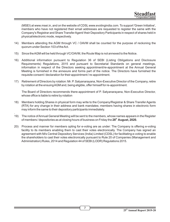(MSEI) at www.msei.in, and on the website of CDSL www.evotingindia.com. To support 'Green Initiative', members who have not registered their email addresses are requested to register the same with the Company's Registrar and Share Transfer Agent/ their Depository Participants in respect of shares held in physical/electronic mode, respectively.

- 14) Members attending the AGM through VC / OAVM shall be counted for the purpose of reckoning the quorum under Section 103 of the Act.
- 15) Since the AGM will be held through VC/OAVM, the Route Map is not annexed to the Notice.
- 16) Additional information pursuant to Regulation 36 of SEBI (Listing Obligations and Disclosure Requirements) Regulations, 2015 and pursuant to Secretarial Standards on general meetings, information in respect of the Directors seeking appointment/re-appointment at the Annual General Meeting is furnished in the annexure and forms part of the notice. The Directors have furnished the requisite consent / declaration for their appointment / re-appointment.
- 17) Retirement of Directors by rotation: Mr. P. Satyanarayana, Non-Executive Director of the Company, retire by rotation at the ensuing AGM and, being eligible, offer himself for re-appointment.

The Board of Directors recommends there-appointment of P. Satyanarayana, Non-Executive Director, whose office is liable to retire by rotation

- 18) Members holding Shares in physical form may write to the Company/Registrar & Share Transfer Agents (RTA) for any change in their address and bank mandates; members having shares in electronic form may inform the same to their depository participants immediately.
- . 19) The notice of Annual General Meeting will be sent to the members, whose names appears in the Register **th** of members / depositories as at closing hours of business on Friday the **28 August, 2020.**
- 20) Process and manner for members opting for e-voting are as under: The Company is offering e-voting facility to its members enabling them to cast their votes electronically. The Company has signed an agreement with M/s Central Depository Services (India) Limited (CDSL) for facilitating e-voting to enable the shareholders to cast their votes electronically pursuant to Rule 20 of Companies (Management and Administration) Rules, 2014 and Regulation 44 of SEBI (LODR) Regulations 2015.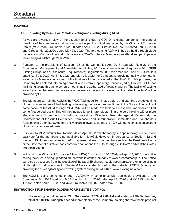## **E-VOTING**

## **CDSLe-Voting System – For Remote e-voting and e-voting during AGM**

- 1. As you are aware, in view of the situation arising due to COVID-19 global pandemic, the general meetings of the companies shall be conducted as per the guidelines issued by the Ministry of Corporate Affairs (MCA) vide Circular No. 14/2020 dated April 8, 2020, Circular No.17/2020 dated April 13, 2020 and Circular No. 20/2020 dated May 05, 2020. The forthcoming AGM will thus be held through video conferencing (VC) or other audio visual means (OAVM). Hence, Members can attend and participate in the ensuing AGM through VC/OAVM.
- 2. Pursuant to the provisions of Section 108 of the Companies Act, 2013 read with Rule 20 of the Companies (Management and Administration) Rules, 2014 (as amended) and Regulation 44 of SEBI (Listing Obligations & Disclosure Requirements) Regulations 2015 (as amended), and MCA Circulars dated April 08, 2020, April 13, 2020 and May 05, 2020 the Company is providing facility of remote evoting to its Members in respect of the business to be transacted at the AGM. For this purpose, the Company has entered into an agreement with Central Depository Services (India) Limited (CDSL) for facilitating voting through electronic means, as the authorized e-Voting's agency. The facility of casting votes by a member using remote e-voting as well as the e-voting system on the date of the AGM will be provided by CDSL.
- 3. The Members can join the AGM in the VC/OAVM mode 30 minutes before and after the scheduled time of the commencement of the Meeting by following the procedure mentioned in the Notice. The facility of participation at the AGM through VC/OAVM will be made available to atleast 1000 members on first come first served basis. This will not include large Shareholders (Shareholders holding 2% or more shareholding), Promoters, Institutional Investors, Directors, Key Managerial Personnel, the Chairpersons of the Audit Committee, Nomination and Remuneration Committee and Stakeholders Relationship Committee, Auditors etc. who are allowed to attend the AGM without restriction on account of first come first served basis.
- 4. Pursuant to MCA Circular No. 14/2020 dated April 08, 2020, the facility to appoint proxy to attend and cast vote for the members is not available for this AGM. However, in pursuance of Section 112 and Section 113 of the Companies Act, 2013, representatives of the members such as the President of India or the Governor of a State or body corporate can attend the AGM through VC/OAVM and cast their votes through e-voting.
- 5. In line with the Ministry of Corporate Affairs (MCA) Circular No. 17/2020 dated April 13, 2020, the Notice calling the AGM is being uploaded on the website of the Company at www.steadfastcorp.in. The Notice can also be accessed from the websites of the Stock Exchange i.e. Metropolitan stock exchange of India Limited (MSEI) at www.msei.in. The AGM Notice is also hosted on the website of CDSL (agency for providing the e-Voting facility and e-voting system during the AGM) i.e. www.evotingindia.com
- 6. The AGM is being convened through VC/OAVM in compliance with applicable provisions of the Companies Act, 2013 read with MCA Circular No. 14/2020 dated April 8, 2020 and MCA Circular No. 17/2020 dated April 13, 2020 and MCACircular No. 20/2020 dated May 05, 2020.

#### **INSTRUCTIONS FOR SHAREHOLDERS FOR REMOTE E-VOTING:**

I) The e-voting period begins on **27th September, 2020 at 9.00 AM and ends on 29th September, 2020 at 5.00 PM**. During this period shareholders' of the Company, holding shares either in physical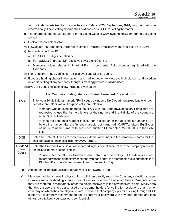**th** form or in dematerialized form, as on the **cut-off date of 25 September, 2020,** may cast their vote electronically. The e-voting module shall be disabled by CDSL for voting thereafter.

- (ii) The shareholders should log on to the e-voting website www.evotingindia.com during the voting period.
- (iii) Click on "Shareholders" tab.
- (iv) Now, select the "Steadfast Corporation Limited" from the drop down menu and click on "SUBMIT"
- (v) Now enter your User ID
	- a. For CDSL: 16 digits beneficiary ID,
	- b. For NSDL: 8 Character DPID followed by 8 Digits Client ID,
	- c. Members holding shares in Physical Form should enter Folio Number registered with the Company.
- (vi) Next enter the Image Verification as displayed and Click on Login.
- (vii) If you are holding shares in demat form and had logged on to www.evotingindia.com and voted on an earlier voting of any company, then your existing password is to be used.
- (viii) If you are a first time user follow the steps given below:

|                  | For Members holding shares in Demat Form and Physical Form                                                                                                                                                                                                                                  |  |
|------------------|---------------------------------------------------------------------------------------------------------------------------------------------------------------------------------------------------------------------------------------------------------------------------------------------|--|
| <b>PAN</b>       | Enter your 10 digit alpha-numeric *PAN issued by Income Tax Department (Applicable for both<br>demat shareholders as well as physical shareholders)                                                                                                                                         |  |
|                  | Members who have not updated their PAN with the Company/Depository Participant are<br>٠<br>requested to use the first two letters of their name and the 8 digits of the sequence<br>number in the PAN field.                                                                                |  |
|                  | In case the sequence number is less than 8 digits enter the applicable number of 0's<br>$\bullet$<br>before the number after the first two characters of the name in CAPITAL letters. Eg. If your<br>name is Ramesh Kumar with sequence number 1 then enter RA00000001 in the PAN<br>field. |  |
| <b>DOB</b>       | Enter the Date of Birth as recorded in your demat account or in the company records for the<br>said demat account or folio in dd/mm/yyyy format.                                                                                                                                            |  |
| Dividend<br>Bank | Enter the Dividend Bank Details as recorded in your demat account or in the company records<br>for the said demat account or folio.                                                                                                                                                         |  |
| <b>Details</b>   | Please enter the DOB or Dividend Bank Details in order to login. If the details are not<br>٠<br>recorded with the depository or company please enter the member id / folio number in the<br>Dividend Bank details field as mentioned in instruction (iv).                                   |  |

- xi) After entering these details appropriately, click on "SUBMIT" tab.
- x) Members holding shares in physical form will then directly reach the Company selection screen. However, members holding shares in demat form will now reach 'Password Creation' menu wherein they are required to mandatorily enter their login password in the new password field. Kindly note that this password is to be also used by the demat holders for voting for resolutions of any other company on which they are eligible to vote, provided that company opts for e-voting through CDSL platform. It is strongly recommended not to share your password with any other person and take utmost care to keep your password confidential.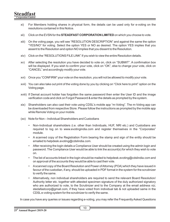- xi) For Members holding shares in physical form, the details can be used only for e-voting on the resolutions contained in this Notice.
- xii) Click on the EVSN for the **STEADFAST CORPORATION LIMITED** on which you choose to vote.
- xiii) On the voting page, you will see "RESOLUTION DESCRIPTION" and against the same the option "YES/NO" for voting. Select the option YES or NO as desired. The option YES implies that you assent to the Resolution and option NO implies that you dissent to the Resolution.
- xiv) Click on the "RESOLUTIONS FILE LINK" if you wish to view the entire Resolution details.
- xv) After selecting the resolution you have decided to vote on, click on "SUBMIT". A confirmation box will be displayed. If you wish to confirm your vote, click on "OK", else to change your vote, click on "CANCEL" and accordingly modify your vote.
- xvi) Once you "CONFIRM" your vote on the resolution, you will not be allowed to modify your vote.
- xvii) You can also take out print of the voting done by you by clicking on "Click here to print" option on the Voting page.
- xviii) If Demat account holder has forgotten the same password then enter the User ID and the image verification code and click on Forgot Password & enter the details as prompted by the system.
- xix) Shareholders can also cast their vote using CDSL's mobile app "m-Voting". The m-Voting app can be downloaded from respective Store. Please follow the instructions as prompted by the mobile app while Remote Voting on your mobile.
- (xx) Note for Non Individual Shareholders and Custodians
	- Non-Individual shareholders (i.e. other than Individuals, HUF, NRI etc.) and Custodians are required to log on to www.evotingindia.com and register themselves in the "Corporates" module.
	- A scanned copy of the Registration Form bearing the stamp and sign of the entity should be emailed to helpdesk.evoting@cdslindia.com.
	- After receiving the login details a Compliance User should be created using the admin login and password. The Compliance User would be able to link the account(s) for which they wish to vote on.
	- The list of accounts linked in the login should be mailed to helpdesk.evoting@cdslindia.com and on approval of the accounts they would be able to cast their vote.
	- Ascanned copy of the Board Resolution and Power of Attorney (POA) which they have issued in favour of the custodian, if any, should be uploaded in PDF format in the system for the scrutinizer to verify the same.
	- Alternatively, non individual shareholders are required to send the relevant Board Resolution/ Authority letter etc. together with attested specimen signature of the duly authorized signatory who are authorized to vote, to the Scrutinizer and to the Company at the email address viz; stedafastcorp@gmail.com, if they have voted from individual tab & not uploaded same in the CDSLe-voting system for the scrutinizer to verify the same.

In case you have any queries or issues regarding e-voting, you may refer the Frequently Asked Questions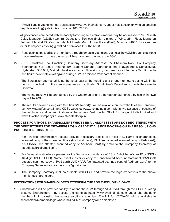("FAQs") and e-voting manual available at www.evotingindia.com, under help section or write an email to helpdesk.evoting@cdslindia.com or call 1800225533.

All grievances connected with the facility for voting by electronic means may be addressed to Mr. Rakesh Dalvi, Manager, (CDSL,) Central Depository Services (India) Limited, A Wing, 25th Floor, Marathon Futurex, Mafatlal Mill Compounds, N M Joshi Marg, Lower Parel (East), Mumbai - 400013 or send an email to helpdesk.evoting@cdslindia.com or call 1800225533.

- 21) Resolution (s) passed by the members through remote e-voting and voting at the AGM through electronic mode are deemed to have passed as if they have been passed at the AGM.
- 22) Sri V. Bhaskara Rao, Practicing Company Secretary, Address: V. Bhaskara Rao& Co, Company Secretaries, 6-2-1085/B, Flat No.105, Badam Sohana Apartments, Raj Bhavan Road, Somajiguda, Hyderabad 500 082, Mail Id: bhaskararaoandco@gmail.com, has been appointed as a Scrutinizer to scrutinize the remote e-voting and during AGM in a fair and transparent manner.

The Scrutinizer after scrutinizing the votes cast at the meeting and through remote e-voting within 48 hours of conclusion of the meeting makes a consolidated Scrutinizer's Report and submits the same to Chairman.

The voting result will be announced by the Chairman or any other person authorized by him within two days of the AGM.

23) The results declared along with Scrutinizer's Report(s) will be available on the website of the Company, i.e., www.steadfastcorp.in and CDSL website: www.evotingindia.com within two (2) days of passing of the resolutions and communications of the same to Metropolitan Stock Exchange of India Limited and website of the Company i.e. www.stedafastcorp.in.

#### **PROCESS FOR THOSE SHAREHOLDERS WHOSE EMAIL ADDRESSES ARE NOT REGISTERED WITH THE DEPOSITORIES FOR OBTAINING LOGIN CREDENTIALS FOR E-VOTING ON THE RESOLUTIONS PROPOSED IN THIS NOTICE:**

- 1. For Physical shareholders- please provide necessary details like Folio No., Name of shareholder, scanned copy of the share certificate (front and back), PAN (self attested scanned copy of PAN card), AADHAAR (self attested scanned copy of Aadhaar Card) by email to the Company Secretary at steadfastcorp@gmail.com.
- 2. For Demat shareholders -, please provide Demat account details (CDSL-16 digit beneficiary ID or NSDL-16 digit DPID + CLID), Name, client master or copy of Consolidated Account statement, PAN (self attested scanned copy of PAN card), AADHAAR (self attested scanned copy of Aadhaar Card) to the Company Secretary at steadfastcorp@gmail.com.
- 3. The Company Secretary shall co-ordinate with CDSL and provide the login credentials to the above mentioned shareholders.

### **INSTRUCTIONS FOR SHAREHOLDERS ATTENDING THE AGM THROUGH VC/OAVM:**

1. Shareholder will be provided facility to attend the AGM through VC/OAVM through the CDSL e-Voting system. Shareholders may access the same at https://www.evotingindia.com under shareholders/ members login by using the remote e-voting credentials. The link for VC/OAVM will be available in shareholder/members login where the EVSN of Company will be displayed.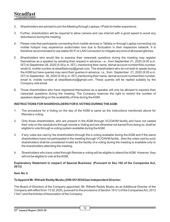## **Steadfast Corporation Limited**

- 2. Shareholders are advised to join the Meeting through Laptops / IPads for better experience.
- 3. Further, shareholders will be required to allow camera and use internet with a good speed to avoid any disturbance during the meeting.
- 4. Please note that participants connecting from mobile devices or Tablets or through Laptop connecting via mobile hotspot may experience audio/video loss due to fluctuation in their respective network. It is therefore recommended to use stable Wi-Fi or LAN Connection to mitigate any kind of aforesaid glitches.
- 5. Shareholders who would like to express their views/ask questions during the meeting may register themselves as a speaker by sending their request in advance, i.e., from September 21, 2020 (9.00 a.m. IST) to September 26, 2020 (5.00 p.m. IST), mentioning their name, demat account number/folio number, email id, mobile number at steadfastcorp@gmail.com. The shareholders who do not wish to speak during the AGM but have queries may send their queries in advance, i.e., from September 21, 2020 (9.00 a.m. IST) to September 26, 2020 (5.00 p.m. IST),mentioning their name, demat account number/folio number, email id, mobile number at steadfastcorp@gmail.com. These queries will be replied suitably by the Company vide email.
- 6. Those shareholders who have registered themselves as a speaker will only be allowed to express their views/ask questions during the meeting. The Company reserves the right to restrict the number of speakers depending on the availability of time during the AGM.

#### **INSTRUCTIONS FOR SHAREHOLDERS FOR E-VOTING DURING THE AGM:**

- 1. The procedure for e-Voting on the day of the AGM is same as the instructions mentioned above for Remote e-voting.
- 2. Only those shareholders, who are present in the AGM through VC/OAVM facility and have not casted their vote on the resolutions through remote e-Voting and are otherwise not barred from doing so, shall be eligible to vote through e-voting system available during the AGM.
- 3. If any votes are cast by the shareholders through the e-voting available during the AGM and if the same shareholders have not participated in the meeting through VC/OAVM facility , then the votes cast by such shareholders shall be considered invalid as the facility of e-voting during the meeting is available only to the shareholders attending the meeting.
- 4. Shareholders who have voted through Remote e-voting will be eligible to attend the AGM. However, they will not be eligible to vote at the AGM.

#### **Explanatory Statement in respect of Special Business: (Pursuant to Sec.102 of the Companies Act, 2013)**

#### **Item No.3:**

#### **To Appoint Mr. Rithwik Reddy Musku (DIN:05120343)as Independent Director:**

The Board of Directors of the Company appointed, Mr. Rithwik Reddy Musku as an Additional Director of the Company with effect from 13.02.2020, pursuant to the provisions of Section 161(1) of the Companies Act, 2013 ("Act") and the Articles of Association of the Company.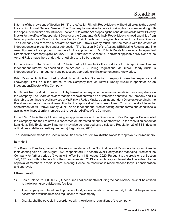In terms of the provisions of Section 161(1) of the Act, Mr. Rithwik Reddy Musku will hold office up to the date of the ensuing Annual General Meeting. The Company has received a notice in writing from a member along with the deposit of requisite amount under Section 160(1) of the Act proposing the candidature of Mr. Rithwik Reddy Musku for the office of Independent Director of the Company. Mr.Rithwik Reddy Musku is not disqualified from being appointed as a Director in terms of Section 164 of the Act and has given his consent to act as a Director. The Company has received a declaration from Mr. Rithwik Reddy Musku that he meets with the criteria of independence as prescribed under sub-section (6) of Section 149 of the Act and SEBI Listing Regulations. The resolution seeks the approval of members for the appointment of Mr. Rithwik Reddy Musku as an Independent Director of the company up to February 12, 2025 pursuant to Section 149 and other applicable provisions of the Act and Rules made there under. He is not liable to retire by rotation.

In the opinion of the Board, Sri Mr. Rithwik Reddy Musku fulfils the conditions for his appointment as an Independent Director as specified in the Act and SEBI Listing Regulations. Mr. Rithwik Reddy Musku is independent of the management and possesses appropriate skills, experience and knowledge.

Brief Resume: Mr.Rithwik Reddy Muskuh as done his Graduation. Keeping in view her expertise and knowledge, it will be in the interest of the Company that Mr. Rithwik Reddy Musku is appointed as an Independent Director of the Company.

Mr. Rithwik Reddy Musku does not hold by himself or for any other person on a beneficial basis, any shares in the Company. The Board considers that his association would be of immense benefit to the Company and it is desirable to continue to avail services of Mr. Rithwik Reddy Musku as an Independent Director. Accordingly, the Board recommends the said resolution for the approval of the shareholders. Copy of the draft letter for appointment of Mr. Rithwik Reddy Musku as an Independent Director setting out the terms and conditions is available for inspection by members at the registered office of the Company.

Except Mr. Rithwik Reddy Musku being an appointee, none of the Directors and Key Managerial Personnel of the Company and their relatives is concerned or interested, financial or otherwise, in the resolution set out at Item No.3. This Explanatory Statement may also be regarded as a disclosure Regulation 27 of SEBI (Listing obligations and disclosure Requirements) Regulations, 2015.

The Board recommends the Special Resolution set out at Item No. 3 of the Notice for approval by the members.

#### **Item No.4**

The Board of Directors, based on the recommendation of the Nomination and Remuneration Committee, in their Meeting held on 13th August, 2020 reappointed Dr. Keesara Vivek Reddy as the Managing Director of the Company for further period of 3 years with effect from 13th August 2020. Pursuant to the provisions of Section 196, 197 read with Schedule V of the Companies Act, 2013 any such reappointment shall be subject to the approval of members in their General Meeting. Hence the resolution is recommended for your consideration and approval.

#### **I. Remuneration:**

- 1) Basic Salary: Rs. 1,00,000/- (Rupees One Lac) per month including the basic salary, he shall be entitled to the following perquisites and facilities:
- i. The company's contributions to provident fund, superannuation fund or annuity funds hall be payable in accordance with the rules and regulations of the company.
- ii. Gratuity shall be payable in accordance with the rules and regulations of the company.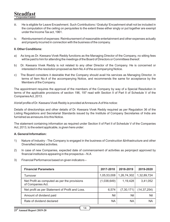#### **Steadfast Corporation Limite**

- iii. He is eligible for Leave Encashment. Such Contributions / Gratuity/ Encashment shall not be included in the computation of the ceiling on perquisites to the extent these either singly or put together are exempt under the Income Tax act, 1961.
- iv. Reimbursement of expenses: Reimbursement of reasonable entertainment and other expenses actually and properly incurred in connection with the business of the company.

#### **II. Other Conditions:**

- a) As long as Dr. Keesara Vivek Reddy functions as the Managing Director of the Company, no sitting fees will be paid to him for attending the meetings of the Board of Directors or Committees thereof.
- b) Dr. Keesara Vivek Reddy is not related to any other Director of the Company. He is concerned or interested in the resolution proposed as Item No.4 of the accompanying Notice.
- c) The Board considers it desirable that the Company should avail his services as Managing Director, in terms of Item No.4 of the accompanying Notice, and recommends the same for acceptance by the Members of the Company.

The appointment requires the approval of the members of the Company by way of a Special Resolution in terms of the applicable provisions of section 196, 197 read with Section II of Part II of Schedule V of the Companies Act, 2013.

Abrief profile of Dr. Keesara Vivek Reddy is provided at Annexure-A of this notice:

Details of directorships and other details of Dr. Keesara Vivek Reddy required as per Regulation 36 of the Listing Regulations and Secretarial Standards issued by the Institute of Company Secretaries of India are furnished as annexure-Ato this Notice.

The statement containing information as required under Section II of Part II of Schedule V of the Companies Act, 2013, to the extent applicable, is given here under:

#### **A. General Information:**

- 1) Nature of Industry The Company is engaged in the business of Construction &Infrastructure and other Diversified related activities.
- 2) In case of new Companies, expected date of commencement of activities as perproject approved by  $f$ inancial institutions appearing in the prospectus  $- N.A$
- 3) Financial Performance based on given indicators –

| <b>Financial Parameters</b>                                       | 2017-2018   | 2018-2019    | 2019-2020     |
|-------------------------------------------------------------------|-------------|--------------|---------------|
| Turnover                                                          | 1,05,53,008 | 1,26,74,302  | 1,32,89,724   |
| Net Profit as computed as per the provisions<br>of Companies Act. | (1,038,649) | 1,19,428     | 3,41,052      |
| Net profit as per Statement of Profit and Loss.                   | 6,574       | (7, 30, 171) | (14, 37, 254) |
| Amount of dividend paid                                           | Nil         | Nil          | Nil           |
| Rate of dividend declared                                         | <b>NA</b>   | <b>NA</b>    | <b>NA</b>     |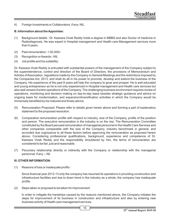4) Foreign Investments or Collaborators, if any- NIL.

#### **B. Information about the Appointee:**

- (1) Background details : Dr. Keesara Vivek Reddy holds a degree in MBBS and also Doctor of medicine in Radiodiagnosis, He was expert in Hospital management and Health care Management services more than 5 years.
- (2) Past remuneration- 1,00,000/-
- (3) Recognition or Awards:- NIL
- $(4)$  Job profile and his suitability:

Dr. Keesara Vivek Reddy is entrusted with substantial powers of the management of the Company subject to the superintendence, control and direction of the Board of Directors, the provisions of Memorandum and Articles of Association, regulations made by the Company in General Meetings and the restrictions imposed by the Companies Act, 2013, and shall do all in his power to promote, develop and extend the business of the Company. His experience of the past 9 years will help the company to grow and prosper. He is well educated and young entrepreneur as he is not only experienced in Hospital management and Health care services but also well versed of entire operations of the Company. The challenging business environment requires review of operations, monitoring and decision making on day-to-day basis besides strategic guidance and advice on ongoing basis for modernization, and expansion/diversification activities in which the Company would be immensely benefited by his matured and timely advice.

- (5) Remuneration Proposed: Please refer to details given herein above and forming a part of explanatory statement to the proposed resolution.
- (6) Comparative remuneration profile with respect to industry, size of the Company, profile of the position and person: The executive remuneration in the industry is on the rise. The Remuneration Committee constituted by the Board perused remuneration of managerial personnel in the Health Care Services and other companies comparable with the size of the Company, industry benchmark in general, and accorded due cognizance to all these factors before approving the remuneration as proposed herein above. Considering professional qualifications, background, experience and competence of Dr. Keesara Vivek Reddy and the responsibility shouldered by him, the terms of remuneration are considered to be fair, just and reasonable.
- (7) Pecuniary relationship directly or indirectly with the Company or relationship with the managerial personnel, if any :– Nil

#### **III. OTHER INFORMATION:**

(1) Reasons of loss or inadequate profits:

Since financial year 2012-13 only the company has resumed its operations in providing construction and infrastructure facilities and due to down trend in the industry as a whole, the company has inadequate profits.

(2) Steps taken or proposed to be taken for improvement:

In order to mitigate the hardships caused by the reasons mentioned above, the Company initiates the steps for improvement of its business in construction and infrastructure and also by entering new business activity of Health care management services.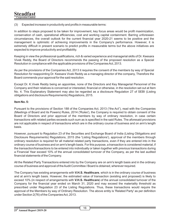(3) Expected increase in productivity and profits in measurable terms:

In addition to steps proposed to be taken for improvement, key focus areas would be profit maximization, conservation of cash, operational efficiencies, cost and working capital containment. Barring unforeseen circumstances, the overall outlook for the current financial year 2020-21 seems to be positive and the management is optimistic of achieving improvements in the Company's performance. However, it is extremely difficult in present scenario to predict profits in measurable terms but the above initiatives are expected to improve productivity and profitability.

Keeping in view the professional qualifications, rich & varied experience and managerial skills of Dr. Keesara Vivek Reddy, the Board of Directors recommends the passing of the proposed resolution as a Special Resolution in compliance with the applicable provisions of the Companies Act, 2013.

As per the provisions of the Companies Act, 2013 it requires the consent of the members by way of Special Resolution for reappointing Dr. Keesara Vivek Reddy as a managing director of the company, Therefore the Board commends your approval for the said resolution.

Except Dr. K.Vivek Reddy being an appointee, none of the Directors and Key Managerial Personnel of the Company and their relatives is concerned or interested, financial or otherwise, in the resolution set out at Item No. 4. This Explanatory Statement may also be regarded as a disclosure Regulation 27 of SEBI (Listing obligations and disclosure Requirements) Regulations, 2015.

### **Item No. 5:**

Pursuant to the provisions of Section 188 of the Companies Act, 2013 ("the Act"), read with the Companies (Meetings of Board and its Powers) Rules, 2014 ('Rules'), the Company is required to obtain consent of the Board of Directors and prior approval of the members by way of ordinary resolution, in case certain transactions with related parties exceeds such sum as is specified in the said Rules. The aforesaid provisions are not applicable in respect of transactions which are in the ordinary course of business and on arm's length basis.

However, pursuant to Regulation 23 of the Securities and Exchange Board of India (Listing Obligations and Disclosure Requirements) Regulations, 2015 (the 'Listing Regulations'), approval of the members through ordinary resolution is required for all material related party transactions, even if they are entered into in the ordinary course of business and on arm's length basis. For this purpose, a transaction is considered material, if the transaction/transactions to be entered into individually or taken together with previous transactions during a Financial Year exceed 10% of the annual consolidated turnover of the Company, as per the last audited financial statements of the Company.

All the Related Party Transactions entered into by the Company are on arm's length basis and in the ordinary course of business and approval of the Audit Committee / Board is obtained, wherever required.

The Company has existing arrangements with **V.H.S. Healthcare**, which is in the ordinary course of business and at arm's length basis. However, the estimated value of transaction (existing and proposed) is likely to exceed 10% (in respect of arrangements with **V.H.S. Healthcare**) of the annual consolidated turnover of the Company for the financial year ended on March 31, 2020 and may exceed the materiality threshold as prescribed under Regulation 23 of the Listing Regulations. Thus, these transactions would require the approval of the Members by way of Ordinary Resolution. The above entity is 'Related Party' as per definition under Section 2(76) of the Companies Act, 2013.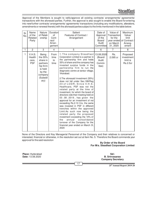Approval of the Members is sought to ratify/approve all existing contracts/ arrangements/ agreements/ transactions with the aforesaid parties. Further, the approval is also sought to enable the Board for entering into new/further contracts/ arrangements/ agreements/ transactions (including any modifications, alterations, amendments or renewal thereto) with the aforesaid parties subject to the limits mentioned in the table below:

| Sr.<br>No.   | Name<br>of the<br>Related<br>Party      | Nature<br>of Relati-<br>onship                                                                            | Duration<br>of<br>Cont-<br>ract/<br>Arran-<br>gement | Salient<br>Features of Contract /<br>Arrangement                                                                                                                                                                                                                                                                                                                                                                                                                                                                                                                                                                                                                                                                                                                                                                                                                                                      | Date of<br>Approval<br>of the<br>Board/<br>Audit<br>Committeel | Value of<br>Transaction<br>for the<br>on March<br>31, 2020 | Maximum<br>Value/<br>limit<br>year ended of Contract /<br>Arrang-<br>ement |
|--------------|-----------------------------------------|-----------------------------------------------------------------------------------------------------------|------------------------------------------------------|-------------------------------------------------------------------------------------------------------------------------------------------------------------------------------------------------------------------------------------------------------------------------------------------------------------------------------------------------------------------------------------------------------------------------------------------------------------------------------------------------------------------------------------------------------------------------------------------------------------------------------------------------------------------------------------------------------------------------------------------------------------------------------------------------------------------------------------------------------------------------------------------------------|----------------------------------------------------------------|------------------------------------------------------------|----------------------------------------------------------------------------|
| $\mathbf{1}$ | $\overline{2}$                          | 3                                                                                                         | $\overline{4}$                                       | 5                                                                                                                                                                                                                                                                                                                                                                                                                                                                                                                                                                                                                                                                                                                                                                                                                                                                                                     | 6                                                              | $\overline{7}$                                             | 8                                                                          |
| $\mathbf{1}$ | V.H.S.<br>Health<br>care,<br><b>PSF</b> | Being<br>the 55%<br>share in<br>partners<br>hip firrm<br>is held<br>by the<br>company<br>(Subsidi<br>ary) | From<br>time<br>to<br>time                           | 1. The company Steadfast<br>Corporation Limited is a partner in<br>the partnership firm and holds<br>55% of share and the company has<br>invested surplus funds in the<br>partnership firm to run the<br>diagnostic centre at tandur village,<br>Vkarabad.<br>2. The aforesaid investment (55%)<br>does not fall under Sec.188/Reg<br>23 of LODR, Since V.H.S.<br>Healthcare, PSF was not the<br>related party at the time of<br>investment, for which the board of<br>directors vide their meeting held on<br>03.08.2019, has given the<br>approval for an investment of not<br>exceeding Rs.2.10 Crs, the same<br>was invested in PSF in different<br>trenches within the approved<br>Limit.As such now being the<br>related party the proposed<br>investment exceeding the 10% of<br>consolidated<br>the<br>annual<br>turnover of the Company for the<br>financial year ended on March 31,<br>2020 | 13.08.2020<br>(Board/<br>Audit<br>Commi-<br>ttee)              | Rs.<br>2.095 cr                                            | Proposed<br>investment<br>limit is<br><b>Rs.2.5cr</b>                      |

None of the Directors and Key Managerial Personnel of the Company and their relatives is concerned or interested, financial or otherwise, in the resolution set out at Item No. 5. Therefore the Board commends your approval for the said resolution

## **By Order of the Board For M/s. Steadfast Corporation Limited**

**Place:** Hyderabad **Date:** 13.08.2020

**Sd/- B. Srinvasarao Company Secretary**

17

**25th Annual Report 2019-20**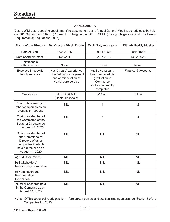**Steadfast Corporation Limited**

## **ANNEXURE - A**

Details of Directors seeking appointment/ re-appointment at the Annual General Meeting scheduled to be held on 30<sup>th</sup> September, 2020. (Pursuant to Regulation 36 of SEBI (Listing obligations and disclosure Requirements) Regulations, 2015)

| <b>Name of the Director</b>                                                                                                    | Dr. Keesara Vivek Reddy                                                                               | Mr. P. Satyanarayana                                                                                | <b>Rithwik Reddy Musku</b> |
|--------------------------------------------------------------------------------------------------------------------------------|-------------------------------------------------------------------------------------------------------|-----------------------------------------------------------------------------------------------------|----------------------------|
| Date of Birth                                                                                                                  | 13/09/1985                                                                                            | 30.04.1952                                                                                          | 09/11/1986                 |
| Date of Appointment                                                                                                            | 14/08/2017                                                                                            | 02.07.2013                                                                                          | 13.02.2020                 |
| Relationship<br>with Directors                                                                                                 | None                                                                                                  | None                                                                                                | None                       |
| Expertise in specific<br>functional area                                                                                       | Has 9 years' experience<br>in the field of management<br>and administration of<br>Health care service | Mr. Satyanaryana<br>has completed his<br>graduation in<br>Commerce<br>and subsequently<br>completed | Finance & Accounts         |
| Qualification                                                                                                                  | M.B.B.S 8 M.D<br>(Radio diagnosis)                                                                    | M.Com                                                                                               | B.B.A                      |
| Board Membership of<br>other companies as on<br>August 14, 2020@                                                               | <b>NIL</b>                                                                                            | $\mathbf{1}$                                                                                        | $\overline{2}$             |
| Chairman/Member of<br>the Committee of the<br>Board of Directors as<br>on August 14, 2020                                      | <b>NIL</b>                                                                                            | 4                                                                                                   | $\overline{4}$             |
| Chairman/Member of<br>the Committee of<br>Directors of other<br>companies in which<br>heis a director as on<br>August 14, 2020 | <b>NIL</b>                                                                                            | <b>NIL</b>                                                                                          | <b>NIL</b>                 |
| a) Audit Committee                                                                                                             | <b>NIL</b>                                                                                            | <b>NIL</b>                                                                                          | <b>NIL</b>                 |
| b) Stakeholders'<br>Relationship Committee                                                                                     | <b>NIL</b>                                                                                            | <b>NIL</b>                                                                                          | <b>NIL</b>                 |
| c) Nomination and<br>Remuneration<br>Committee                                                                                 | <b>NIL</b>                                                                                            | <b>NIL</b>                                                                                          | <b>NIL</b>                 |
| Number of shares held<br>in the Company as on<br>August 14, 2020                                                               | <b>NIL</b>                                                                                            | <b>NIL</b>                                                                                          | <b>NIL</b>                 |

**Note:** @ This does not include position in foreign companies, and position in companies under Section 8 of the Companies Act, 2013.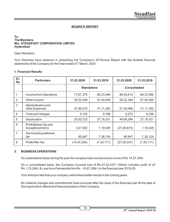#### **BOARD'S REPORT**

#### **To, The Members M/s. STEADFAST CORPORATION LIMITED Hyderabad**

#### Dear Members,

Your Directors have pleasure in presenting the Company's 25<sup>th</sup> Annual Report with the Audited financial statements of the Company for the Year ended 31<sup>st</sup> March, 2020.

#### **1.Financial Results**

| SI.<br><b>No</b> | <b>Particulars</b>                         | 31.03.2020        | 31.03.2019   | 31.03.2020          | 31.03.2019   |
|------------------|--------------------------------------------|-------------------|--------------|---------------------|--------------|
|                  |                                            | <b>Standalone</b> |              | <b>Consolidated</b> |              |
|                  | Income from Operations                     | 77,67,375         | 69,33,366    | 86,59,812           | 69,33,366    |
| $\mathcal{P}$    | Other Income                               | 55,22,349         | 57,40,936    | 55,22,349           | 57,40,936    |
| 3                | Administration and<br>other Expenses       | 47,99,370         | 41, 11, 250  | 57,35,066           | 41, 11, 250  |
| 4                | <b>Financial Charges</b>                   | 9,152             | 8,798        | 9,270               | 8,798        |
| 5                | Deprecation                                | 20,02,723         | 27, 19, 321  | 49,69,384           | 27, 19, 321  |
| 6                | Profit Before Tax and<br>Exceptional items | 3,41,052          | 1,19,428     | (27, 26, 874)       | 1,19,428     |
| 7                | Tax Including deferred<br>tax              | 90,947            | 7,38,124     | 90,947              | 7,38,124     |
| 8                | Profit After Tax                           | (14, 37, 254)     | (7, 30, 171) | (27, 02, 537)       | (7, 30, 171) |

#### **2. BUSINESS OPERATIONS**

On a standalone basis during the year the company has incurred loss to a tune of Rs.14,37,254/-

On a consolidated basis, the Company incurred loss of Rs.27,02,537/- (Which includes profit of JV Rs.1,15,284/- & Loss from Partnership firm Rs. -16,87,359/-) in the financial year 2019-20.

Your directors feel that your company will achieve better results in the coming years.

No material changes and commitments have occurred after the close of the financial year till the date of this report which effects the financial position of the Company.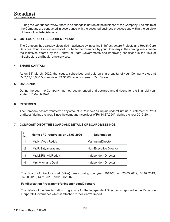During the year under review, there is no change in nature of the business of the Company. The affairs of the Company are conducted in accordance with the accepted business practices and within the purview of the applicable legislations.

#### **3. OUTLOOK FOR THE CURRENT YEAR:**

The Company had already diversified it activates by investing in Infrastructure Projects and Health Care Services. Your Directors are hopeful of better performance by your Company in the coming years due to the initiatives offered by the Central or State Governments and improving conditions in the field of infrastructure and health care services.

### **4. SHARE CAPITAL:**

As on  $31<sup>st</sup>$  March, 2020, the issued, subscribed and paid up share capital of your Company stood at Rs.7,13,10,000./-, comprising 71,31,000 equity shares of Rs.10/- each.

#### **5. DIVIDEND:**

During the year the Company has not recommended and declared any dividend for the financial year ended  $31<sup>st</sup>$  March 2020.

#### **6. RESERVES:**

The Company has not transferred any amount to Reserves & Surplus under "Surplus in Statement of Prot and Loss" during the year, Since the company incurs loss of Rs.14,37,254/-. during the year 2019-20.

#### **7. COMPOSITION OF THE BOARD AND DETAILS OF BOARD MEETINGS**

| SI.<br><b>No</b> | Name of Directors as on 31.03.2020 | <b>Designation</b>       |
|------------------|------------------------------------|--------------------------|
| 1                | Mr. K. Vivek Reddy                 | <b>Managing Director</b> |
| $\mathfrak{p}$   | Mr. P. Satyanarayana               | Non-Executive Director   |
| 3                | Mr. M. Rithwik Reddy               | Independent Director     |
| 4                | Mrs. V. Anjana Devi                | Independent Director     |

The board of directors met  $5$ (five) times during the year 2019-20 on 25.05.2019, 03.07.2019, 14.08.2019, 14.11.2019, and 13.02.2020.

#### **Familiarization Programme for Independent Directors:**

The details of the familiarization programme for the Independent Directors is reported in the Report on Corporate Governance which is attached to the Board's Report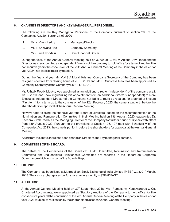#### **8. CHANGES IN DIRECTORS AND KEY MANAGERIAL PERSONNEL:**

The following are the Key Managerial Personnel of the Company pursuant to section 203 of the Companies Act, 2013 as on 31.03.2020

- 1. Mr. K. Vivek Reddy Managing Director
- 2. Mr. B. Srinivasa Rao Company Secretary
- 3. Mr. S. Yedukondalu Chief Financial Officer

During the year, at the Annual General Meeting held on 30.09.2019, Mr. V. Anjana Devi, Independent Director was re-appointed as independent Director of the company to hold office for a term of another five consecutive years the conclusion of the 29th Annual General Meeting of the Company in the calendar year 2024, not liable to retire by rotation.

During the financial year Mr. M.V.S.A Murali Krishna, Company Secretary of the Company has been resigned effective from closing hours of 25.05.2019 and Mr. B. Srinivasa Rao, has been appointed as Company Secretary of the Company w.e.f. 14.11.2019.

Mr. Rithwik Reddy Musku, was appointed as an additional director (Independent) of the company w.e.f. 13.02.2020, and now regularizing his appointment from an additional director (Independent) to Non-Executive Independent Director of the Company, not liable to retire by rotation, for a period of 5 years (First term) for a term up to the conclusion of the 12th February 2025, the same is put forth before the shareholders for approval at the Annual General Meeting.

However after closing the financial year the Board of Directors, based on the recommendation of the Nomination and Remuneration Committee, in their Meeting held on 13th August, 2020 reappointed Dr. Keesara Vivek Reddy as the Managing Director of the Company for further period of 3 years with effect from 13th August 2020. Pursuant to the provisions of Section 196, 197 read with Schedule V of the Companies Act, 2013, the same is put forth before the shareholders for approval at the Annual General Meeting

Apart from the above there has been change in Directors and key managerial persons.

#### **9. COMMITTEES OF THE BOARD:**

The details of the Committees of the Board viz., Audit Committee, Nomination and Remuneration Committee and Stakeholders Relationship Committee are reported in the Report on Corporate Governance which forms part of the Board's Report.

#### **10. LISTING:**

The Company has been listed at Metropolitan Stock Exchange of India Limited (MSEI) w.e.f. 01<sup>st</sup> March, 2018. The stock exchange symbol for shareholders identity is STEADFAST.

#### **11. AUDITORS:**

At the Annual General Meeting held on  $30<sup>th</sup>$  September, 2016, M/s. Ramasamy Koteswararao & Co, Chartered Accountants, were appointed as Statutory Auditors of the Company to hold office for five consecutive years till the conclusion of the  $26<sup>th</sup>$  Annual General Meeting of the Company in the calendar year 2021 (subject to ratification by the shareholders at each Annual General Meeting).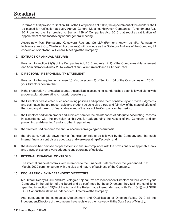In terms of first proviso to Section 139 of the Companies Act, 2013, the appointment of the auditors shall be placed for ratification at every Annual General Meeting. However, Companies (Amendment) Act, 2017 omitted the first proviso to Section 139 of Companies Act, 2013 that requires ratification of appointment of auditor at every annual general meeting.

Accordingly, M/s. Ramasamy Koteswara Rao and Co LLP (Formerly known as M/s. Ramasamy Koteswararao & Co, Chartered Accountants) will continue as the Statutory Auditors of the Company till conclusion of 26th Annual General Meeting of the Company

### **12. EXTRACT OF ANNUAL RETURN:**

Pursuant to section 92(3) of the Companies Act, 2013 and rule 12(1) of the Companies (Management and Administration) Rules, 2014, extract of annual return enclosed as **Annexure-1.**

#### **13. DIRECTORS' RESPONSIBILITY STATEMENT:**

Pursuant to the requirement clause (c) of sub-section (3) of Section 134 of the Companies Act, 2013, your Directors confirm that:

- a) in the preparation of annual accounts, the applicable accounting standards had been followed along with proper explanation relating to material departures;
- b) the Directors had selected such accounting policies and applied them consistently and made judgments and estimates that are reason able and prudent so as to give a true and fair view of the state of affairs of the company at the end of financial year and of the Loss of the Company for that period;
- c) the Directors had taken proper and sufficient care for the maintenance of adequate accounting records in accordance with the provision of this Act for safeguarding the Assets of the Company and for preventing and detecting fraud and other irregularities;
- d) the directors had prepared the annual accounts on a going concern basis;
- e) the directors, had laid down internal financial controls to be followed by the Company and that such internal financial controls are adequate and were operating effectively; and
- f) the directors had devised proper systems to ensure compliance with the provisions of all applicable laws and that such systems were adequate and operating effectively.

#### **14. INTERNAL FINANCIAL CONTROLS:**

The internal financial controls with reference to the Financial Statements for the year ended 31st March, 2020 commensurate with the size and nature of business of the Company.

#### **15. DECLARATION BY INDEPENDENT DIRECTORS:**

Mr. Rithwik Reddy Musku and Mrs. Velagala Anjana Devi are Independent Directors on the Board of your Company. In the opinion of the Board and as confirmed by these Directors, they fulfill the conditions specified in section  $149(6)$  of the Act and the Rules made thereunder read with Reg.16(1)(b) of SEBI LODR, about their status as Independent Directors of the Company.

And pursuant to the companies (Appointment and Qualification of Directors)Rules, 2019 all the independent Directors of the company have registered themselves with the Data Base of Ministry.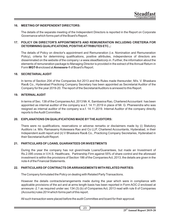#### **16. MEETING OF INDEPENDENT DIRECTORS:**

The details of the separate meeting of the Independent Directors is reported in the Report on Corporate Governance which forms part of the Board's Report.

#### **17. POLICY ON DIRECTOR'S APPOINTMENTS AND REMUNERATION INCLUDING CRIETERIA FOR DETERMINING QUALIFICATIONS, POSITIVE ATTRIBUTES ETC.,:**

The details of Policy on director's appointment and Remuneration (i.e. Nomination and Remuneration Policy), criteria for determining qualifications, positive attributes, independence of directors are disseminated on the website of the company i.e www.steadfastcorp.in. Further, the information about the elements of remuneration package to Managing Director is provided in the extract of the Annual Return in Form **MGT-9** enclosed at **Annexere-1** of Board's Report.

#### **18. SECRETARIALAUDIT**

In terms of Section 204 of the Companies Act 2013 and the Rules made thereunder, M/s. V. Bhaskara Rao& Co., Hyderabad Practicing Company Secretary has been appointed as Secretarial Auditor of the Company for the year 2019-20. The report of the Secretarial Auditors is annexed to this Report.

#### **19. INTERNALAUDIT**

In terms of Sec. 138 of the Companies Act, 2013 Mr. K. Sambasiva Rao, Chartered Accountant has been appointed as internal auditor of the company w.e.f. 14.11.2019 in place of Mr. G. Phaneendra who was resigned as internal auditor of the company w.e.f. 14.11.2019. Internal Auditor of the company directly reports to the Audit Committee.

#### **20. EXPLANATIONS ON QUALIFICATIONS MADE BYTHE AUDITORS:**

There were no qualifications, reservations or adverse remarks or disclaimers made by (i) Statutory Auditors i.e. M/s. Ramasamy Koteswara Rao and Co LLP, Chartered Accountants, Hyderabad, in their Independent audit report and (ii) V Bhaskara Rao& Co., Practicing Company Secretaries, Hyderabad in their Secretarial Audit Report.

#### **21. PARTICULARS OF LOANS, GUARANTEES OR INVESTMENTS**

During the year the company has not given/made Loans/Guarantees, but made an Investment of Rs.2.095 crores in V.H.S. Healthcare, Partnership Firm against 55% of share control and the aforesaid investment is within the provisions of Section 186 of the Companies Act, 2013, the details are given in the note 4 of the Financial Statements.

#### **22. PARTICULARS OF CONTRACTS OR ARRANGEMENTS WITH RELATED PARTIES:**

The Company formulated the Policy on dealing with Related Party Transactions.

However the details contracts/arrangements made during the year which were in compliance with applicable provisions of the act and at arms length basis has been reported in Form AOC-2 enclosed at annexure -2.1 as required under sec 134 (3) (b) of Companies Act, 2013 read with rule 8 of Companies (Accounts) rules 2014 which forms part of this report.

All such transaction were placed before the audit Committee and board for their approval.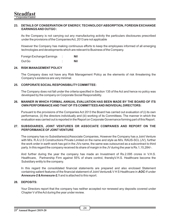#### **23. DETAILS OF CONSERVATION OF ENERGY, TECHNOLOGY ABSORPTION, FOREIGN EXCHANGE EARNINGS AND OUTGO :**

As the Company is not carrying out any manufacturing activity the particulars disclosures prescribed under the provisions of the Companies Act, 2013 are not applicable

However the Company has making continuous efforts to keep the employees informed of all emerging technologies and developments which are relevant to Business of the Company.

Foreign Exchange Earnings : **Nil** Out Go : **Nil**

#### **24. RISK MANAGEMENT POLICY**

The Company does not have any Risk Management Policy as the elements of risk threatening the Company's existence are very minimal.

#### **25. CORPORATE SOCIAL RESPONSIBILITY COMMITTEE:**

The Company does not fall under the criteria specified in Section 135 of the Act and hence no policy was developed by the company on Corporate Social Responsibility.

#### **26. MANNER IN WHICH FORMAL ANNUAL EVALUATION HAS BEEN MADE BY THE BOARD OF ITS OWN PERFORMANCE AND THAT OF ITS COMMITTEES AND INDIVIDUAL DIRECTORS:**

Pursuant to the provisions of the Companies Act 2013 the Board has carried out evaluation of (i) its own performance, (ii) the directors individually and (iii) working of its Committees. The manner in which the evaluation was carried out is reported in the Report on Corporate Governance forming part of this Report.

#### **27. SUBSIDIARIES, JOINT VENTURES OR ASSOCIATE COMPANIES AND REPORT ON THE PERFORMANCE OF JOINT VENTURE**

The company has no Subsidiaries(s)/Associate Companies, However the Company has a Joint Venture with M/s. R.A.U.S Constructions Private Limited on the name and style as M/s. RAUS-SCL (JV), further the work order in earth work has got in the JVs name, the same was outsourced as a subcontract to third party. In this regard the company received its share of margin in the JV during the year is Rs.1,15,284/-.

And further during the year the company has made an Investment of Rs.2.095 crores in V.H.S. Healthcare, Partnership Firm against 55% of share control, therebyV.H.S. Healthcare become the Subsidiary entity to the company.

In this regard the consolidated financial statements are prepared and also enclosed Statement containing salient features of the financial statement of Joint Venture& V H S Healthcare in **AOC-1** under **Annexure-2 & Annexure-2.1** and is attached to this report.

#### **28. DEPOSITS:**

Your Directors report that the company has neither accepted nor renewed any deposits covered under Chapter V of the Act during the year under review.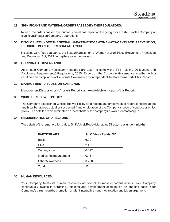#### **29. SIGNIFICANT AND MATERIALORDERS PASSED BYTHE REGULATORS:**

None of the orders passed by Court or Tribunal has impact on the going concern status of the Company or significant impact on Company's operations.

#### **30. DISCLOSURE UNDER THE SEXUAL HARASSMENT OF WOMEN AT WORKPLACE (PREVENTION, PROHIBITION AND REDRESSAL) ACT, 2013.**

No cases were filed pursuant to the Sexual Harassment of Women at Work Place (Prevention, Prohibition and Redressal) Act, 2013 during the year under review.

#### **31. CORPORATE GOVERNANCE**

As a listed Company, necessary measures are taken to comply the SEBI (Listing Obligations and Disclosure Requirements) Regulations, 2015. Report on the Corporate Governance together with a certicate on compliance of Corporate Governance by Independent Auditors forms part of this Report.

#### **32. MANAGEMENT DISCUSSION & ANALYSIS**

Management Discussion and Analysis Report is annexed which forms part of this Report.

#### **33. WHISTLER BLOWER POLICY**

The Company established Whistle Blower Policy for directors and employees to report concerns about unethical behaviour, actual or suspected fraud or violation of the Company's code of conduct or ethics policy. The details are disseminated on the website of the company i.e www.steadfastcorp.in.

#### **34. REMUNERATION OF DIRECTORS**

The details of the remuneration paid to Sri K. Vivek Reddy Managing Director is as under (In lakhs) :

| <b>PARTICULARS</b>           | Sri K. Vivek Reddy, MD |
|------------------------------|------------------------|
| Basic                        | 6.00                   |
| <b>HRA</b>                   | 2.40                   |
| Conveyance                   | 0.192                  |
| <b>Medical Reimbursement</b> | 0.15                   |
| <b>Other Allowances</b>      | 3.258                  |
| Total                        | 12                     |

#### **35. HUMAN RESOURCES:**

Your Company treats its human resources as one of its most important assets. Your Company continuously invests in attracting, retaining and development of talent on an ongoing basis. Your Company's thrust is on the promotion of talent internally through job rotation and job enlargement.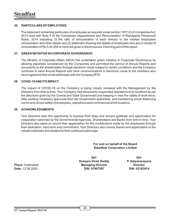#### **36. PARTICULARS OF EMPLOYEES:**

The statement containing particulars of employees as required under section 197(12) of Companies Act, 2013 read with Rule 5 of the Companies (Appointment and Remuneration of Managerial Personnel) Rules, 2014 indicating (i) the ratio of remuneration of each director to the median employees remuneration and other details and (ii) statement showing the details of employees who are in receipt of remuneration of Rs.5,00,000 or more are given in the Annexure-3 forming part of this report.

#### **37. GREEN INITIATIVE IN CORPORATE GOVERNANCE:**

The Ministry of Corporate Affairs (MCA) has undertaken green initiative in Corporate Governance by allowing paperless compliances by the Companies and permitted the service of Annual Reports and documents to the shareholders through electronic mode subject to certain conditions and the Company continues to send Annual Reports and other communications in electronic mode to the members who have registered their email addresses with the Company/RTA.

#### **38. COVID-19 AND ITS IMPACT:**

The impact of COVID-19 on the Company is being closely reviewed with the Management by the Directors from time to time. Your Company had temporarily suspended operations at its locations as per the directives given by the Central and State Government and keeping in view the safety of work force. After seeking necessary approvals from the Government authorities, and maintaining social distancing norms and utmost safety of employees, operations were commenced at the locations.

#### **39. ACKNOWLEDGMENTS:**

Your Directors take this opportunity to express their deep and sincere gratitude and appreciation for cooperation extended by the Governmental Agencies, Shareholders and Banks from time to time. Your Directors also place on record their appreciation for the contributions made by the employees through their dedication, hard work and commitment. Your Directors also convey thanks and appreciation to the valued customers and dealers for their continued patronage.

> **For and on behalf of the Board Steadfast Corporation Limited**

**Place:** Hyderabad **Date:** 13.08.2020

**Sd/- Keesara Vivek Reddy Managing Director DIN: 07907507**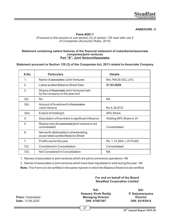#### **ANNEXURE -2**

#### **Form AOC-1** (Pursuant to first proviso to sub-section  $(3)$  of section 129 read with rule 5 of Companies (Accounts) Rules, 2014)

#### Statement containing salient features of the financial statement of subsidiaries/associate **companies/joint ventures Part "B": Joint Venture/Associates**

**Statement pursuant to Section 129 (3) of the Companies Act, 2013 related to Associate Company**

| S.No.          | <b>Particulars</b>                                                            | <b>Details</b>             |
|----------------|-------------------------------------------------------------------------------|----------------------------|
| $\mathbf 1$    | Name of associates / Joint Ventures                                           | M/s. RAUS-SCL(JV),         |
| $\mathfrak{D}$ | Latest audited Balance Sheet Date                                             | 31.03.2020                 |
| 3.             | Shares of Associate/Joint Ventures held<br>by the company on the year end     |                            |
| 3(1)           | No.                                                                           | <b>NA</b>                  |
| 3(ii)          | Amount of Investment in Associates<br>/Joint Venture                          | Rs.4,38,872/-              |
| 3(iii)         | Extend of Holding%                                                            | 49% Share                  |
| 4.             | Description of how there is significant influence                             | Holding 49% Share in JV    |
| 5.             | Reason why the associate/joint venture is not<br>consolidated                 | Consolidated               |
| 6.             | Net worth attributable to shareholding<br>as per latest audited Balance Sheet |                            |
| 7 <sub>1</sub> | Profit/Loss for the year                                                      | Rs. 1,15,284/- (JV Profit) |
| 7(1)           | Considered in Consolidation                                                   | Consolidated               |
| 7(ii)          | Not Considered in Consolidation                                               | <b>NA</b>                  |

1. Names of associates or joint ventures which are yet to commence operations - Nil

2. Names of associates or joint ventures which have been liquidated or sold during the year - Nil

**Note:** This Form is to be certified in the same manner in which the Balance Sheet is to be certified.

#### **For and on behalf of the Board Steadfast Corporation Limited**

**Place:** Hyderabad **Date:** 13.08.2020

**Sd/- Keesara Vivek Reddy Managing Director DIN: 07907507**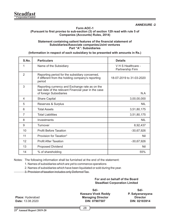#### **Form AOC-1** (Pursuant to first proviso to sub-section (3) of section 129 read with rule 5 of **Companies (Accounts) Rules, 2014)**

#### **Statement containing salient features of the financial statement of Subsidiaries/Associate companies/Joint ventures Part "A": Subsidiaries**

**(Information in respect of each subsidiary to be presented with amounts in Rs.)**

| S.No.                    | <b>Particulars</b>                                                                                                                | <b>Details</b>                         |
|--------------------------|-----------------------------------------------------------------------------------------------------------------------------------|----------------------------------------|
| 1                        | Name of the Subsidiary                                                                                                            | V H S Healthcare -<br>Partnership Firm |
| $\mathfrak{p}$           | Reporting period for the subsidiary concerned,<br>if different from the holding company's reporting<br>period                     | 18-07-2019 to 31-03-2020               |
| 3                        | Reporting currency and Exchange rate as on the<br>last date of the relevant Financial year in the case<br>of foreign Subsidiaries | N.A                                    |
| $\overline{\mathcal{A}}$ | <b>Share Capital</b>                                                                                                              | 3,00,00,000                            |
| 5                        | Reserves & Surplus                                                                                                                | NIL                                    |
| 6                        | <b>Total Assets</b>                                                                                                               | 3,51,80,175                            |
| 7                        | <b>Total Liabilities</b>                                                                                                          | 3,51,80,175                            |
| 8                        | Investments                                                                                                                       | <b>NIL</b>                             |
| 9                        | Turnover                                                                                                                          | 8,92,437                               |
| 10                       | <b>Profit Before Taxation</b>                                                                                                     | $-30,67,926$                           |
| 11                       | Provision for Taxation*                                                                                                           | Nil                                    |
| 12                       | <b>Profit After Taxation</b>                                                                                                      | $-30,67,926$                           |
| 13                       | <b>Proposed Dividend</b>                                                                                                          | Nil                                    |
| 14                       | % of shareholding                                                                                                                 | 55%                                    |

Notes: The following information shall be furnished at the end of the statement:

1. Names of subsidiaries which are yet to commence operations

2. Names of subsidiaries which have been liquidated or sold during the year.

3. Provision of taxation includes only Deferred Tax.

**For and on behalf of the Board Steadfast Corporation Limited**

**Place:** Hyderabad **Date:** 13.08.2020

**Sd/- Keesara Vivek Reddy Managing Director DIN: 07907507**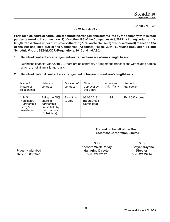#### **Annexure – 2.1**

## **FORM NO. AOC.2**

**Form for disclosure of particulars of contracts/arrangements entered into by the company with related parties referred to in sub-section (1) of section 188 of the Companies Act, 2013 including certain arm's length transactions under third proviso thereto (Pursuant to clause (h) of sub-section (3) of section 134 of the Act and Rule 8(2) of the Companies (Accounts) Rules, 2014, pursuant Regulation 34 and Schedule V to the SEBI (LODR) Regulations, 2015 and Ind AS 24** 

#### **1. Details of contracts or arrangements or transactions not at arm's length basis:**

During the financial year 2019-20, there are no contracts/ arrangement/ transactions with related parties which are not at arm's length basis.

#### **2. Details of material contracts or arrangement or transactions at arm's length basis:**

| Name &<br>Nature of<br>relationship                        | Nature of<br>contract                                                                      | Duration of<br>contract | Date of<br>approval by<br>the Board      | Advances<br>paid, If any | Amount of<br>transaction |
|------------------------------------------------------------|--------------------------------------------------------------------------------------------|-------------------------|------------------------------------------|--------------------------|--------------------------|
| VHS<br>Healthcare<br>(Partnership<br>Firm) &<br>Investment | Being the 55%<br>share in<br>partnership<br>firm is held by<br>the company<br>(Subsidiary) | From time<br>to time    | 03.08.2019<br>(Board/Audit<br>Committee) | Nil                      | Rs.2.095 crores          |

### **For and on behalf of the Board Steadfast Corporation Limited**

**Place:** Hyderabad **Date:** 13.08.2020

**Sd/- Keesara Vivek Reddy Managing Director DIN: 07907507**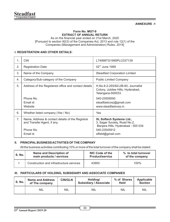#### **ANNEXURE -1**

#### **Form No. MGT-9 EXTRACT OF ANNUAL RETURN**

As on the financial year ended on 31st March, 2020 [Pursuant to section 92(3) of the Companies Act, 2013 and rule 12(1) of the Companies (Management and Administration) Rules, 2014]

### **I. REGISTRATION AND OTHER DETAILS:**

| 1.             | <b>CIN</b>                                                                                               | L74999TG1995PLC037139                                                                                                                      |
|----------------|----------------------------------------------------------------------------------------------------------|--------------------------------------------------------------------------------------------------------------------------------------------|
| 2.             | <b>Registration Date</b>                                                                                 | $02nd$ June 1995                                                                                                                           |
| 3.             | Name of the Company                                                                                      | <b>Steadfast Corporation Limited</b>                                                                                                       |
| 4.             | Category/Sub-category of the Company                                                                     | <b>Public Limited Company</b>                                                                                                              |
| 5.             | Address of the Registered office and contact details                                                     | H.No.8-2-293/82/J/B-60, Journalist<br>Colony, Jubilee Hills, Hyderabad,<br>Telangana-500033.                                               |
|                | Phone No.<br>Fmail id<br>Website                                                                         | 040-23559550<br>steadfastcorp@gmail.com<br>www.steadfastcorp.in                                                                            |
| 6.             | Whether listed company (Yes / No)                                                                        | Yes                                                                                                                                        |
| 7 <sub>1</sub> | Name, Address & contact details of the Registrar<br>and Transfer Agent, if any.<br>Phone No.<br>Email id | <b>XL Softech Systems Ltd.,</b><br>3. Sagar Society, Road No.2,<br>Banjara Hills, Hyderabad - 500 034<br>040-23545912<br>xlfield@gmail.com |

#### **II. PRINCIPAL BUSINESS ACTIVITIES OF THE COMPANY**

All the business activities contributing 10% or more of the total turnover of the company shall be stated:

| <b>S. No.</b> | Name and Description of                  | NIC Code of the        | % to total turnover |
|---------------|------------------------------------------|------------------------|---------------------|
|               | main products / services                 | <b>Product/service</b> | of the company      |
|               | Construction and infrastructure services | 43900                  | $100\%$             |

#### **III. PARTICULARS OF HOLDING, SUBSIDIARY AND ASSOCIATE COMPANIES**

| S. No. | <b>Name and Address</b><br>of The company | <b>CIN/GLN</b> | Holding/<br><b>Subsidiary / Associate</b> | % of Shares<br><b>Held</b> | Applicable<br><b>Section</b> |
|--------|-------------------------------------------|----------------|-------------------------------------------|----------------------------|------------------------------|
|        | <b>NIL</b>                                | <b>NIL</b>     | <b>NIL</b>                                | <b>NIL</b>                 | <b>NIL</b>                   |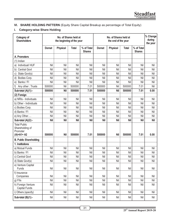## **VI. SHARE HOLDING PATTERN** (Equity Share Capital Breakup as percentage of Total Equity)

## **i. Category-wise Share Holding**

| Category of<br><b>Shareholders</b>                 | No. of Shares held at<br>the beginning of the year |                 |        |                             | No. of Shares held at<br>the end of the year |                 |            |                             | % Change<br>during<br>the year |
|----------------------------------------------------|----------------------------------------------------|-----------------|--------|-----------------------------|----------------------------------------------|-----------------|------------|-----------------------------|--------------------------------|
|                                                    | Demat                                              | <b>Physical</b> | Total  | % of Total<br><b>Shares</b> | Demat                                        | <b>Physical</b> | Total      | % of Total<br><b>Shares</b> |                                |
| A. Promoters                                       |                                                    |                 |        |                             |                                              |                 |            |                             |                                |
| $(1)$ Indian                                       |                                                    |                 |        |                             |                                              |                 |            |                             |                                |
| Individual/HUF<br>a)                               | Nil                                                | Nil             | Nil    | Nil                         | Nil                                          | Nil             | Nil        | Nil                         | Nil                            |
| Central Govt<br>b)                                 | Nil                                                | Nil             | Nil    | Nil                         | Nil                                          | Nil             | Nil        | Nil                         | Nil                            |
| State Govt(s)<br>C)                                | Nil                                                | Nil             | Nil    | Nil                         | Nil                                          | Nil             | Nil        | Nil                         | Nil                            |
| Bodies Corp.<br>d)                                 | Nil                                                | Nil             | Nil    | Nil                         | Nil                                          | Nil             | Nil        | Nil                         | Nil                            |
| Banks / Fl<br>e)                                   | Nil                                                | Nil             | Nil    | Nil                         | Nil                                          | Nil             | Nil        | Nil                         | Nil                            |
| Any other: Trusts<br>f)                            | 500000                                             | Nil             | 500000 | 7.01                        | 500000                                       | Nil             | 500000     | 7.01                        | Nil                            |
| Sub-total (A)(1):-                                 | 500000                                             | <b>Nil</b>      | 500000 | 7.01                        | 500000                                       | <b>Nil</b>      | 500000     | 7.01                        | 0.00                           |
| (2) Foreign                                        |                                                    |                 |        |                             |                                              |                 |            |                             |                                |
| a) NRIs - Individuals                              | Nil                                                | Nil             | Nil    | Nil                         | Nil                                          | Nil             | Nil        | Nil                         | Nil                            |
| b) Other - Individuals                             | Nil                                                | Nil             | Nil    | Nil                         | Nil                                          | Nil             | Nil        | Nil                         | Nil                            |
| c) Bodies Corp.                                    | Nil                                                | Nil             | Nil    | Nil                         | Nil                                          | Nil             | Nil        | Nil                         | Nil                            |
| d) Banks / Fl                                      | Nil                                                | Nil             | Nil    | Nil                         | Nil                                          | Nil             | Nil        | Nil                         | Nil                            |
| e) Any Other                                       | Nil                                                | Nil             | Nil    | Nil                         | Nil                                          | Nil             | Nil        | Nil                         | Nil                            |
| Sub-total (A)(2):-                                 | Nil                                                | <b>Nil</b>      | Nil    | <b>Nil</b>                  | <b>Nil</b>                                   | <b>Nil</b>      | <b>Nil</b> | Nil                         | Nil                            |
| <b>Total Public</b><br>Shareholding of<br>Promoter |                                                    |                 |        |                             |                                              |                 |            |                             |                                |
| $(A)=A1+A2$                                        | 500000                                             | <b>Nil</b>      | 500000 | 7.01                        | 500000                                       | Nil             | 500000     | 7.01                        | 0.00                           |
| <b>B. Public Shareholding</b>                      |                                                    |                 |        |                             |                                              |                 |            |                             |                                |
| 1. Institutions                                    |                                                    |                 |        |                             |                                              |                 |            |                             |                                |
| a) Mutual Funds                                    | Nil                                                | Nil             | Nil    | Nil                         | Nil                                          | Nil             | Nil        | Nil                         | Nil                            |
| b) Banks / Fl                                      | Nil                                                | Nil             | Nil    | Nil                         | Nil                                          | Nil             | Nil        | Nil                         | Nil                            |
| c) Central Govt                                    | Nil                                                | Nil             | Nil    | Nil                         | Nil                                          | Nil             | Nil        | Nil                         | Nil                            |
| d) State Govt(s)                                   | Nil                                                | Nil             | Nil    | Nil                         | Nil                                          | Nil             | Nil        | Nil                         | Nil                            |
| e) Venture Capital<br>Funds                        | Nil                                                | Nil             | Nil    | Nil                         | Nil                                          | Nil             | Nil        | Nil                         | Nil                            |
| f) Insurance<br>Companies                          | Nil                                                | Nil             | Nil    | Nil                         | Nil                                          | Nil             | Nil        | Nil                         | Nil                            |
| g) Flls                                            | Nil                                                | Nil             | Nil    | Nil                         | Nil                                          | Nil             | Nil        | Nil                         | Nil                            |
| h) Foreign Venture<br>Capital Funds                | Nil                                                | Nil             | Nil    | Nil                         | Nil                                          | Nil             | Nil        | Nil                         | Nil                            |
| i) Others (specify)                                | Nil                                                | Nil             | Nil    | Nil                         | Nil                                          | Nil             | Nil        | Nil                         | Nil                            |
| Sub-total (B)(1):-                                 | Nil                                                | Nil             | Nil    | Nil                         | Nil                                          | Nil             | Nil        | Nil                         | Nil                            |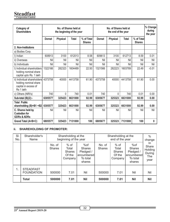| Category of<br><b>Shareholders</b>                                                        | No. of Shares held at<br>the beginning of the year |          |              |                             | No. of Shares held at<br>the end of the year |                 |              |                             | % Change<br>during<br>the year |
|-------------------------------------------------------------------------------------------|----------------------------------------------------|----------|--------------|-----------------------------|----------------------------------------------|-----------------|--------------|-----------------------------|--------------------------------|
|                                                                                           | <b>Demat</b>                                       | Physical | <b>Total</b> | % of Total<br><b>Shares</b> | Demat                                        | <b>Physical</b> | <b>Total</b> | % of Total<br><b>Shares</b> |                                |
| 2. Non-Institutions                                                                       |                                                    |          |              |                             |                                              |                 |              |                             |                                |
| a) Bodies Corp.                                                                           |                                                    |          |              |                             |                                              |                 |              |                             |                                |
| I) Indian                                                                                 | 608913                                             | 3100     | 612013       | 8.58                        | 609613                                       | 3100            | 612713       | 8.59                        | 0.01                           |
| ii) Overseas                                                                              | Nil                                                | Nil      | Nil          | Nil                         | Nil                                          | Nil             | Nil          | Nil                         | Nil                            |
| b) Individuals                                                                            | Nil                                                | Nil      | Nil          | Nil                         | Nil                                          | Nil             | Nil          | Nil                         | Nil                            |
| I) Individual shareholders<br>holding nominal share<br>capital upto Rs. 1 lakh            | 1322166                                            | 282323   | 1604489      | 22.50                       | 1321566                                      | 282223          | 1603789      | 22.49                       | $-0.01$                        |
| ii) Individual shareholders<br>holding nominal share<br>capital in excess of<br>Rs 1 lakh | 4373758                                            | 40000    | 4413758      | 61.90                       | 4373758                                      | 40000           | 4413758      | 61.90                       | 0.00                           |
| c) Others (NRI's)                                                                         | 740                                                | $\Omega$ | 740          | 0.01                        | 740                                          | $\Omega$        | 740          | 0.01                        | 0.00                           |
| Sub-total (B)(2):-                                                                        | 6305577                                            | 325423   | 6631000      | 92.99                       | 6305677                                      | 325323          | 6631000      | 92.99                       | 0.00                           |
| <b>Total Public</b><br>shareholding (B)=B1 +B2                                            | 6305577                                            | 325423   | 6631000      | 92.99                       | 6305677                                      | 325323          | 6631000      | 92.99                       | 0.00                           |
| C. Shares held by<br><b>Custodian for</b><br><b>GDRs &amp; ADRs</b>                       | Nil                                                | Nil      | Nil          | Nil                         | Nil                                          | Nil             | Nil          | Nil                         | Nil                            |
| Grand Total (A+B+C)                                                                       | 6805577                                            | 325423   | 7131000      | 100                         | 6805677                                      | 325323          | 7131000      | 100                         | 0                              |

## **ii. SHAREHOLDING OF PROMOTER:**

| SI.<br>No. | Shareholder's<br>Name                 |                         | Shareholding at the<br>Shareholding at the<br>beginning of the year<br>end of the year |                                                                       | $\%$<br>change          |                                                       |                                                                        |                                                  |
|------------|---------------------------------------|-------------------------|----------------------------------------------------------------------------------------|-----------------------------------------------------------------------|-------------------------|-------------------------------------------------------|------------------------------------------------------------------------|--------------------------------------------------|
|            |                                       | No. of<br><b>Shares</b> | $%$ of<br>Total<br><b>Shares</b><br>Of the<br>Company                                  | %of<br><b>Shares</b><br>Pledged /<br>encumbered<br>To total<br>shares | No. of<br><b>Shares</b> | $%$ of<br>Total<br><b>Shares</b><br>Of the<br>Company | %of<br><b>Shares</b><br>Pledged /<br>lencumbered<br>To total<br>shares | In.<br>Share<br>Holding<br>During<br>The<br>year |
| 1.         | <b>STEADFAST</b><br><b>FOUNDATION</b> | 500000                  | 7.01                                                                                   | Nil                                                                   | 500000                  | 7.01                                                  | Nil                                                                    | Nil                                              |
|            | <b>Total</b>                          | 500000                  | 7.01                                                                                   | <b>Nil</b>                                                            | 500000                  | 7.01                                                  | <b>Nil</b>                                                             | <b>Nil</b>                                       |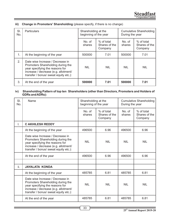| SI.<br>No. | <b>Particulars</b>                                                                                                                                                                        | Shareholding at the<br>beginning of the year |                                        | Cumulative Shareholding<br>During the year |                                        |  |
|------------|-------------------------------------------------------------------------------------------------------------------------------------------------------------------------------------------|----------------------------------------------|----------------------------------------|--------------------------------------------|----------------------------------------|--|
|            |                                                                                                                                                                                           | No. of<br>shares                             | % of total<br>Shares of the<br>Company | No. of<br>shares                           | % of total<br>Shares of the<br>Company |  |
| 1.         | At the beginning of the year                                                                                                                                                              | 500000                                       | 7.01                                   | 500000                                     | 7.01                                   |  |
| 2.         | Date wise Increase / Decrease in<br>Promoters Shareholding during the<br>year specifying the reasons for<br>increase / decrease (e.g. allotment/<br>transfer / bonus/ sweat equity etc.): | <b>NIL</b>                                   | <b>NIL</b>                             | <b>NIL</b>                                 | <b>NIL</b>                             |  |
| 3.         | At the end of the year                                                                                                                                                                    | 500000                                       | 7.01                                   | 500000                                     | 7.01                                   |  |

## **iii) Change in Promoters' Shareholding** (please specify, if there is no change)

#### **iv) Shareholding Pattern of top ten Shareholders (other than Directors, Promoters and Holders of GDRs and ADRs):**

| SI.<br>No. | Name                                                                                                                                                                                      | Shareholding at the<br>beginning of the year |                                        | Cumulative Shareholding<br>During the year |                                        |
|------------|-------------------------------------------------------------------------------------------------------------------------------------------------------------------------------------------|----------------------------------------------|----------------------------------------|--------------------------------------------|----------------------------------------|
|            |                                                                                                                                                                                           | No. of<br>shares                             | % of total<br>Shares of the<br>Company | No. of<br>shares                           | % of total<br>Shares of the<br>Company |
| I.         | <b>C AKHILESH REDDY</b>                                                                                                                                                                   |                                              |                                        |                                            |                                        |
|            | At the beginning of the year                                                                                                                                                              | 496500                                       | 6.96                                   | 496500                                     | 6.96                                   |
|            | Date wise Increase / Decrease in<br>Promoters Shareholding during the<br>year specifying the reasons for<br>increase / decrease (e.g. allotment/<br>transfer / bonus/ sweat equity etc.): | <b>NIL</b>                                   | <b>NIL</b>                             | <b>NIL</b>                                 | <b>NIL</b>                             |
|            | At the end of the year                                                                                                                                                                    | 496500                                       | 6.96                                   | 496500                                     | 6.96                                   |
|            |                                                                                                                                                                                           |                                              |                                        |                                            |                                        |
| ii.        | <b>JAYALATA KONDA</b>                                                                                                                                                                     |                                              |                                        |                                            |                                        |
|            | At the beginning of the year                                                                                                                                                              | 485785                                       | 6.81                                   | 485785                                     | 6.81                                   |
|            | Date wise Increase / Decrease in<br>Promoters Shareholding during the<br>year specifying the reasons for<br>increase / decrease (e.g. allotment/<br>transfer / bonus/ sweat equity etc.): | <b>NIL</b>                                   | <b>NIL</b>                             | <b>NIL</b>                                 | <b>NIL</b>                             |
|            | At the end of the year                                                                                                                                                                    | 485785                                       | 6.81                                   | 485785                                     | 6.81                                   |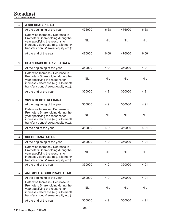# **Steadfast Corporation Limited**

| iii. | <b>A SHESHAGIRI RAO</b>                                                                                                                                                                   |            |            |            |            |
|------|-------------------------------------------------------------------------------------------------------------------------------------------------------------------------------------------|------------|------------|------------|------------|
|      | At the beginning of the year                                                                                                                                                              | 476000     | 6.68       | 476000     | 6.68       |
|      | Date wise Increase / Decrease in<br>Promoters Shareholding during the<br>year specifying the reasons for<br>increase / decrease (e.g. allotment/<br>transfer / bonus/ sweat equity etc.): | <b>NIL</b> | <b>NIL</b> | <b>NIL</b> | <b>NIL</b> |
|      | At the end of the year                                                                                                                                                                    | 476000     | 6.68       | 476000     | 6.68       |
|      |                                                                                                                                                                                           |            |            |            |            |
| iv.  | <b>CHANDRASEKHAR VELAGALA</b>                                                                                                                                                             |            |            |            |            |
|      | At the beginning of the year                                                                                                                                                              | 350000     | 4.91       | 350000     | 4.91       |
|      | Date wise Increase / Decrease in<br>Promoters Shareholding during the<br>year specifying the reasons for<br>increase / decrease (e.g. allotment/<br>transfer / bonus/ sweat equity etc.): | <b>NIL</b> | <b>NIL</b> | <b>NIL</b> | <b>NIL</b> |
|      | At the end of the year                                                                                                                                                                    | 350000     | 4.91       | 350000     | 4.91       |
|      |                                                                                                                                                                                           |            |            |            |            |
| V.   | <b>VIVEK REDDY KEESARA</b>                                                                                                                                                                |            |            |            |            |
|      | At the beginning of the year                                                                                                                                                              | 350000     | 4.91       | 350000     | 4.91       |
|      | Date wise Increase / Decrease in<br>Promoters Shareholding during the<br>year specifying the reasons for<br>increase / decrease (e.g. allotment/<br>transfer / bonus/ sweat equity etc.): | <b>NIL</b> | <b>NIL</b> | <b>NIL</b> | NIL.       |
|      | At the end of the year                                                                                                                                                                    | 350000     | 4.91       | 350000     | 4.91       |
|      |                                                                                                                                                                                           |            |            |            |            |
| vi.  | <b>SULOCHANA ATLURI</b>                                                                                                                                                                   |            |            |            |            |
|      | At the beginning of the year                                                                                                                                                              | 350000     | 4.91       | 350000     | 4.91       |
|      | Date wise Increase / Decrease in<br>Promoters Shareholding during the<br>year specifying the reasons for<br>increase / decrease (e.g. allotment/<br>transfer / bonus/ sweat equity etc.): | <b>NIL</b> | <b>NIL</b> | <b>NIL</b> | <b>NIL</b> |
|      | At the end of the year                                                                                                                                                                    | 350000     | 4.91       | 350000     | 4.91       |
|      |                                                                                                                                                                                           |            |            |            |            |
| vii. | <b>ANUMOLU GOURI PRABHAKAR</b>                                                                                                                                                            |            |            |            |            |
|      | At the beginning of the year                                                                                                                                                              | 350000     | 4.91       | 350000     | 4.91       |
|      | Date wise Increase / Decrease in<br>Promoters Shareholding during the<br>year specifying the reasons for<br>increase / decrease (e.g. allotment/<br>transfer / bonus/ sweat equity etc.): | <b>NIL</b> | <b>NIL</b> | <b>NIL</b> | NIL        |
|      | At the end of the year                                                                                                                                                                    | 350000     | 4.91       | 350000     | 4.91       |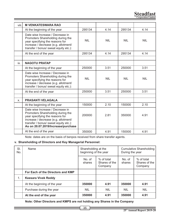**Steadfast Corporation Limited**

| viii. | <b>M VENKATESWARA RAO</b>                                                                                                                                                                                                       |            |            |            |            |
|-------|---------------------------------------------------------------------------------------------------------------------------------------------------------------------------------------------------------------------------------|------------|------------|------------|------------|
|       | At the beginning of the year                                                                                                                                                                                                    | 295134     | 4.14       | 295134     | 4.14       |
|       | Date wise Increase / Decrease in<br>Promoters Shareholding during the<br>year specifying the reasons for<br>increase / decrease (e.g. allotment/<br>transfer / bonus/ sweat equity etc.):                                       | <b>NIL</b> | <b>NIL</b> | NIL.       | <b>NIL</b> |
|       | At the end of the year                                                                                                                                                                                                          | 295134     | 4.14       | 295134     | 4.14       |
|       |                                                                                                                                                                                                                                 |            |            |            |            |
| ix.   | <b>NAGOTU PRATAP</b>                                                                                                                                                                                                            |            |            |            |            |
|       | At the beginning of the year                                                                                                                                                                                                    | 250000     | 3.51       | 250000     | 3.51       |
|       | Date wise Increase / Decrease in<br>Promoters Shareholding during the<br>year specifying the reasons for<br>increase / decrease (e.g. allotment/<br>transfer / bonus/ sweat equity etc.):                                       | <b>NIL</b> | <b>NIL</b> | <b>NIL</b> | <b>NIL</b> |
|       | At the end of the year                                                                                                                                                                                                          | 250000     | 3.51       | 250000     | 3.51       |
|       |                                                                                                                                                                                                                                 |            |            |            |            |
| X.    | <b>PRASANTI VELAGALA</b>                                                                                                                                                                                                        |            |            |            |            |
|       | At the beginning of the year                                                                                                                                                                                                    | 150000     | 2.10       | 150000     | 2.10       |
|       | Date wise Increase / Decrease in<br>Promoters Shareholding during the<br>year specifying the reasons for<br>increase / decrease (e.g. allotment/<br>transfer / bonus/ sweat equity etc.):<br>As on 20.07.2019/Increase/purchase | 200000     | 2.81       | 350000     | 4.91       |
|       | At the end of the year                                                                                                                                                                                                          | 350000     | 4.91       | 150000     | 4.91       |

Note: dates are on the basis of benpos received from share transfer agents.

## **v. Shareholding of Directors and Key Managerial Personnel:**

| SI.<br>No. | Name                              | Shareholding at the<br>beginning of the year |                                        | Cumulative Shareholding<br>During the year |                                        |
|------------|-----------------------------------|----------------------------------------------|----------------------------------------|--------------------------------------------|----------------------------------------|
|            |                                   | No. of<br>shares                             | % of total<br>Shares of the<br>Company | No. of<br>shares                           | % of total<br>Shares of the<br>Company |
|            | For Each of the Directors and KMP |                                              |                                        |                                            |                                        |
| 1.         | <b>Keesara Vivek Reddy</b>        |                                              |                                        |                                            |                                        |
|            | At the beginning of the year      | 350000                                       | 4.91                                   | 350000                                     | 4.91                                   |
|            | Purchase during the year          | <b>NIL</b>                                   | <b>NIL</b>                             | <b>NIL</b>                                 | <b>NIL</b>                             |
|            | At the end of the year            | 350000                                       | 4.91                                   | 350000                                     | 4.91                                   |

**Note: Other Directors and KMPS are not holding any Shares in the Company**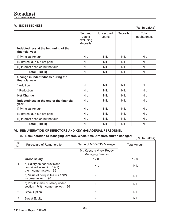## **V. INDEBTEDNESS (Rs. In Lakhs)**

|                                                        | Secured<br>Loans<br>excluding<br>deposits | Unsecured<br>Loans | Deposits   | Total<br>Indebtedness |
|--------------------------------------------------------|-------------------------------------------|--------------------|------------|-----------------------|
| Indebtedness at the beginning of the<br>financial year |                                           |                    |            |                       |
| I) Principal Amount                                    | <b>NIL</b>                                | <b>NIL</b>         | <b>NIL</b> | <b>NIL</b>            |
| ii) Interest due but not paid                          | <b>NIL</b>                                | <b>NIL</b>         | <b>NIL</b> | <b>NIL</b>            |
| iii) Interest accrued but not due                      | <b>NIL</b>                                | <b>NIL</b>         | <b>NIL</b> | <b>NIL</b>            |
| Total (i+ii+iii)                                       | <b>NIL</b>                                | <b>NIL</b>         | <b>NIL</b> | <b>NIL</b>            |
| Change in Indebtedness during the<br>financial year    |                                           |                    |            |                       |
| * Addition                                             | <b>NIL</b>                                | <b>NIL</b>         | <b>NIL</b> | <b>NIL</b>            |
| * Reduction                                            | <b>NIL</b>                                | <b>NIL</b>         | <b>NIL</b> | <b>NIL</b>            |
| <b>Net Change</b>                                      | <b>NIL</b>                                | <b>NIL</b>         | <b>NIL</b> | <b>NIL</b>            |
| Indebtedness at the end of the financial<br>year       | NII.                                      | <b>NIL</b>         | <b>NIL</b> | <b>NIL</b>            |
| I) Principal Amount                                    | <b>NIL</b>                                | <b>NIL</b>         | NIL.       | <b>NIL</b>            |
| ii) Interest due but not paid                          | <b>NIL</b>                                | <b>NIL</b>         | <b>NIL</b> | <b>NIL</b>            |
| iii) Interest accrued but not due                      | <b>NIL</b>                                | NIL                | <b>NIL</b> | <b>NIL</b>            |
| Total (i+ii+iii)                                       | <b>NIL</b>                                | <b>NIL</b>         | <b>NIL</b> | <b>NIL</b>            |

## **VI. REMUNERATION OF DIRECTORS AND KEY MANAGERIAL PERSONNEL**

## **A. Remuneration to Managing Director, Whole-time Directors and/or Manager:**

**(Rs. In Lakhs)**

| SI.<br>No. | Particulars of Remuneration                                                              | Name of MD/WTD/ Manager |                                                     | <b>Total Amount</b> |
|------------|------------------------------------------------------------------------------------------|-------------------------|-----------------------------------------------------|---------------------|
|            |                                                                                          |                         | Mr. Keesara Vivek Reddy<br><b>Managing Director</b> |                     |
|            | <b>Gross salary</b>                                                                      |                         | 12.00                                               | 12.00               |
| 1.         | a) Salary as per provisions<br>contained in section 17(1) of<br>the Income-tax Act, 1961 |                         | <b>NIL</b>                                          | <b>NIL</b>          |
|            | b) Value of perquisites u/s 17(2)<br>Income-tax Act, 1961                                |                         | <b>NIL</b>                                          | <b>NIL</b>          |
|            | c) Profits in lieu of salary under<br>section 17(3) Income- tax Act, 1961                |                         | <b>NIL</b>                                          | <b>NIL</b>          |
| 2.         | <b>Stock Option</b>                                                                      |                         | <b>NIL</b>                                          | <b>NIL</b>          |
| 3.         | <b>Sweat Equity</b>                                                                      |                         | <b>NIL</b>                                          | <b>NIL</b>          |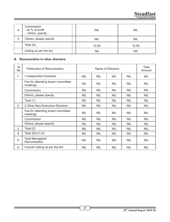| 4.  | Commission<br>- as % of profit<br>- others, specify | <b>NIL</b> | <b>NIL</b> |
|-----|-----------------------------------------------------|------------|------------|
| -5. | Others, please specify                              | <b>NIL</b> | <b>NIL</b> |
|     | Total (A)                                           | 12.00      | 12.00      |
|     | Ceiling as per the Act                              | ΝA         | NA         |

# **B. Remuneration to other directors:**

| SI.<br>No. | Particulars of Remuneration                     |            | Name of Directors |            |            | Total<br>Amount |
|------------|-------------------------------------------------|------------|-------------------|------------|------------|-----------------|
| 1.         | 1. Independent Directors                        | <b>NIL</b> | <b>NIL</b>        | <b>NIL</b> | <b>NIL</b> | <b>NIL</b>      |
|            | Fee for attending board / committee<br>meetings | <b>NIL</b> | <b>NIL</b>        | <b>NIL</b> | <b>NIL</b> | <b>NIL</b>      |
|            | Commission                                      | <b>NIL</b> | <b>NIL</b>        | <b>NIL</b> | <b>NIL</b> | <b>NIL</b>      |
|            | Others, please specify                          | <b>NIL</b> | <b>NIL</b>        | <b>NIL</b> | <b>NIL</b> | <b>NIL</b>      |
|            | Total (1)                                       | <b>NIL</b> | <b>NIL</b>        | <b>NIL</b> | <b>NIL</b> | <b>NIL</b>      |
| 2.         | 2. Other Non-Executive Directors                | <b>NIL</b> | <b>NIL</b>        | <b>NIL</b> | <b>NIL</b> | <b>NIL</b>      |
|            | Fee for attending board committee<br>meetings   | <b>NIL</b> | <b>NIL</b>        | <b>NIL</b> | <b>NIL</b> | <b>NIL</b>      |
|            | Commission                                      | <b>NIL</b> | <b>NIL</b>        | <b>NIL</b> | <b>NIL</b> | <b>NIL</b>      |
|            | Others, please specify                          | <b>NIL</b> | <b>NIL</b>        | <b>NIL</b> | <b>NIL</b> | <b>NIL</b>      |
| 3.         | Total (2)                                       | <b>NIL</b> | <b>NIL</b>        | <b>NIL</b> | <b>NIL</b> | <b>NIL</b>      |
| 4.         | Total $(B)=(1+2)$                               | <b>NIL</b> | <b>NIL</b>        | <b>NIL</b> | <b>NIL</b> | <b>NIL</b>      |
| 5.         | <b>Total Managerial</b><br>Remuneration         | <b>NIL</b> | <b>NIL</b>        | <b>NIL</b> | <b>NIL</b> | <b>NIL</b>      |
| 6.         | Overall Ceiling as per the Act                  | <b>NIL</b> | <b>NIL</b>        | <b>NIL</b> | <b>NIL</b> | <b>NIL</b>      |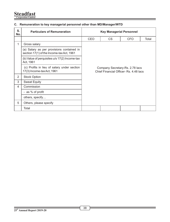# **Steadfast Corporation Limited**

| <b>Corporation Limited</b> |  |
|----------------------------|--|
|                            |  |

# **C. Remuneration to key managerial personnel other than MD/Manager/WTD**

| S.<br>No.      | <b>Particulars of Remuneration</b>                                                     | <b>Key Managerial Personnel</b> |                                                                           |            |       |
|----------------|----------------------------------------------------------------------------------------|---------------------------------|---------------------------------------------------------------------------|------------|-------|
|                |                                                                                        | CEO                             | CS.                                                                       | <b>CFO</b> | Total |
| 1              | Gross salary                                                                           |                                 |                                                                           |            |       |
|                | (a) Salary as per provisions contained in<br>section 17(1) of the Income-tax Act, 1961 |                                 |                                                                           |            |       |
|                | (b) Value of perquisites u/s 17(2) Income-tax<br>Act, 1961                             |                                 |                                                                           |            |       |
|                | (c) Profits in lieu of salary under section<br>17(3) Income-tax Act, 1961              |                                 | Company Secretary-Rs. 2.78 lacs<br>Chief Financial Officer- Rs. 4.48 lacs |            |       |
| 2              | <b>Stock Option</b>                                                                    |                                 |                                                                           |            |       |
| 3              | <b>Sweat Equity</b>                                                                    |                                 |                                                                           |            |       |
| $\overline{4}$ | Commission                                                                             |                                 |                                                                           |            |       |
|                | - as % of profit                                                                       |                                 |                                                                           |            |       |
|                | others, specify                                                                        |                                 |                                                                           |            |       |
| 5              | Others, please specify                                                                 |                                 |                                                                           |            |       |
|                | Total                                                                                  |                                 |                                                                           |            |       |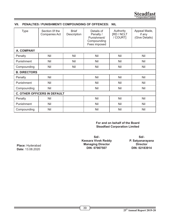| <b>Type</b>                         | Section Of the<br>Companies Act | <b>Brief</b><br>Description | Details of<br>Penalty /<br>Punishment/<br>Compounding<br>Fees imposed | Authority<br>[RD / NCLT<br>/ COURT] | Appeal Made,<br>if any<br>(Give Details) |
|-------------------------------------|---------------------------------|-----------------------------|-----------------------------------------------------------------------|-------------------------------------|------------------------------------------|
| A. COMPANY                          |                                 |                             |                                                                       |                                     |                                          |
| Penalty                             | Nil                             | Nil                         | Nil                                                                   | Nil                                 | Nil                                      |
| Punishment                          | Nil                             | Nil                         | Nil                                                                   | Nil                                 | Nil                                      |
| Compounding                         | Nil                             | Nil                         | Nil                                                                   | Nil                                 | Nil                                      |
| <b>B. DIRECTORS</b>                 |                                 |                             |                                                                       |                                     |                                          |
| Penalty                             | Nil                             |                             | Nil                                                                   | Nil                                 | Nil                                      |
| Punishment                          | Nil                             |                             | Nil                                                                   | Nil                                 | Nil                                      |
| Compounding                         | Nil                             |                             | Nil                                                                   | Nil                                 | Nil                                      |
| <b>C. OTHER OFFICERS IN DEFAULT</b> |                                 |                             |                                                                       |                                     |                                          |
| Penalty                             | Nil                             |                             | Nil                                                                   | Nil                                 | Nil                                      |
| Punishment                          | Nil                             |                             | Nil                                                                   | Nil                                 | Nil                                      |
| Compounding                         | Nil                             |                             | Nil                                                                   | Nil                                 | Nil                                      |

# **VII. PENALTIES / PUNISHMENT/ COMPOUNDING OF OFFENCES: NIL**

**For and on behalf of the Board Steadfast Corporation Limited**

**Sd/- Keesara Vivek Reddy Managing Director DIN: 07907507**

**Sd/- P. Satyanarayana Director DIN: 02183914**

**Place:** Hyderabad **Date:** 13.08.2020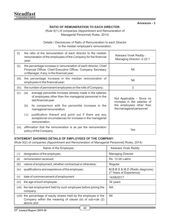**Annexure - 3**

# **RATIO OF REMUNERATION TO EACH DIRECTOR:**

(Rule 5(1) of companies (Appointment and Remuneration of Managerial Personnel) Rules, 2014)

Details / Disclosures of Ratio of Remuneration to each Director to the median employee's remuneration:

| (I).      | the ratio of the remuneration of each director to the median<br>remuneration of the employees of the Company for the financial<br>year;                                        | Keesara Vivek Reddy -<br>Managing Director:-2.22:1       |
|-----------|--------------------------------------------------------------------------------------------------------------------------------------------------------------------------------|----------------------------------------------------------|
| (ii).     | the percentage increase in remuneration of each director, Chief<br>Financial Officer, Chief Executive Officer, Company Secretary<br>or Manager, if any, in the financial year; | Nil                                                      |
| $(iii)$ . | the percentage increase in the median remuneration of<br>employees in the financial year;                                                                                      | Nil                                                      |
| $(iv)$ .  | the number of permanent employees on the rolls of Company;                                                                                                                     | 3                                                        |
| $(v)$ .   | average percentile increase already made in the salaries<br>(a)<br>of employees other than the managerial personnel in the<br>last financial year.                             | Not Applicable - Since no<br>increase in the salaries of |
|           | (b)<br>its comparison with the percentile increase in the<br>managerial remuneration.                                                                                          | the employees other than<br>the managerial personnel.    |
|           | justification thereof and point out if there are any<br>( C)<br>exceptional circumstances for increase in the managerial<br>remuneration;                                      |                                                          |
| (vi).     | affirmation that the remuneration is as per the remuneration<br>policy of the Company.                                                                                         | Yes                                                      |

# **STATEMENT SHOWING DETAILS OF EMPLOYEES OF THE COMPANY:**

(Rule 5(2) of companies (Appointment and Remuneration of Managerial Personnel) Rules, 2014)

| Name of the Employee :                                                                                                                         | Keesara Vivek Reddy                                        |
|------------------------------------------------------------------------------------------------------------------------------------------------|------------------------------------------------------------|
| designation of the employee;<br>( i)                                                                                                           | <b>Managing Director</b>                                   |
| (ii)<br>remuneration received;                                                                                                                 | <b>Rs. 12.00 Lakhs</b>                                     |
| (iii)<br>nature of employment, whether contractual or otherwise;                                                                               | Regular                                                    |
| qualifications and experience of the employee;<br>(iv)                                                                                         | M.B.B.S & M.D (Radio diagnosis)<br>(7 Years of Experience) |
| date of commencement of employment<br>(v)                                                                                                      | 14/08/2017                                                 |
| the age of such employee;<br>(vi)                                                                                                              | 34 years                                                   |
| the last employment held by such employee before joining the<br>(VII)<br>company.                                                              | <b>NA</b>                                                  |
| (viii) the percentage of equity shares held by the employee in the<br>Company within the meaning of clause (iii) of sub-rule (2)<br>above: and | Nil                                                        |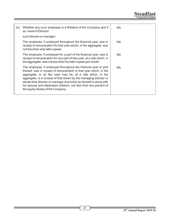**Steadfast Corporation Limited**

| (ix) | Whether any such employee is a Relative of the Company and if<br>so, name of Director.                                                                                                                                                                                                                                                                                                                                                               | <b>NA</b> |
|------|------------------------------------------------------------------------------------------------------------------------------------------------------------------------------------------------------------------------------------------------------------------------------------------------------------------------------------------------------------------------------------------------------------------------------------------------------|-----------|
|      | such director or manager:                                                                                                                                                                                                                                                                                                                                                                                                                            |           |
|      | The employee, if employed throughout the financial year, was in<br>receipt of remuneration for that year which, in the aggregate, was<br>not less than sixty lakh rupees;                                                                                                                                                                                                                                                                            | <b>NA</b> |
|      | The employee, if employed for a part of the financial year, was in<br>receipt of remuneration for any part of that year, at a rate which, in<br>the aggregate, was not less than five lakh rupees per month;                                                                                                                                                                                                                                         | <b>NA</b> |
|      | The employee, if employed throughout the financial year or part<br>thereof, was in receipt of remuneration in that year which, in the<br>aggregate, or as the case may be, at a rate which, in the<br>aggregate, is in excess of that drawn by the managing director or<br>whole-time director or manager and holds by himself or along with<br>his spouse and dependent children, not less than two percent of<br>the equity shares of the Company. | <b>NA</b> |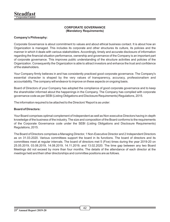# **CORPORATE GOVERNANCE (Mandatory Requirements)**

# **Company's Philosophy:**

Corporate Governance is about commitment to values and about ethical business contact. It is about how an Organization is managed. This includes its corporate and other structures its culture, its policies and the manner in which it deals with various stakeholders. Accordingly, timely and accurate disclosure of information regarding the financial situation performance, ownership and governance of the Company is an important part of corporate governance. This improves public understanding of the structure activities and policies of the Organization. Consequently the Organization is able to attract investors and enhance the trust and condence of the stakeholders.

Your Company firmly believes in and has consistently practiced good corporate governance. The Company's essential character is shaped by the very values of transparency, accuracy, professionalism and accountability. The company will endeavor to improve on these aspects on ongoing basis.

Board of Directors of your Company has adopted the compliance of good corporate governance and to keep the shareholder informed about the happenings in the Company. The Company has complied with corporate governance code as per SEBI (Listing Obligations and Disclosure Requirements) Regulations, 2015.

The information required to be attached to the Directors' Report is as under:

# **Board of Directors:**

Your Board comprises optimal complement of Independent as well as Non-executive Directors having in-depth knowledge of the business of the industry. The size and composition of the Board conforms to the requirements of the Corporate Governance code under the SEBI (Listing Obligations and Disclosure Requirements) Regulations, 2015.

The Board of Directors comprises a Managing Director, 1 Non-Executive Director and 2 Independent Directors as on 31.03.2020. Various committees support the board in its functions. The board of directors and its committees meet at regular intervals. The board of directors met 5 (Five) times during the year 2019-20 on 25.05.2019, 03.08.2019, 14.08.2019, 14.11.2019, and 13.02.2020. The time gap between any two Board Meetings did not exceed by more than four months. The details of the attendance of each director at the meetings held and their other directorships and committee positions are as follows.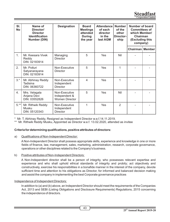**Steadfas Corporation Limited** 

| SI.<br>No | Name of<br>Director/<br><b>Director</b><br><b>Identification</b><br>Number (DIN) | <b>Designation</b>                                      | <b>Board</b><br><b>Meetings</b><br>attended<br><b>During</b><br>the year | <b>Attendance</b><br>of each<br>director<br>in the<br>last AGM | <b>Number</b><br>of the<br>other<br>Director-<br>ship | Number of board<br><b>Committees of</b><br>which Member/<br>Chairman<br>(Excluding this<br>company) |  |
|-----------|----------------------------------------------------------------------------------|---------------------------------------------------------|--------------------------------------------------------------------------|----------------------------------------------------------------|-------------------------------------------------------|-----------------------------------------------------------------------------------------------------|--|
|           |                                                                                  |                                                         |                                                                          |                                                                |                                                       | Chairman   Member                                                                                   |  |
| 1.        | Mr. Keesara Vivek<br>Reddy<br>DIN: 02183914                                      | Managing<br>Director                                    | 5                                                                        | Yes                                                            | Nil                                                   |                                                                                                     |  |
| 2.        | Mr. Potluri<br>Satyanarayana<br>DIN: 02183914                                    | Non-Executive<br>Director                               | 5                                                                        | Yes                                                            | 1                                                     |                                                                                                     |  |
| $3.*$     | Mr. Abhinay Reddy<br>Tadisina<br>DIN: 06360722                                   | Non-Executive<br>Independent<br>Director                | 4                                                                        | Yes                                                            | 1                                                     |                                                                                                     |  |
| 4.        | Mrs. Velagala<br>Anjana Devi<br>DIN: 03552826                                    | Non-Executive<br>Independent &<br><b>Women Director</b> | 5                                                                        | Yes                                                            | Nil                                                   |                                                                                                     |  |
| $5.*$     | Mr. Rithwik Reddy<br>Musku<br>DIN: 05120343                                      | Non-Executive<br>Independent<br><b>Director</b>         | 1                                                                        | <b>Yes</b>                                                     | $\mathcal{P}$                                         |                                                                                                     |  |

Mr. T. Abhinay Reddy, Resigned as Independent Director w.e.f.14.11.2019.

\*\* Mr. Rithwik Reddy Musku, Appointed as Director w.e.f. 13.02.2020, attended as invitee

# **Criteria for determining qualifications, positive attributes of directors:**

# a) Qualifications of Non-Independent Director:

A Non-Independent Director shall possess appropriate skills, experience and knowledge in one or more fields of finance, law, management, sales, marketing, administration, research, corporate governance, operations or other disciplines related to the Company's business.

# b) Positive attributes of Non-Independent Directors:

A Non-Independent director shall be a person of integrity, who possesses relevant expertise and experience and who shall uphold ethical standards of integrity and probity; act objectively and constructively, exercise his responsibilities in a bonafide manner in the interest of the company, devote sufficient time and attention to his obligations as Director, for informed and balanced decision making and assist the company in implementing the best Corporate governance practices

# Independence of Independent Directors:

In addition to (a) and (b) above, an Independent Director should meet the requirements of the Companies Act, 2013 and SEBI (Listing Obligations and Disclosure Requirements) Regulations, 2015 concerning the independence of directors.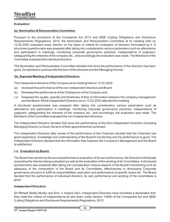# **Evaluation:**

# **(a). Nomination & Remuneration Committee:**

Pursuant to the provisions of the Companies Act 2013 and SEBI (Listing Obligations and Disclosure Requirements) Regulations, 2015, the Nomination and Remuneration Committee at its meeting held on 13.02.2020 evaluated every director on the basis of criteria for evaluation of directors formulated by it. A structured questionnaire was prepared after taking into consideration various parameters such as attendance and participation in meetings, monitoring corporate governance practices, independence of judgment, safeguarding the interests of the company etc., and accordingly the evaluation was made. The Members of the Committee evaluated the individual directors.

The Nomination and Remuneration Committee decided that since the performance of the directors has been good, it is decided to continue with the term of the directors and the Managing Director.

#### **(b). Separate Meeting of Independent Directors:**

The Independent directors of the Company at its meeting held on 13.02.2020:

- (a) reviewed the performance of the non-independent directors and Board,
- (b) Reviewed the performance of the Chairperson of the Company and
- (c) Assessed the quality, quantity and timeliness of flow of information between the company management and the Board. All the Independent Directors as on 13.02.2020 attended the meeting.

A structured questionnaire was prepared after taking into consideration various parameters such as attendance and participation in meetings, monitoring corporate governance practices, independence of judgment, safeguarding the interests of the company etc., and accordingly, the evaluation was made. The Members of the Committee evaluated the non-Independent directors.

The Independent Directors decided that since the performance of the Non-Independent Directors (including Managing Director) is Good, the term of their appointment be continued.

The Independent Directors after review of the performance of the Chairman decided that the Chairman has good experience, knowledge and understanding of the Board's functioning and his performance is good. The Independent Directors decided that the information flow between the Company's Management and the Board is satisfactory.

# **( c). Evaluation by Board:**

The Board has carried out the annual performance evaluation of its own performance, the Directors individually (excluding the director being evaluated) as well as the evaluation of the working of its Committees. Astructured questionnaire was prepared after taking into consideration various aspects of the Board's functioning such as adequacy of the composition of the Board and its Committees, effectiveness in developing Corporate governance structure to fulfill its responsibilities, execution and performance of specific duties etc. The Board decided that the performance of individual directors, its own performance and working of the committees is good.

#### **Independent Directors:**

Sri Rithwik Reddy Musku and Smt. V. Anjana Devi, Independent Directors have furnished a declaration that they meet the criteria of independence as laid down under Section 149(6) of the Companies Act and SEBI (Listing Obligations and Disclosure Requirements) Regulations, 2015.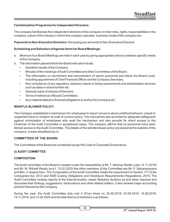#### **Familiarization Programme for Independent Directors:**

The company familiarizes the independent directors of the company on their roles, rights, responsibilities in the company, nature of the industry in which the company operates, business model of the company etc.

**Payments to Non-Executive Directors:** Not paying any amounts to Non-Executive Directors

#### **Scheduling and Selection of Agenda items for Board Meetings:**

- a. Minimum four Board Meetings are held in each year by giving appropriate notice to address specific needs of the Company.
- b. The information placed before the Board inter alia include:
	- Quarterly results of the Company.
	- Minutes of the meetings of Audit Committee and other Committees of the Board.
	- The information on recruitment and remuneration of senior personnel just below the Board Level, including appointment of Chief Financial Officer and the Company Secretary.
	- Non compliance of any regulatory, statutory nature or listing requirements and shareholders services such as delay in share transfer etc.
	- General notice of interest of Directors.
	- Terms of reference of Board Committees.
	- Any material default in financial obligations to and by the Company etc.

# **WHISTLE BLOWER POLICY:**

The Company established a mechanism for employees to report concerns about unethical behavior, actual or suspected fraud or violation of code of conduct policy. The mechanism also provides for adequate safeguards against victimization of employees who avail the mechanism and also provide for direct access to the Chairman of the Audit Committee in exceptional cases. The company affirms that no personnel have been denied access to the Audit Committee. The details of the whistle blower policy are placed at the website of the company i.e www.steadfastcorp.in.

#### **COMMITTEES OF THE BOARD**

The Committees of the Board are constituted as per the Code of Corporate Governance.

# **(i) AUDIT COMMITTEE:**

# **COMPOSITION**

The Audit committee of the Board is headed under the stewardship of Mr. T. Abhinay Reddy (upto 14.11.2019) and Mr. M. Rithwik Reddy (w.e.f. 13.02.2020) the other members of the Committee are Mr. P. Satyanarayana and Mrs. V. Anjana Devi. The Composition of the Audit Committee meets the requirement of Section 177 of the Companies Act, 2013 and SEBI (Listing Obligations and Disclosure Requirements) Regulations, 2015. The Audit Committee reviews reports of the Internal Auditor, meets Statutory Auditors as and when required and discusses their findings, suggestions, observations and other related matters. It also reviews major accounting policies followed by the Company.

During the year, the Audit Committee duly met 5 (Five) times on 25.05.2019, 03.08.2019, 14.08.2019, 14.11.2019, and 13.02.2020 and the attendance of members is as follows: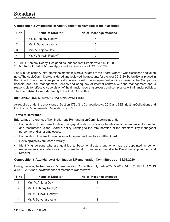| S.No. | <b>Name of Director</b> | No of Meetings attended |
|-------|-------------------------|-------------------------|
|       | Mr. T. Abhinay Reddy*   |                         |
|       | Mr. P. Satyanarayana    |                         |
|       | Mrs. V. Anjana Devi     |                         |
|       | Mr. M. Rithwik Reddy**  |                         |

#### **Composition & Attendance of Audit Committee Members at their Meetings:**

Mr. T. Abhinay Reddy, Resigned as Independent Director w.e.f.14.11.2019.

Mr. Rithwik Reddy Musku, Appointed as Director w.e.f. 13.02.2020.

The Minutes of the Audit Committee meetings were circulated to the Board, where it was discussed and taken note. The Audit Committee considered and reviewed the accounts for the year 2019-20, before it was placed in the Board. The Committee periodically interacts with the independent auditors, reviews the Company's financial and Risk Management Policies and adequacy of internal controls with the management and is responsible for effective supervision of the financial reporting process and compliance with financial policies. The Internal Auditor reports directly to the Audit Committee.

# **(ii) NOMINATION & REMUNERATION COMMITTEE:**

As required under the provisions of Section 178 of the Companies Act, 2013 and SEBI (Listing Obligations and Disclosure Requirements) Regulations, 2015.

# **Terms of Reference**

Brief terms of reference of Nomination and Remuneration Committee are as under:

- Formulation of the criteria for determining qualifications, positive attributes and independence of a director and recommend to the Board a policy, relating to the remuneration of the directors, key managerial personnel and other employees;
- Formulation of criteria for evaluation of Independent Directors and the Board;
- Devising a policy on Board diversity;
- Identifying persons who are qualified to become directors and who may be appointed in senior management in accordance with the criteria laid down, and recommend to the Board their appointment and removal.

#### **Composition & Attendance of Nomination & Remuneration Committee as on 31.03.2020:**

During the year, the Nomination & Remuneration Committee duly met on 25.05.2019, 14.08.2019, 14.11.2019 & 13.02.2020 and the attendance of members is as follows:

| S.No. | <b>Name of Director</b> | No of Meetings attended |
|-------|-------------------------|-------------------------|
|       | Mrs. V. Anjana Devi     |                         |
| 2     | Mr. T. Abhinay Reddy*   |                         |
| 3     | Mr. M. Rithwik Reddy**  |                         |
|       | Mr. P. Satyanarayana    |                         |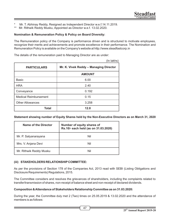\* Mr. T. Abhinay Reddy, Resigned as Independent Director w.e.f.14.11.2019.

Mr. Rithwik Reddy Musku, Appointed as Director w.e.f. 13.02.2020.

#### **Nomination & Remuneration Policy & Policy on Board Diversity:**

The Remuneration policy of the Company is performance driven and is structured to motivate employees, recognize their merits and achievements and promote excellence in their performance. The Nomination and Remuneration Policy is available on the Company's website at http://www.steadfastcorp.in

 $(ln$ lakha)

The details of the remuneration paid to Managing Director are as under:

| <b>PARTICULARS</b>           | (III IANIS)<br>Mr. K. Vivek Reddy - Managing Director |
|------------------------------|-------------------------------------------------------|
|                              | <b>AMOUNT</b>                                         |
| Basic                        | 6.00                                                  |
| <b>HRA</b>                   | 2.40                                                  |
| Conveyance                   | 0.192                                                 |
| <b>Medical Reimbursement</b> | 0.15                                                  |
| <b>Other Allowances</b>      | 3.258                                                 |
| Total                        | 12.0                                                  |

**Statement showing number of Equity Shares held by the Non-Executive Directors as on March 31, 2020**

| Name of the Director    | Number of equity shares of<br>Rs.10/- each held (as on 31.03.2020) |
|-------------------------|--------------------------------------------------------------------|
| Mr. P. Satyanarayana    | Nil                                                                |
| Mrs. V. Anjana Devi     | Nil                                                                |
| Mr. Rithwik Reddy Musku | Nil                                                                |

# **(iii) STAKEHOLDERS RELATIONSHIP COMMITTEE:**

As per the provisions of Section 178 of the Companies Act, 2013 read with SEBI (Listing Obligations and Disclosure Requirements) Regulations, 2015.

The Committee considers and resolves the grievances of shareholders, including the complaints related to transfer/transmission of shares, non-receipt of balance sheet and non-receipt of declared dividends.

# **Composition & Attendance of Stakeholders Relationship Committee as on 31.03.2020:**

During the year, the Committee duly met 2 (Two) times on 25.05.2019 & 13.02.2020 and the attendance of members is as follows:

47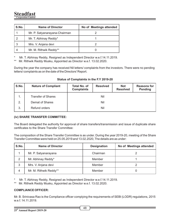| S.No. | <b>Name of Director</b>       | No of Meetings attended |
|-------|-------------------------------|-------------------------|
|       | Mr. P. Satyanarayana-Chairman |                         |
|       | Mr. T. Abhinay Reddy*         |                         |
|       | Mrs. V. Anjana devi           |                         |
|       | Mr. M. Rithwik Reddy**        |                         |

Mr. T. Abhinay Reddy, Resigned as Independent Director w.e.f.14.11.2019.

Mr. Rithwik Reddy Musku, Appointed as Director w.e.f. 13.02.2020.

During the year the company has received Nil letters/ complaints from the investors. There were no pending letters/ complaints as on the date of the Directors' Report.

| S.No. | <b>Nature of Compliant</b> | Total No. of<br><b>Complaints</b> | <b>Resolved</b> | <b>Not</b><br><b>Resolved</b> | <b>Reasons for</b><br><b>Pending</b> |
|-------|----------------------------|-----------------------------------|-----------------|-------------------------------|--------------------------------------|
| 1.    | <b>Transfer of Shares</b>  |                                   | Nil             |                               |                                      |
| 2.    | Demat of Shares            | Nil                               |                 |                               |                                      |
| 3.    | Refund orders              |                                   | Nil             |                               |                                      |

# **Status of Complaints in the F.Y 2019-20**

# **(iv) SHARE TRANSFER COMMITTEE:**

The Board delegated the authority for approval of share transfers/transmission and issue of duplicate share certificates to the Share Transfer Committee:

The composition of the Share Transfer Committee is as under. During the year 2019-20, meeting of the Share Transfer Committee were held on 25.05.2019 and 13.02.2020, The details are as under:

| S.No. | Name of Director       | <b>Designation</b> | No of Meetings attended |
|-------|------------------------|--------------------|-------------------------|
|       | Mr. P. Satyanarayana   | Chairman           |                         |
| 2     | Mr. Abhinay Reddy*     | Member             |                         |
| 3     | Mrs. V. Anjana devi    | Member             |                         |
| 4     | Mr. M. Rithwik Reddy** | Member             |                         |

Mr. T. Abhinay Reddy, Resigned as Independent Director w.e.f.14.11.2019.

Mr. Rithwik Reddy Musku, Appointed as Director w.e.f. 13.02.2020.

# **COMPLIANCE OFFICER:**

Mr. B. Srinivasa Rao is the Compliance officer complying the requirements of SEBI (LODR) regulations, 2015 w.e.f. 14.11.2019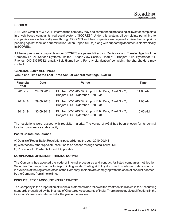# **SCORES:**

SEBI vide Circular dt.3.6.2011 informed the company they had commenced processing of investor complaints in a web based complaints, redressal system, "SCORES". Under this system, all complaints pertaining to companies are electronically sent through SCORES and the companies are required to view the complaints pending against them and submit Action Taken Report (ATRs) along with supporting documents electronically in SCORES.

All the requests and complaints under SCORES are passed directly to Registrars and Transfer Agents of the Company i.e. XL Softech Systems Limited, Sagar View Society, Road # 2, Banjara Hills, Hyderabad-34, Phones: 040-23545912, email: xlfield@gmail.com. For any clarification/ complaint, the shareholders may contact:

# **GENERAL BODY MEETINGS:**

# **Venue and Time of the Last Three Annual General Meetings (AGM's)**

| <b>Financial</b><br>Year | Date       | <b>Venue</b>                                                                              | Time     |
|--------------------------|------------|-------------------------------------------------------------------------------------------|----------|
| 2016-17                  | 29.09.2017 | Plot No. 8-2-120/77/4, Opp. K.B.R. Park, Road No. 2,<br>Banjara Hills, Hyderabad - 500034 | 11.00 AM |
| 2017-18                  | 29.09.2018 | Plot No. 8-2-120/77/4, Opp. K.B.R. Park, Road No. 2,<br>Banjara Hills, Hyderabad - 500034 | 11.00 AM |
| 2018-19                  | 30.09.2019 | Plot No. 8-2-120/77/4, Opp. K.B.R. Park, Road No. 2,<br>Banjara Hills, Hyderabad - 500034 | 10.00 AM |

The resolutions were passed with requisite majority. The venue of AGM has been chosen for its central location, prominence and capacity.

# **Postal Ballot Resolutions :**

- A) Details of Postal Ballot Resolutions passed during the year 2019-20: Nil
- B) Whether any other Special Resolution to be passed through postal ballot Nil
- C) Procedure for Postal Ballot –Not Applicable

# **COMPLIANCE OF INSIDER TRADING NORMS:**

The Company has adopted the code of internal procedures and conduct for listed companies notified by Securities Exchange Board of India prohibiting Insider Trading. APolicy document on internal code of conduct is available at the registered office of the Company. Insiders are complying with the code of conduct adopted by the Company from time to time.

# **DISCLOSURE OF ACCOUNTING TREATMENT:**

The Company in the preparation of financial statements has followed the treatment laid down in the Accounting standards prescribed by the Institute of Chartered Accountants of India. There are no audit qualifications in the Company's financial statements for the year under review.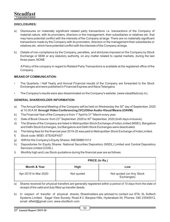# **DISCLOSURES:**

- a) Disclosures on materially significant related party transactions i.e. transactions of the Company of material nature, with its promoters, directors or the management, their subsidiaries or relatives etc. that may have potential conflict with the interests of the Company at large: There are no materially significant transactions made by the Company with its promoters, directors or the management their subsidiaries or relatives etc. which have potential conflict with the interests of the Company at large.
- b) Details of non-compliance by the Company, penalties, and strictures imposed on the Company by Stock Exchange or SEBI or any statutory authority, on any matter related to capital markets, during the last three years. NONE

A Policy of the company in regard to Related Party Transactions is available at the registered office of the Company.

# **MEANS OF COMMUNICATION:**

- The Quarterly / Half Yearly and Annual Financial results of the Company are forwarded to the Stock Exchanges and were published in Financial Express and Nava Telangana
- The Company's results were also disseminated on the Company's website. (www.steadfastcorp.in).

#### **GENERAL SHAREHOLDER INFORMATION:**

- a) The Annual General Meeting of the Company will be held on Wednesday the 30<sup>th</sup> day of September, 2020 at 10.00 A.M. **through Video Conferencing (VC)/Other Audio-Visual Means (OAVM)**.
- b) The Financial Year of the Company is from 1<sup>st</sup> April to 31<sup>st</sup> March every year.
- c) Date of Book Closure: from  $23<sup>rd</sup>$  September, 2020 to  $30<sup>th</sup>$  September, 2020 (both days inclusive).
- d) The Shares of the Company are listed in Metropolitan Stock Exchange of India Limited (MSEI), Bangalore and Delhi Stock Exchanges, but Bangalore and Delhi Stock Exchanges were deactivated.
- e) The listing fees for the financial year 2019-20 was paid to Metropolitan Stock Exchange of India Limited.
- f) Stock code: MSEI:STEADFAST
- g) ISIN for the Company's Equity Shares: INE089B01013
- h) Depositories for Equity Shares: National Securities Depository (NSDL) Limited and Central Depository Services Limited (CDSL).
- I) Monthly high and Low Stock quotations during the financial year are as follows:

|                      | PRICE (In Rs.) |                                        |  |
|----------------------|----------------|----------------------------------------|--|
| Month & Year         | High<br>Low    |                                        |  |
| Apr-2019 to Mar-2020 | Not quoted     | Not quoted (on Any Stock<br>Exchanges) |  |

- a) Shares received for physical transfers are generally registered within a period of 10 days from the date of receipt of the valid and duly filled up transfer deeds.
- b) In respect of transfer of physical shares, Shareholders are advised to contact our STA; XL Softech Systems Limited, Sagar View Society, Road # 2, Banjara Hills, Hyderabad-34, Phones: 040 23545912, email: xlfield@gmail.com, www.xlsoftech.com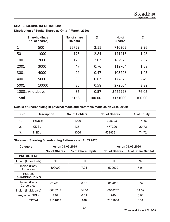# **SHAREHOLDING INFORMATION:**

| Distribution of Equity Shares as On 31 <sup>st</sup> March, 2020: |  |
|-------------------------------------------------------------------|--|
|-------------------------------------------------------------------|--|

|                 | <b>Shareholdings</b><br>(No. of shares) | No. of share<br><b>Holders</b> | $\frac{0}{0}$ | No of<br><b>Shares</b> | $\%$   |
|-----------------|-----------------------------------------|--------------------------------|---------------|------------------------|--------|
| 1               | 500                                     | 56729                          | 2.11          | 710305                 | 9.96   |
| 501             | 1000                                    | 175                            | 2.84          | 141415                 | 1.98   |
| 1001            | 2000                                    | 125                            | 2.03          | 182970                 | 2.57   |
| 2001            | 3000                                    | 47                             | 0.76          | 119704                 | 1.68   |
| 3001            | 4000                                    | 29                             | 0.47          | 103228                 | 1.45   |
| 4001            | 5000                                    | 39                             | 0.63          | 177876                 | 2.49   |
| 5001            | 10000                                   | 36                             | 0.58          | 272504                 | 3.82   |
| 10001 And above |                                         | 35                             | 0.57          | 5422998                | 76.05  |
| <b>Total</b>    |                                         | 6158                           | 100.00        | 7131000                | 100.00 |

# **Details of Shareholding in physical mode and electronic mode as on 31.03.2020:**

| S.No | <b>Description</b> | No. of Holders | No. of Shares | % of Equity |
|------|--------------------|----------------|---------------|-------------|
|      | Physical           | 1926           | 325323        | 4.56        |
| 2.   | CDSL               | 1251           | 1477296       | 20.72       |
|      | <b>NSDL</b>        | 3006           | 5328381       | 74.72       |

# **Statement Showing Shareholding Pattern as on 31.03.2020:**

| Category                             | As on 31.03.2019 |                    |               | As on 31.03.2020   |
|--------------------------------------|------------------|--------------------|---------------|--------------------|
|                                      | No. of Shares    | % of Share Capital | No. of Shares | % of Share Capital |
| <b>PROMOTERS</b>                     |                  |                    |               |                    |
| Indian (Individuals)                 | Nil              | Nil                | Nil           | Nil                |
| Indian (Body<br>Corporates)          | 500000           | 7.01               | 500000        | 7.01               |
| <b>PUBLIC</b><br><b>SHAREHOLDING</b> |                  |                    |               |                    |
| Indian (Body<br>Corporates)          | 612013           | 8.58               | 612013        | 8.59               |
| Indian (Individuals)                 | 6018247          | 84.40              | 6018247       | 84.39              |
| Any other NRI's                      | 740              | 0.01               | 740           | 0.01               |
| <b>TOTAL</b>                         | 7131000          | 100                | 7131000       | 100                |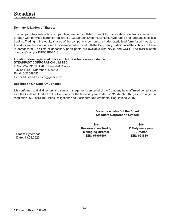# **De-materialization of Shares:**

The company has entered into a tripartite agreements with NSDL and CDSL to establish electronic connectivity through Company's Electronic Registrar i.e. XL Softech Systems Limited, Hyderabad and facilitate scrip less trading. Trading in the equity shares of the company is compulsory in dematerialized form for all investors. Investors are therefore advised to open a demat account with the Depositary participant of their choice to trade in demat form. The lists of depositary participants are available with NSDL and CDSL. The ISIN allotted company's scrip is INE089B01013

#### **Location of our registered office and Address for correspondence: STEADFAST CORPORATION LIMITED,**

H.No.8-2-293/82/J/B-60, Journalist Colony, Jubilee Hills, Hyderabad -500033 Ph: 040-23559550 E-mail Id: steadfastcorp@gmail.com

# **Declaration On Code Of Conduct**

It is confirmed that all directors and senior management personnel of the Company have affirmed compliance with the Code of Conduct of the Company for the financial year ended on 31 March, 2020, as envisaged in regulation 26(3) of SEBI (Listing Obligations and Disclosure Requirements) Regulations, 2015.

> **For and on behalf of the Board Steadfast Corporation Limited**

**Sd/- Keesara Vivek Reddy Managing Director DIN: 07907507**

**Sd/- P. Satyanarayana Director DIN: 02183914**

**Place:** Hyderabad **Date:** 13.08.2020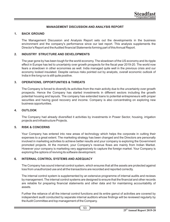# **MANAGEMENT DISCUSSION AND ANALYSIS REPORT**

#### **1. BACK GROUND**

The Management Discussion and Analysis Report sets out the developments in the business environment and the company's performance since our last report. This analysis supplements the Director's Report and the Audited financial Statements forming part of this Annual Report.

# **2. INDUSTRY STRUCTURE AND DEVELOPMENTS**

The year gone by has been tough for the world economy. The slowdown of the US economy and its ripple effect in Europe has led to uncertainty over growth prospects for the fiscal year 2019-20. The world now fears a slowdown in other economies as well. India managed quite well in the previous crisis and our economy looked insulated. Despite various risks pointed out by analysts, overall economic outlook of India in the long run is still quite positive.

#### **3. OPERATIONS, OPPORTUNITIES & THREATS**

The Company is forced to diversify its activities from the main activity due to the uncertainty over growth prospects. Hence the Company has started investments in different sectors including the growth potential housing and layouts. The company has extended loans to potential entrepreneurs with proper securities and having good recovery and income. Company is also concentrating on exploring new business opportunities.

#### **4. OUTLOOK**

The Company had already diversified it activities by investments in Power Sector, housing, irrigation projects and infrastructure Projects.

#### **5. RISK & CONCERNS**

Your Company has entered into new areas of technology which helps the corporate in cutting their expenses to a great extent. The marketing strategy has been changed and the Directors are personally involved in marketing activities to achieve better results and your company is exploring the Government promoted projects. At the moment, your Company's revenue flows are mainly from Indian Market. However your company is marketing very aggressively to capture the foreign market. Your Company is exploring the options of reviving its software development.

# **6. INTERNAL CONTROL SYSTEMS AND ADEQUACY**

The Company has sound internal control system, which ensures that all the assets are protected against loss from unauthorized use and all the transactions are recorded and reported correctly.

The internal control system is supplemented by an extensive programme of internal audits and reviews by management. The internal control systems are designed to ensure that the financial and other records are reliable for preparing financial statements and other data and for maintaining accountability of assets.

Further the reliance of all the internal control functions and its entire gamut of activities are covered by independent audit conducted by separate internal auditors whose findings will be reviewed regularly by the Audit Committee and top management of the Company.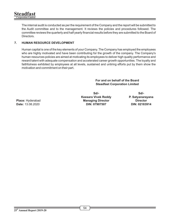The internal audit is conducted as per the requirement of the Company and the report will be submitted to the Audit committee and to the management. It reviews the policies and procedures followed. The committee reviews the quarterly and half yearly financial results before they are submitted to the Board of Directors.

# **7. HUMAN RESOURCE DEVELOPMENT**

Human capital is one of the key elements of your Company. The Company has employed the employees who are highly motivated and have been contributing for the growth of the company. The Company's human resources policies are aimed at motivating its employees to deliver high quality performance and reward talent with adequate compensation and accelerated career growth opportunities. The loyalty and faithfulness exhibited by employees at all levels, sustained and untiring efforts put by them show the motivation and commitment on their part.

> **For and on behalf of the Board Steadfast Corporation Limited**

**Sd/- Keesara Vivek Reddy Managing Director DIN: 07907507**

**Sd/- P. Satyanarayana Director DIN: 02183914**

**Place:** Hyderabad **Date:** 13.08.2020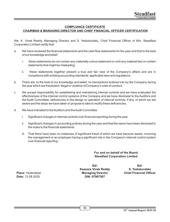# **COMPLIANCE CERTIFICATE**

# **CHAIRMAN & MANAGING DIRECTOR AND CHIEF FINANCIAL OFFICER CERTIFICATION**

We, K. Vivek Reddy, Managing Director and S. Yedukondalu, Chief Financial Officer of M/s. Steadfast Corporation Limited certify that:

- a. We have reviewed the financial statements and the cash flow statements for the year and that to the best of our knowledge and belief:
	- i. these statements do not contain any materially untrue statement or omit any material fact or contain statements that might be misleading,
	- ii. these statements together present a true and fair view of the Company's affairs and are in compliance with existing accounting standards, applicable laws and regulations
- b. There are, to the best of our knowledge and belief, no transactions entered into by the Company during the year which are fraudulent, illegal or violative of Company's code of conduct.
- c. We accept responsibility for establishing and maintaining internal controls and we have evaluated the effectiveness of the internal control systems of the Company and we have disclosed to the Auditors and the Audit Committee, deficiencies in the design or operation of internal controls, if any, of which we are aware and the steps we have taken or propose to take to rectify these deficiencies.
- d. We have indicated to the Auditors and the Audit Committee
	- i. Significant changes in internal controls over financial reporting during the year.
	- ii. Significant changes in accounting policies during the year and that the same have been disclosed in the notes to the financial statements.
	- iii. That there have been no instances of significant fraud of which we have become aware, involving the management or an employee having a significant role in the Company's internal control system over financial reporting.

# **For and on behalf of the Board Steadfast Corporation Limited**

**Sd/- Keesara Vivek Reddy Managing Director DIN: 07907507**

**Sd/- S. Yedukondalu Chief Financial Officer** 

**Place:** Hyderabad **Date:** 13.08.2020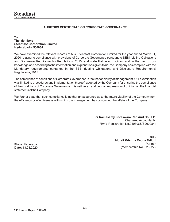# **AUDITORS CERTIFICATE ON CORPORATE GOVERNANCE**

#### **To, The Members Steadfast Corporation Limited Hyderabad – 500034**

We have examined the relevant records of M/s. Steadfast Corporation Limited for the year ended March 31, 2020 relating to compliance with provisions of Corporate Governance pursuant to SEBI (Listing Obligations and Disclosure Requirements) Regulations, 2015, and state that in our opinion and to the best of our knowledge and according to the information and explanations given to us, the Company has complied with the Mandatory requirements contained in the SEBI (Listing Obligations and Disclosure Requirements) Regulations, 2015.

The compliance of conditions of Corporate Governance is the responsibility of management. Our examination was limited to procedures and implementation thereof, adopted by the Company for ensuring the compliance of the conditions of Corporate Governance. It is neither an audit nor an expression of opinion on the financial statements of the Company.

We further state that such compliance is neither an assurance as to the future viability of the Company nor the efficiency or effectiveness with which the management has conducted the affairs of the Company.

> For **Ramasamy Koteswara Rao And Co LLP,** Chartered Accountants (Firm's Registration No.010396S/S200084)

**Place:** Hyderabad **Date:** 13.08.2020

**Sd/- Murali Krishna Reddy Telluri** Partner (Membership No. 223022)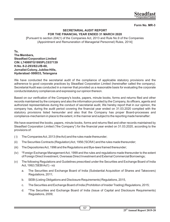# **Form No. MR-3**

# **SECRETARIAL AUDIT REPORT FOR THE FINANCIAL YEAR ENDED 31 MARCH 2020**

[Pursuant to section 204(1) of the Companies Act, 2013 and Rule No.9 of the Companies (Appointment and Remuneration of Managerial Personnel) Rules, 2014]

**To, The Members, Steadfast Corporation Limited CIN: L74999TG1995PLC037139 H.No. 8-2-293/82/J/B-60, Jornalist Colony, Jubilee Hills, Hyderabad -500033, Telangana**

We have conducted the secretarial audit of the compliance of applicable statutory provisions and the adherence to good corporate practices by Steadfast Corporation Limited (hereinafter called the company). Secretarial Audit was conducted in a manner that provided us a reasonable basis for evaluating the corporate conducts/statutory compliances and expressing our opinion thereon.

Based on our verification of the Company's books, papers, minute books, forms and returns filed and other records maintained by the company and also the information provided by the Company, its officers, agents and authorized representatives during the conduct of secretarial audit, We hereby report that in our opinion, the company has, during the audit period covering the financial year ended on 31.03.2020 complied with the statutory provisions listed hereunder and also that the Company has proper Board-processes and compliance-mechanism in place to the extent, in the manner and subject to the reporting made hereinafter:

We have examined the books, papers, minute books, forms and returns filed and other records maintained by Steadfast Corporation Limited ("the Company") for the financial year ended on 31.03.2020, according to the provisions of:

- (ii) The Companies Act, 2013 (the Act) and the rules made thereunder;
- (ii) The Securities Contracts (Regulation) Act, 1956 ('SCRA') and the rules made thereunder;
- (iii) The Depositories Act, 1996 and the Regulations and Bye-laws framed thereunder;
- (iv) \*Foreign Exchange Management Act, 1999 and the rules and regulations made thereunder to the extent of Foreign Direct Investment, Overseas Direct Investment and External Commercial Borrowings;
- (v) The following Regulations and Guidelines prescribed under the Securities and Exchange Board of India Act, 1992 ('SEBI Act'):- viz
	- a. The Securities and Exchange Board of India (Substantial Acquisition of Shares and Takeovers) Regulations, 2011;
	- b. SEBI (Listing Obligations and Disclosure Requirements) Regulations, 2015,
	- c. The Securities and Exchange Board of India (Prohibition of Insider Trading) Regulations, 2015;
	- d. \*The Securities and Exchange Board of India (Issue of Capital and Disclosure Requirements) Regulations, 2009;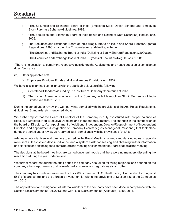- e. \*The Securities and Exchange Board of India (Employee Stock Option Scheme and Employee Stock Purchase Scheme) Guidelines, 1999;
- f. \*The Securities and Exchange Board of India (Issue and Listing of Debt Securities) Regulations, 2008;
- g. The Securities and Exchange Board of India (Registrars to an Issue and Share Transfer Agents) Regulations, 1993 regarding the Companies Act and dealing with client;
- h. \*The Securities and Exchange Board of India (Delisting of Equity Shares) Regulations, 2009; and
- I. \*The Securities and Exchange Board of India (Buyback of Securities) Regulations, 1998;

\*There is no occasion to comply the respective acts during the Audit period and hence question of compliance doesn't not arise.

- (vi) Other applicable Acts
	- (a) Employees Provident Funds and Miscellaneous Provisions Act, 1952

We have also examined compliance with the applicable clauses of the following:

- (I) Secretarial Standards issued by The Institute of Company Secretaries of India
- (ii) The Listing Agreements entered by the Company with Metropolitan Stock Exchange of India Limited w.e.f March, 2018;

During the period under review the Company has complied with the provisions of the Act, Rules, Regulations, Guidelines, Standards, etc. mentioned above.

We further report that the Board of Directors of the Company is duly constituted with proper balance of Executive Directors, Non-Executive Directors and Independent Directors. The changes in the composition of the board of Directors, Viz., Appointment of Additional Independent Director/Reappointment of independent Director and Appointment/Resignation of Company Secretary (Key Managerial Personnel) that took place during the period under review were carried out in compliance with the provisions of the Act.

Adequate notice is given to all directors to schedule the Board Meetings, agenda and detailed notes on agenda were sent at least seven days in advance, and a system exists for seeking and obtaining further information and clarifications on the agenda items before the meeting and for meaningful participation at the meeting.

The decisions at the board meetings are carried out unanimously and there were no members dissenting the resolutions during the year under review.

We further report that during the audit period the company has taken following major actions bearing on the company affairs in pursuance of above referred acts, rules and regulations etc and other

The company has made an Investment of Rs.2.095 crores in V.H.S. Healthcare , Partnership Firm against 55% of share control and the aforesaid investment is within the provisions of Section 186 of the Companies Act, 2013

The appointment and resignation of Internal Auditors of the company have been done in compliance with the Section 138 of Companies Act, 2013 read with Rule 13 of Companies (Accounts) Rules, 2014,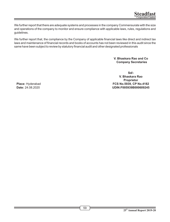We further report that there are adequate systems and processes in the company Commensurate with the size and operations of the company to monitor and ensure compliance with applicable laws, rules, regulations and guidelines.

We further report that, the compliance by the Company of applicable financial laws like direct and indirect tax laws and maintenance of financial records and books of accounts has not been reviewed in this audit since the same have been subject to review by statutory financial audit and other designated professionals

> **V. Bhaskara Rao and Co Company Secretaries**

**Sd/- V. Bhaskara Rao Proprietor FCS No.5939, CP No.4182 UDIN:F005939B000609245**

**Place:** Hyderabad **Date:** 24.08.2020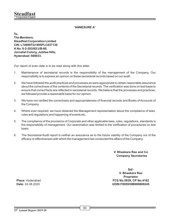# **'ANNEXURE A'**

**To, The Members, Steadfast Corporation Limited CIN: L74999TG1995PLC037139 H.No. 8-2-293/82/J/B-60, Jornalist Colony, Jubilee Hills, Hyderabad -500033.**

Our report of even date is to be read along with this letter.

- 1. Maintenance of secretarial records is the responsibility of the management of the Company. Our responsibility is to express an opinion on these secretarial records based on our audit.
- 2. We have followed the audit practices and processes as were appropriate to obtain reasonable assurance about the correctness of the contents of the Secretarial records. The verification was done on test basis to ensure that correct facts are reflected in secretarial records. We believe that the processes and practices, we followed provide a reasonable basis for our opinion.
- 3. We have not verified the correctness and appropriateness of financial records and Books of Accounts of the Company.
- 4. Where ever required, we have obtained the Management representation about the compliance of laws, rules and regulations and happening of events etc.
- 5. The compliance of the provisions of Corporate and other applicable laws, rules, regulations, standards is the responsibility of management. Our examination was limited to the verification of procedures on test basis.
- 6. The Secretarial Audit report is neither an assurance as to the future viability of the Company nor of the efficacy or effectiveness with which the management has conducted the affairs of the Company

**V. Bhaskara Rao and Co Company Secretaries**

**Sd/- V. Bhaskara Rao Proprietor FCS No.5939, CP No.4182 UDIN:F005939B000609245**

**Place:** Hyderabad **Date:** 24.08.2020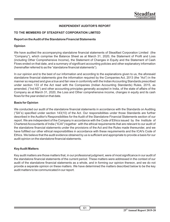# **INDEPENDENT AUDITOR'S REPORT**

# **TO THE MEMBERS OF STEADFAST CORPORATION LIMITED**

#### **Report on the Audit of the Standalone Financial Statements**

# **Opinion**

We have audited the accompanying standalone financial statements of Steadfast Corporation Limited (the "Company"), which comprise the Balance Sheet as at March 31, 2020, the Statement of Profit and Loss (including Other Comprehensive Income), the Statement of Changes in Equity and the Statement of Cash Flows ended on that date, and a summary of significant accounting policies and other explanatory information (hereinafter referred to as the "standalone financial statements").

In our opinion and to the best of our information and according to the explanations given to us, the aforesaid standalone financial statements give the information required by the Companies Act, 2013 (the "Act") in the manner so required and give a true and fair view in conformity with the Indian Accounting Standards prescribed under section 133 of the Act read with the Companies (Indian Accounting Standards) Rules, 2015, as amended, ("Ind AS") and other accounting principles generally accepted in India, of the state of affairs of the Company as at March 31, 2020, the Loss and Other comprehensive income, changes in equity and its cash flows for the year ended on that date.

# **Basis for Opinion**

We conducted our audit of the standalone financial statements in accordance with the Standards on Auditing ("SA"s) specified under section 143(10) of the Act. Our responsibilities under those Standards are further described in the Auditor's Responsibilities for the Audit of the Standalone Financial Statements section of our report. We are independent of the Company in accordance with the Code of Ethics issued by the Institute of Chartered Accountants of India ("ICAI") together with the ethical requirements that are relevant to our audit of the standalone financial statements under the provisions of the Act and the Rules made thereunder, and we have fulfilled our other ethical responsibilities in accordance with these requirements and the ICAI's Code of Ethics. We believe that the audit evidence obtained by us is sufficient and appropriate to provide a basis for our audit opinion on the standalone financial statements.

# **Key Audit Matters**

Key audit matters are those matters that, in our professional judgment, were of most significance in our audit of the standalone financial statements of the current period. These matters were addressed in the context of our audit of the standalone financial statements as a whole, and in forming our opinion thereon, and we do not provide a separate opinion on these matters. We have determined the matters described below to be the key audit matters to be communicated in our report.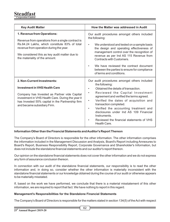| <b>Key Audit Matter</b>                                                                                                                                                                                                                                         | How the Matter was addressed in Audit                                                                                                                                                                                                                                                                                                                                                                                                                       |
|-----------------------------------------------------------------------------------------------------------------------------------------------------------------------------------------------------------------------------------------------------------------|-------------------------------------------------------------------------------------------------------------------------------------------------------------------------------------------------------------------------------------------------------------------------------------------------------------------------------------------------------------------------------------------------------------------------------------------------------------|
| 1. Revenue from Operations:<br>Revenue from operations from a single contract is<br>Rs.64.24 Lakhs, which constitute 83% of total<br>revenue from operation during the year.<br>We considered this as key audit matter due to<br>the materiality of the amount. | Our audit procedures amongst others included<br>the following:<br>We understood and tested on a sample basis<br>٠<br>the design and operating effectiveness of<br>management control over the recognition of<br>revenue as per Ind AS 115 Revenue from<br>Contracts with Customers.<br>We have reviewed the contract document<br>between the parties to ensure for compliance<br>of terms and conditions.                                                   |
| 2. Non-Current Investments:<br><b>Investment in VHS Health Care</b><br>Company has Invested as Partner vide Capital<br>investment in VHS Health Care. During the year it<br>has Invested 55% capital in the Partnership firm<br>and became subsidiary Firm.     | Our audit procedures amongst others included<br>the following:<br>Obtained the details of transaction.<br>$\bullet$<br>Reviewed the Capital Investment<br>$\bullet$<br>agreement and verified the terms agreed.<br>Verified the dates of acquisition and<br>٠<br>transaction completed.<br>Verified the accounting treatment and<br>٠<br>disclosures under Ind AS 109 Financial<br>Instruments.<br>Reviewed the financial statements of VHS<br>Health Care. |

# **Information Other than the Financial Statements and Auditor's Report Thereon**

The Company's Board of Directors is responsible for the other information. The other information comprises the information included in the Management Discussion and Analysis, Board's Report including Annexures to Board's Report, Business Responsibility Report, Corporate Governance and Shareholder's Information, but does not include the standalone financial statements and our auditor's report thereon.

Our opinion on the standalone financial statements does not cover the other information and we do not express any form of assurance conclusion thereon.

In connection with our audit of the standalone financial statements, our responsibility is to read the other information and, in doing so, consider whether the other information is materially inconsistent with the standalone financial statements or our knowledge obtained during the course of our audit or otherwise appears to be materially misstated.

If, based on the work we have performed, we conclude that there is a material misstatement of this other information, we are required to report that fact. We have nothing to report in this regard.

#### **Management's Responsibilities for the Standalone Financial Statements**

The Company's Board of Directors is responsible for the matters stated in section 134(5) of the Act with respect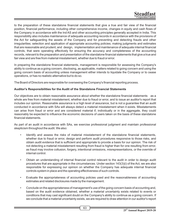to the preparation of these standalone financial statements that give a true and fair view of the financial position, financial performance, including other comprehensive income, changes in equity and cash flows of the Company in accordance with the Ind AS and other accounting principles generally accepted in India. This responsibility also includes maintenance of adequate accounting records in accordance with the provisions of the Act for safeguarding the assets of the Company and for preventing and detecting frauds and other irregularities; selection and application of appropriate accounting policies; making judgments and estimates that are reasonable and prudent; and design, implementation and maintenance of adequate internal financial controls, that were operating effectively for ensuring the accuracy and completeness of the accounting records, relevant to the preparation and presentation of the standalone financial statements that give a true and fair view and are free from material misstatement, whether due to fraud or error.

In preparing the standalone financial statements, management is responsible for assessing the Company's ability to continue as a going concern, disclosing, as applicable, matters related to going concern and using the going concern basis of accounting unless management either intends to liquidate the Company or to cease operations, or has no realistic alternative but to do so.

The Board of Directors are responsible for overseeing the Company's financial reporting process.

# **Auditor's Responsibilities for the Audit of the Standalone Financial Statements**

Our objectives are to obtain reasonable assurance about whether the standalone financial statements as a whole are free from material misstatement, whether due to fraud or error, and to issue an auditor's report that includes our opinion. Reasonable assurance is a high level of assurance, but is not a guarantee that an audit conducted in accordance with SAs will always detect a material misstatement when it exists. Misstatements can arise from fraud or error and are considered material if, individually or in the aggregate, they could reasonably be expected to influence the economic decisions of users taken on the basis of these standalone financial statements

As part of an audit in accordance with SAs, we exercise professional judgment and maintain professional skepticism throughout the audit. We also:

- Identify and assess the risks of material misstatement of the standalone financial statements, whether due to fraud or error, design and perform audit procedures responsive to those risks, and obtain audit evidence that is sufficient and appropriate to provide a basis for our opinion. The risk of not detecting a material misstatement resulting from fraud is higher than for one resulting from error, as fraud may involve collusion, forgery, intentional omissions, misrepresentations, or the override of internal control.
- Obtain an understanding of internal financial control relevant to the audit in order to design audit procedures that are appropriate in the circumstances. Under section 143(3)(i) of the Act, we are also responsible for expressing our opinion on whether the Company has adequate internal financial controls system in place and the operating effectiveness of such controls.
- Evaluate the appropriateness of accounting policies used and the reasonableness of accounting estimates and related disclosures made by the management.
- Conclude on the appropriateness of management's use of the going concern basis of accounting and, based on the audit evidence obtained, whether a material uncertainty exists related to events or conditions that may cast significant doubt on the Company's ability to continue as a going concern. If we conclude that a material uncertainty exists, we are required to draw attention in our auditor's report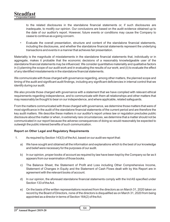to the related disclosures in the standalone financial statements or, if such disclosures are inadequate, to modify our opinion. Our conclusions are based on the audit evidence obtained up to the date of our auditor's report. However, future events or conditions may cause the Company to cease to continue as a going concern.

• Evaluate the overall presentation, structure and content of the standalone financial statements, including the disclosures, and whether the standalone financial statements represent the underlying transactions and events in a manner that achieves fair presentation.

Materiality is the magnitude of misstatements in the standalone financial statements that, individually or in aggregate, makes it probable that the economic decisions of a reasonably knowledgeable user of the standalone financial statements may be influenced. We consider quantitative materiality and qualitative factors in (i) planning the scope of our audit work and in evaluating the results of our work; and (ii) to evaluate the effect of any identified misstatements in the standalone financial statements.

We communicate with those charged with governance regarding, among other matters, the planned scope and timing of the audit and significant audit findings, including any significant deficiencies in internal control that we identify during our audit.

We also provide those charged with governance with a statement that we have complied with relevant ethical requirements regarding independence, and to communicate with them all relationships and other matters that may reasonably be thought to bear on our independence, and where applicable, related safeguards.

From the matters communicated with those charged with governance, we determine those matters that were of most significance in the audit of the standalone financial statements of the current period and are therefore the key audit matters. We describe these matters in our auditor's report unless law or regulation precludes public disclosure about the matter or when, in extremely rare circumstances, we determine that a matter should not be communicated in our report because the adverse consequences of doing so would reasonably be expected to outweigh the public interest benefits of such communication.

# **Report on Other Legal and Regulatory Requirements**

- 1. As required by Section 143(3) of the Act, based on our audit we report that:
	- a) We have sought and obtained all the information and explanations which to the best of our knowledge and belief were necessary for the purposes of our audit.
	- b) In our opinion, proper books of account as required by law have been kept by the Company so far as it appears from our examination of those books.
	- c) The Balance Sheet, the Statement of Profit and Loss including Other Comprehensive Income, Statement of Changes in Equity and the Statement of Cash Flows dealt with by this Report are in agreement with the relevant books of account.
	- d) In our opinion, the aforesaid standalone financial statements comply with the Ind AS specified under Section 133 of the Act.
	- e) On the basis of the written representations received from the directors as on March 31, 2020 taken on record by the Board of Directors, none of the directors is disqualified as on March 31, 2020 from being appointed as a director in terms of Section 164(2) of the Act.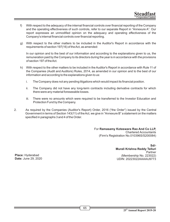- f) With respect to the adequacy of the internal financial controls over financial reporting of the Company and the operating effectiveness of such controls, refer to our separate Report in "Annexure A". Our report expresses an unmodified opinion on the adequacy and operating effectiveness of the Company's internal financial controls over financial reporting.
- g) With respect to the other matters to be included in the Auditor's Report in accordance with the requirements of section 197(16) of the Act, as amended:

In our opinion and to the best of our information and according to the explanations given to us, the remuneration paid by the Company to its directors during the year is in accordance with the provisions of section 197 of the Act.

- h) With respect to the other matters to be included in the Auditor's Report in accordance with Rule 11 of the Companies (Audit and Auditors) Rules, 2014, as amended in our opinion and to the best of our information and according to the explanations given to us:
	- i. The Company does not any pending litigations which would impact its financial position.
	- ii. The Company did not have any long-term contracts including derivative contracts for which there were any material foreseeable losses.
	- iii. There were no amounts which were required to be transferred to the Investor Education and Protection Fund by the Company.
- 2. As required by the Companies (Auditor's Report) Order, 2016 ("the Order") issued by the Central Government in terms of Section 143(11) of the Act, we give in "Annexure B" a statement on the matters specified in paragraphs 3 and 4 of the Order.

For **Ramasamy Koteswara Rao And Co LLP,** Chartered Accountants (Firm's Registration No.010396S/S200084)

> **Sd/- Murali Krishna Reddy Telluri** Partner (Membership No. 223022) UDIN: 20223022AAAAIJ9773

**Place:** Hyderabad **Date:** June 29, 2020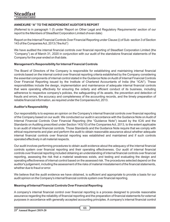# **ANNEXURE "A" TO THE INDEPENDENT AUDITOR'S REPORT**

(Referred to in paragraph 1 (f) under 'Report on Other Legal and Regulatory Requirements' section of our report to the Members of Steadfast Corporation Limited of even date)

Report on the Internal Financial Controls Over Financial Reporting under Clause (i) of Sub- section 3 of Section 143 of the Companies Act, 2013 ("the Act")

We have audited the internal financial controls over financial reporting of Steadfast Corporation Limited (the "Company") as of March 31, 2020 in conjunction with our audit of the standalone financial statements of the Company for the year ended on that date.

# **Management's Responsibility for Internal Financial Controls**

The Board of Directors of the Company is responsible for establishing and maintaining internal financial controls based on the internal control over financial reporting criteria established by the Company considering the essential components of internal control stated in the Guidance Note on Audit of Internal Financial Controls Over Financial Reporting issued by the Institute of Chartered Accountants of India (the "ICAI"). These responsibilities include the design, implementation and maintenance of adequate internal financial controls that were operating effectively for ensuring the orderly and efficient conduct of its business, including adherence to respective company's policies, the safeguarding of its assets, the prevention and detection of frauds and errors, the accuracy and completeness of the accounting records, and the timely preparation of reliable financial information, as required under the Companies Act, 2013.

# **Auditor's Responsibility**

Our responsibility is to express an opinion on the Company's internal financial controls over financial reporting of the Company based on our audit. We conducted our audit in accordance with the Guidance Note on Audit of Internal Financial Controls Over Financial Reporting (the "Guidance Note") issued by the ICAI and the Standards on Auditing prescribed under Section 143(10) of the Companies Act, 2013, to the extent applicable to an audit of internal financial controls. Those Standards and the Guidance Note require that we comply with ethical requirements and plan and perform the audit to obtain reasonable assurance about whether adequate internal financial controls over financial reporting was established and maintained and if such controls operated effectively in all material respects.

Our audit involves performing procedures to obtain audit evidence about the adequacy of the internal financial controls system over financial reporting and their operating effectiveness. Our audit of internal financial controls over financial reporting included obtaining an understanding of internal financial controls over financial reporting, assessing the risk that a material weakness exists, and testing and evaluating the design and operating effectiveness of internal control based on the assessed risk. The procedures selected depend on the auditor's judgement, including the assessment of the risks of material misstatement of the financial statements, whether due to fraud or error.

We believe that the audit evidence we have obtained, is sufficient and appropriate to provide a basis for our audit opinion on the Company's internal financial controls system over financial reporting.

# **Meaning of Internal Financial Controls Over Financial Reporting**

A company's internal financial control over financial reporting is a process designed to provide reasonable assurance regarding the reliability of financial reporting and the preparation of financial statements for external purposes in accordance with generally accepted accounting principles. A company's internal financial control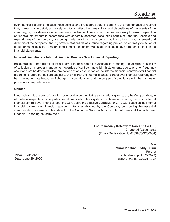over financial reporting includes those policies and procedures that (1) pertain to the maintenance of records that, in reasonable detail, accurately and fairly reflect the transactions and dispositions of the assets of the company; (2) provide reasonable assurance that transactions are recorded as necessary to permit preparation of financial statements in accordance with generally accepted accounting principles, and that receipts and expenditures of the company are being made only in accordance with authorisations of management and directors of the company; and (3) provide reasonable assurance regarding prevention or timely detection of unauthorized acquisition, use, or disposition of the company's assets that could have a material effect on the nancial statements.

# **Inherent Limitations of Internal Financial Controls Over Financial Reporting**

Because of the inherent limitations of internal financial controls over financial reporting, including the possibility of collusion or improper management override of controls, material misstatements due to error or fraud may occur and not be detected. Also, projections of any evaluation of the internal financial controls over financial reporting to future periods are subject to the risk that the internal financial control over financial reporting may become inadequate because of changes in conditions, or that the degree of compliance with the policies or procedures may deteriorate.

# **Opinion**

In our opinion, to the best of our information and according to the explanations given to us, the Company has, in all material respects, an adequate internal financial controls system over financial reporting and such internal financial controls over financial reporting were operating effectively as at March 31, 2020, based on the internal financial control over financial reporting criteria established by the Company considering the essential components of internal control stated in the Guidance Note on Audit of Internal Financial Controls Over Financial Reporting issued by the ICAI.

> For **Ramasamy Koteswara Rao And Co LLP,** Chartered Accountants (Firm's Registration No.010396S/S200084)

> > **Sd/- Murali Krishna Reddy Telluri** Partner (Membership No. 223022) UDIN: 20223022AAAAIJ9773

**Place:** Hyderabad **Date:** June 29, 2020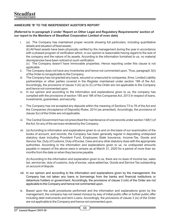# **ANNEXURE 'B' TO THE INDEPENDENT AUDITOR'S REPORT**

#### **(Referred to in paragraph 2 under 'Report on Other Legal and Regulatory Requirements' section of our report to the Members of Steadfast Corporation Limited of even date)**

- i. (a) The Company has maintained proper records showing full particulars, including quantitative details and situation of fixed assets. (b) All fixed assets have been physically verified by the management during the year in accordance with a phased program of verification which, in our opinion is reasonable having regard to the size of the company and the nature of its assets. According to the information furnished to us, no material discrepancies have been noticed on such verification. (c) The Company doesn't have Immovable properties. Hence reporting under this clause is not
	- applicable.
- ii. The Company does not have any Inventories and hence not commented upon. Thus, paragraph 3(ii) of the Order is not applicable to the Company.
- iii. The Company has not granted any loans, secured or unsecured to companies, firms, Limited Liability partnerships or other parties covered in the Register maintained under section 189 of the Act. Accordingly, the provisions of clause 3 (iii) (a) to (C) of the Order are not applicable to the Company and hence not commented upon.
- iv. In our opinion and according to the information and explanations given to us, the company has complied with the provisions of section 185 and 186 of the Companies Act, 2013 In respect of loans, investments, guarantees, and security.
- v. The Company has not accepted any deposits within the meaning of Sections 73 to 76 of the Act and the Companies (Acceptance of Deposits) Rules, 2014 (as amended). Accordingly, the provisions of clause 3(v) of the Order are not applicable.
- vi. The Central Government has not prescribed the maintenance of cost records under section 148(1) of the Act, for any of the services rendered by the Company.
- vii. (a) According to information and explanations given to us and on the basis of our examination of the books of account, and records, the Company has been generally regular in depositing undisputed statutory dues including Provident Fund, Employees State Insurance, Income-Tax, Goods and Service Tax, Duty of Customs, Duty of Excise, Cess and any other statutory dues with the appropriate authorities. According to the information and explanations given to us, no undisputed amounts payable in respect of the above were in arrears as at March 31, 2020 for a period of more than six months from the date on when they become payable.

(b) According to the information and explanation given to us, there are no dues of income tax, sales tax, service tax, duty of customs, duty of excise, value added tax, Goods and Service Tax outstanding on account of dispute.

- viii. In our opinion and according to the information and explanations given by the management, the Company has not taken any loans or borrowings from the banks and financial institutions or debenture holders or government. Accordingly, the provisions of clause 3 (viii) of the Order are not applicable to the Company and hence not commented upon.
- ix. Based upon the audit procedures performed and the information and explanations given by the management, the company has not raised moneys by way of initial public offer or further public offer including debt instruments and term Loans. Accordingly, the provisions of clause 3 (ix) of the Order are not applicable to the Company and hence not commented upon.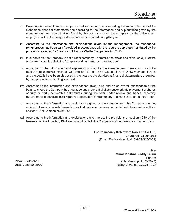- x. Based upon the audit procedures performed for the purpose of reporting the true and fair view of the standalone financial statements and according to the information and explanations given by the management, we report that no fraud by the company or on the company by the officers and employees of the Company has been noticed or reported during the year.
- xi. According to the information and explanations given by the management, the managerial remuneration has been paid / provided in accordance with the requisite approvals mandated by the provisions of section 197 read with Schedule V to the Companies Act, 2013.
- xii. In our opinion, the Company is not a Nidhi company. Therefore, the provisions of clause 3(xii) of the order are not applicable to the Company and hence not commented upon.
- xiii. According to the information and explanations given by the management, transactions with the related parties are in compliance with section 177 and 188 of Companies Act, 2013 where applicable and the details have been disclosed in the notes to the standalone financial statements, as required by the applicable accounting standards.
- xiv. According to the information and explanations given to us and on an overall examination of the balance sheet, the Company has not made any preferential allotment or private placement of shares or fully or partly convertible debentures during the year under review and hence, reporting requirements under clause 3(xiv) are not applicable to the company and hence not commented upon.
- xv. According to the information and explanations given by the management, the Company has not entered into any non-cash transactions with directors or persons connected with him as referred to in section 192 of Companies Act, 2013.
- xvi. According to the information and explanations given to us, the provisions of section 45-IA of the Reserve Bank of India Act, 1934 are not applicable to the Company and hence not commented upon.

For **Ramasamy Koteswara Rao And Co LLP,** Chartered Accountants (Firm's Registration No.010396S/S200084)

> **Sd/- Murali Krishna Reddy Telluri** Partner (Membership No. 223022) UDIN: 20223022AAAAIJ9773

**Place:** Hyderabad **Date:** June 29, 2020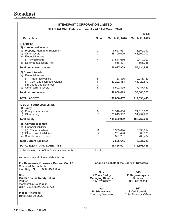**Steadfast Corporation Limited**

| <b>STEADFAST CORPORATION LIMITED</b>                                                                                                               |                                                                                                      |                                             |                                                 |
|----------------------------------------------------------------------------------------------------------------------------------------------------|------------------------------------------------------------------------------------------------------|---------------------------------------------|-------------------------------------------------|
| STANDALONE Balance Sheet As At 31st March 2020                                                                                                     |                                                                                                      |                                             |                                                 |
|                                                                                                                                                    |                                                                                                      |                                             | in INR                                          |
| <b>Particulars</b>                                                                                                                                 | <b>Note</b>                                                                                          | March 31, 2020                              | March 31, 2019                                  |
| <b>I. ASSETS</b>                                                                                                                                   |                                                                                                      |                                             |                                                 |
| (1) Non-current assets                                                                                                                             |                                                                                                      |                                             |                                                 |
| (a) Property, Plant and Equipment<br>(b) Other assets                                                                                              | 2<br>3                                                                                               | 6,557,567<br>28,100,000                     | 8,560,292<br>43,600,000                         |
| (c) Financial Assets                                                                                                                               |                                                                                                      |                                             |                                                 |
| (i) Investments                                                                                                                                    | 4                                                                                                    | 21,681,950                                  | 2,419,309                                       |
| (d) Deferred tax assets (net)                                                                                                                      |                                                                                                      | 658,391                                     | 555,338                                         |
| <b>Total non current assets</b>                                                                                                                    |                                                                                                      | 56,997,909                                  | 55,134,939                                      |
| (2) Current Assets                                                                                                                                 |                                                                                                      |                                             |                                                 |
| (a) Financial Assets                                                                                                                               |                                                                                                      |                                             |                                                 |
| (i) Trade receivables<br>(ii) Cash and cash equivalents                                                                                            | 5<br>6                                                                                               | 1,133,336<br>42,222,863                     | 9,246,139<br>41,129,879                         |
| (iii) Loans and advances                                                                                                                           | 7                                                                                                    |                                             |                                                 |
| (b) Other current assets                                                                                                                           | 8                                                                                                    | 6,502,499                                   | 7,187,487                                       |
| <b>Total current assets</b>                                                                                                                        |                                                                                                      | 49,858,699                                  | 57,563,505                                      |
| <b>TOTAL ASSETS</b>                                                                                                                                |                                                                                                      | 106,856,607                                 | 112,698,445                                     |
| <b>II. EQUITY AND LIABILITIES</b><br>(1) Equity<br>(a) Equity share capital<br>(b) Other equity                                                    | 9<br>10                                                                                              | 71,310,000<br>33,019,962                    | 71,310,000<br>34,457,216                        |
| <b>Total equity</b>                                                                                                                                |                                                                                                      | 104,329,962                                 | 105,767,216                                     |
| (2) Current liabilities<br>(a) Financial liabilities<br>(i) Trade payables<br>(b) Other current liabilities<br>(c) Short-term provisions           | 11<br>$12 \overline{ }$<br>13                                                                        | 1,903,894<br>251,490<br>371,261             | 6,338,614<br>303,878<br>288,737                 |
| <b>Total Current liabilities</b>                                                                                                                   |                                                                                                      | 2,526,645                                   | 6,931,229                                       |
| <b>TOTAL EQUITY AND LIABILITIES</b>                                                                                                                |                                                                                                      | 106,856,607                                 | 112,698,445                                     |
| Notes forming part of the financial statements                                                                                                     | $1 - 19$                                                                                             |                                             |                                                 |
| As per our report of even date attached<br>For Ramasamy Koteswara Rao and Co LLP<br><b>Chartered Accountants</b><br>Firm Regn. No. 010396S/S200084 |                                                                                                      | For and on behalf of the Board of Directors |                                                 |
| Sd/-<br>Murali Krishna Reddy Telluri<br>Partner<br>Membership No. 223022<br>UDIN: 20223022AAAAIJ9773                                               | Sd/-<br>Sd/-<br><b>K Vivek Reddy</b><br><b>Managing Director</b><br><b>Director</b><br>DIN: 07907507 |                                             | P Satyanarayana<br>DIN: 02183914<br>$Sd$ -      |
| <b>Place: Hyderabad</b><br><b>Date: June 29, 2020</b>                                                                                              | Sd/-<br><b>B. Srinivasarao</b><br><b>Company Secretary</b>                                           |                                             | S Yedukondalu<br><b>Chief Financial Officer</b> |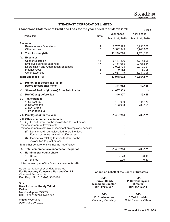| Standalone Statement of Profit and Loss for the year ended 31st March 2020<br>Year ended<br><b>Particulars</b><br><b>Note</b>                                   | in INR<br>Year ended                                |  |  |  |  |
|-----------------------------------------------------------------------------------------------------------------------------------------------------------------|-----------------------------------------------------|--|--|--|--|
|                                                                                                                                                                 |                                                     |  |  |  |  |
|                                                                                                                                                                 |                                                     |  |  |  |  |
| March 31, 2020                                                                                                                                                  | March 31, 2019                                      |  |  |  |  |
| <b>Revenue</b>                                                                                                                                                  |                                                     |  |  |  |  |
| Revenue from Operations<br>14<br>7,767,375<br>I.<br>Other income<br>15<br>Ш.<br>5,522,349                                                                       | 6,933,366<br>5,740,936                              |  |  |  |  |
| Ш.<br>Total Income (I+II)<br>13,289,724                                                                                                                         | 12,674,302                                          |  |  |  |  |
| IV. Expenses                                                                                                                                                    |                                                     |  |  |  |  |
| Cost of Execution<br>16<br>6,137,426<br><b>Employee Benefits Expenses</b><br>17<br>2,161,655                                                                    | 5,715,505<br>2,166,854                              |  |  |  |  |
| Depreciation and Amortization Expenses<br>2,002,723                                                                                                             | 2,719,321                                           |  |  |  |  |
| <b>Finance Cost</b><br>18<br>9,152                                                                                                                              | 8,798                                               |  |  |  |  |
| <b>Other Expenses</b><br>19<br>2,637,715                                                                                                                        | 1,944,396                                           |  |  |  |  |
| <b>Total Expenses (IV)</b><br>12,948,672                                                                                                                        | 12,554,874                                          |  |  |  |  |
| V.<br>Profit/(loss) before Tax (III - IV)<br>before Exceptional Items<br>341,052                                                                                | 119,428                                             |  |  |  |  |
| VI. Share of Profits / (Losses) from Subcidaries<br>$-1,687,359$                                                                                                |                                                     |  |  |  |  |
| V.<br>Profit/(loss) before Tax<br>$-1,346,307$                                                                                                                  | 119,428                                             |  |  |  |  |
| VI. Tax expense:                                                                                                                                                |                                                     |  |  |  |  |
| 1. Current tax<br>194,000                                                                                                                                       | 111,476                                             |  |  |  |  |
| 2. Deferred tax<br>$-103,053$<br>3. MAT credit                                                                                                                  | 738,124                                             |  |  |  |  |
| 4. Prior period tax                                                                                                                                             |                                                     |  |  |  |  |
| VII. Profit/(Loss) for the year<br>$-1,437,254$                                                                                                                 | $-730,171$                                          |  |  |  |  |
| VIII. Other comprehensive income                                                                                                                                |                                                     |  |  |  |  |
| (i) Items that will not be reclassified to profit or loss<br>А.<br>Remeasurement of Investments                                                                 |                                                     |  |  |  |  |
| Remeasurements of leave encashment on employee benefits                                                                                                         |                                                     |  |  |  |  |
| (ii) Items that will be reclassified to profit or loss                                                                                                          |                                                     |  |  |  |  |
| Foreign currency translation differences<br>(I) Income tax relating to items that will not be<br>B                                                              |                                                     |  |  |  |  |
| reclassified to profit or loss                                                                                                                                  |                                                     |  |  |  |  |
| Total other comprehensive income net of taxes                                                                                                                   |                                                     |  |  |  |  |
| IX. Total comprehensive income for the period<br>$-1,437,254$                                                                                                   | $-730,171$                                          |  |  |  |  |
| Earnings per equity share<br>Х.<br>1. Basic<br>$-0.20$                                                                                                          | $-0.10$                                             |  |  |  |  |
| $-0.20$<br>2. Diluted                                                                                                                                           | $-0.10$                                             |  |  |  |  |
| Notes forming part of the financial statements1-19                                                                                                              |                                                     |  |  |  |  |
| As per our report of even date attached<br>For Ramasamy Koteswara Rao and Co LLP<br>For and on behalf of the Board of Directors<br><b>Chartered Accountants</b> |                                                     |  |  |  |  |
| Firm Regn. No. 010396S/S200084<br>$Sd$ -                                                                                                                        | Sd/-                                                |  |  |  |  |
| K Vivek Reddy<br>Sd/-<br><b>Managing Director</b><br>Murali Krishna Reddy Telluri<br>DIN: 07907507<br>Partner                                                   | P Satyanarayana<br><b>Director</b><br>DIN: 02183914 |  |  |  |  |
| Membership No. 223022<br>$Sd$ -                                                                                                                                 |                                                     |  |  |  |  |
| UDIN: 20223022AAAAIJ9773<br><b>B. Srinivasarao</b>                                                                                                              | $Sd$ -<br>S Yedukondalu                             |  |  |  |  |
| <b>Place: Hyderabad</b><br>Company Secretary<br>Date: June 29, 2020                                                                                             | <b>Chief Financial Officer</b>                      |  |  |  |  |

ľ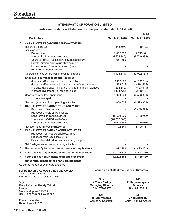# **Steadfast Corporation Limited**

| <b>STEADFAST CORPORATION LIMITED</b>                                                                                                                                                              |                                                                                                                                                                                                                                                                   |                                                                           |                                                      |                                                               |  |  |
|---------------------------------------------------------------------------------------------------------------------------------------------------------------------------------------------------|-------------------------------------------------------------------------------------------------------------------------------------------------------------------------------------------------------------------------------------------------------------------|---------------------------------------------------------------------------|------------------------------------------------------|---------------------------------------------------------------|--|--|
| Standalone Cash Flow Statement for the year ended March 31st, 2020                                                                                                                                |                                                                                                                                                                                                                                                                   |                                                                           |                                                      |                                                               |  |  |
|                                                                                                                                                                                                   |                                                                                                                                                                                                                                                                   |                                                                           |                                                      | in INR                                                        |  |  |
|                                                                                                                                                                                                   | <b>Particulars</b>                                                                                                                                                                                                                                                |                                                                           | March 31, 2020                                       | March 31, 2019                                                |  |  |
| A                                                                                                                                                                                                 | <b>CASH FLOWS FROM OPERATING ACTIVITIES:</b><br>Net profit before tax<br>Adjusted for:                                                                                                                                                                            |                                                                           | (1,346,307)                                          | 119,428                                                       |  |  |
|                                                                                                                                                                                                   | Depreciation<br>Interest & other income received<br>Share of Profits / (Losses) from Subcidaries/JV<br>Prov for diminution in value of investment<br>Loss on sale of / discarded assets (net)<br>Provision for doubtful debts                                     |                                                                           | 2,002,723<br>(5,522,349)<br>1,687,359                | 2,719,321<br>(5,740,936)                                      |  |  |
|                                                                                                                                                                                                   | Operating profits before working capital charges                                                                                                                                                                                                                  |                                                                           | (3, 178, 574)                                        | (2,902,187)                                                   |  |  |
|                                                                                                                                                                                                   | Changes in current assets and liabilities<br>(Increase)/Decrease in Trade Receivables<br>(Increase)/Decrease in financial and non-financial assets<br>Increase/(Decrease) in financial and non-financial liabilities<br>Increase/(Decrease) in Trade payables     |                                                                           | 8,112,803<br>573,513<br>(52, 389)<br>(4,434,720)     | (4,792,205)<br>(524, 326)<br>(423, 840)<br>2,119,194          |  |  |
|                                                                                                                                                                                                   | Cash generated from operations<br>Income taxes paid                                                                                                                                                                                                               |                                                                           | 1,020,634                                            | (6, 523, 364)                                                 |  |  |
| в                                                                                                                                                                                                 | Net cash generated from operating activities<br><b>CASH FLOWS FROM INVESTING ACTIVITIES:</b><br>Purchase of fixed assets<br>Proceeds on sale of fixed assets<br>Long term loans and advances<br>Investment in VHS Health Care<br>Interest & other income received |                                                                           | 1,020,634<br>15,500,000<br>(20,950,000)<br>5,522,349 | (6,523,364)<br>(3,400,573)<br>2,760,000                       |  |  |
|                                                                                                                                                                                                   |                                                                                                                                                                                                                                                                   |                                                                           | 72,349                                               | 5,740,936<br>5,100,363                                        |  |  |
| C                                                                                                                                                                                                 | Net cash used in investing activities<br><b>CASH FLOWS FROM FINANCING ACTIVITIES:</b><br>Proceeds from issue of share warrants<br>Proceeds from issue of ESOPs<br>Dividends and dividend tax paid during the year                                                 |                                                                           |                                                      |                                                               |  |  |
|                                                                                                                                                                                                   | Net Cash generated from financing activities                                                                                                                                                                                                                      |                                                                           |                                                      |                                                               |  |  |
| D                                                                                                                                                                                                 | Net increase / (decrease) in cash and cash equivalents                                                                                                                                                                                                            |                                                                           | 1,092,983                                            | (1,423,001)                                                   |  |  |
| Е                                                                                                                                                                                                 | Cash and cash equivalents at the beginning of the year                                                                                                                                                                                                            |                                                                           | 41,129,879                                           | 42,552,880                                                    |  |  |
| F                                                                                                                                                                                                 | Cash and cash equivalents at the end of the year                                                                                                                                                                                                                  |                                                                           | 42,222,862                                           | 41,129,879                                                    |  |  |
|                                                                                                                                                                                                   | Notes forming part of the financial statements                                                                                                                                                                                                                    |                                                                           |                                                      |                                                               |  |  |
| As per our report of even date attached<br>For and on behalf of the Board of Directors<br>For Ramasamy Koteswara Rao and Co LLP<br><b>Chartered Accountants</b><br>Firm Regn. No. 010396S/S200084 |                                                                                                                                                                                                                                                                   |                                                                           |                                                      |                                                               |  |  |
| Sd/-<br>Murali Krishna Reddy Telluri<br>Partner<br>Membership No. 223022                                                                                                                          |                                                                                                                                                                                                                                                                   | Sd/-<br><b>K Vivek Reddy</b><br><b>Managing Director</b><br>DIN: 07907507 |                                                      | $Sd$ -<br>P Satyanarayana<br><b>Director</b><br>DIN: 02183914 |  |  |
|                                                                                                                                                                                                   | UDIN: 20223022AAAAIJ9773<br><b>Place: Hyderabad</b><br>Date: June 29, 2020                                                                                                                                                                                        | Sd/-<br><b>B. Srinivasarao</b><br><b>Company Secretary</b>                |                                                      | $Sd$ -<br>S Yedukondalu<br><b>Chief Financial Officer</b>     |  |  |

 $\overline{a}$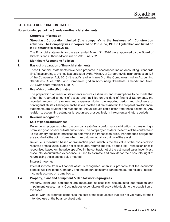## **STEADFAST CORPORATION LIMITED**

#### **Notes forming part of the Standalone financial statements**

#### **Corporate information**

**Streadfast Corporation Limited ('the company') is the business of Construction activities. The Company was incorporated on 2nd June, 1995 in Hyderabad and listed on MSEI dated 1st March, 2018.**

The Financial statements for the year ended March 31, 2020 were approved by the Board of Directors and authorised for issue on 29th June, 2020.

#### **1 Signicant Accounting Policies**

#### 1.1 Basis of preparation of financial statements

These Financial statements have been prepared in accordance Indian Accounting Standards (Ind As) according to the notification issued by the Ministry of Corporate Affairs under section 133 of the Companies Act, 2013 ('the act') read with rule 3 of the Companies (Indian Accounting Standards) Rules, 2015 and Companies (Indian Accounting Standards) Amendment Rules, 2016 with effect from April 1, 2017.

#### **1.2 Use of Accounting Estimates**

The preparation of financial statements requires estimates and assumptions to be made that affect the reported amount of assets and liabilities on the date of nancial Statements, the reported amount of revenues and expenses during the reported period and disclosure of contingent liabilites. Management believes that the estimates used in the preparation of financial statements are prudent and reasonable. Actual results could differ from these estimates. Any revision to accounting estimates is recognised prospectively in the current and future periods.

#### **1.3 Revenue recognition**

#### **Sale of goods and Services:**

Revenue is recognized when the company satisfies a performance obligation by transferring a promised good or service to its customers. The company considers the terms of the contract and its customary business practices to determine the transaction price. Performance obligations are satisfied at the point of time when the customer obtains controls of the asset.

Revenue is measured based on transaction price, which is the fair value of the consideration received or receivable, stated net of discounts, returns and value added tax. Transaction price is recognised based on the price specified in the contract, net of the estimated sales incentives / discounts. Accumulated experience is used to estimate and provide for the discounts/ right of return, using the expected value method.

#### **Interest Income:**

Interest income from a financial asset is recognised when it is probable that the economic benefits will flow to the Company and the amount of income can be measured reliably. Interest income is accrued on a time basis.

#### **1.4 Property, plant and equipment & Capital work-in-progress**

Property, plant and equipment are measured at cost less accumulated depreciation and impairment losses, if any. Cost includes expenditures directly attributable to the acquisition of the asset.

Capital work-in-progress comprises the cost of the fixed assets that are not yet ready for their intended use at the balance sheet date.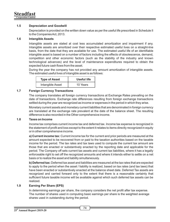# **1.5 Depreciation and Goodwill**

Depreciation is provided on the written down value as per the useful life prescribed in Schedule II to the Companies Act, 2013.

## **1.6 Intangible Assets**

Intangible assets are stated at cost less accumulated amortization and impairment if any. Intangible assets are amortized over their respective estimated useful lives on a straight-line basis, from the date that they are available for use. The estimated useful life of an identiable intangible asset is based on a number of factors including the effects of obsolescence, demand, competition and other economic factors (such as the stability of the industry and known technological advances) and the level of maintenance expenditures required to obtain the expected future cash flows from the asset.

During the year the company has not provided any amount amortization of intangible assets. The estimated useful lives of intangible asset is as follows:

| <b>Type of Asset</b> | Useful life |
|----------------------|-------------|
| Intangible Asset     | 10 Years    |

# **1.7 Foreign Currency Transactions**

The company translates all foreign currency transactions at Exchange Rates prevailing on the date of transactions. Exchange rate differences resulting from foreign exchange transactions settled during the year are recognized as income or expenses in the period in which they arise.

Monetary current assets and monetary current liabilities that are denominated in foreign currency are translated at the exchange rate prevalent at the date of the balance sheet. The resulting difference is also recorded in the Other comprehensive income.

#### **1.8 Taxes on Income**

Income tax comprises current income tax and deferred tax. Income tax expense is recognized in the statement of profit and loss except to the extent it relates to items directly recognized in equity or in other comprehensive income.

**a) Current income tax:** Current income tax for the current and prior periods are measured at the amount expected to be recovered from or paid to the taxation authorities based on the taxable income for the period. The tax rates and tax laws used to compute the current tax amount are those that are enacted or substantively enacted by the reporting date and applicable for the period. The Company off sets current tax assets and current tax liabilities, where it has a legally enforceable right to set off the recognized amounts and where it intends either to settle on a net basis or to realize the asset and liability simultaneously.

**b) Deferred tax:** Deferred tax asset and liabilities are measured at the tax rates that are expected to apply to the period when the asset / liability is realized, based on tax rates (and tax laws) that have been enacted or substantively enacted at the balance sheet date. Deferred Tax assets are recognized and carried forward only to the extent that there is a reasonable certainty that sufficient future taxable income will be available against which such deferred tax assets can be realized.

## **1.9 Earning Per Share (EPS)**

In determining earnings per share, the company considers the net profit after tax expense. The number of shares used in computing basic earnings per share is the weighted average shares used in outstanding during the period.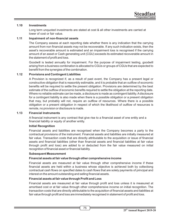# **1.10 Investments**

Long term unquoted investments are stated at cost & all other investments are carried at lower of cost or fair value.

# **1.11 Impairment of non-financial assets**

The Company assess at each reporting date whether there is any indication that the carrying amount from non financial assets may not be recoverable. If any such indication exists, then the asset's recoverable amount is estimated and an impairment loss is recognised if the carrying amount of an asset or Cash generating unit (CGU) exceeds its estimated recoverable amount in the statement of profit and loss.

Goodwill is tested annually for impairment. For the purpose of impairment testing, goodwill arising from a business combination is allocated to CGUs or groups of CGUs that are expected to benefit from the synergies of the combination.

# **1.12 Provisions and Contingent Liabilities**

A Provision is recognized if, as a result of past event, the Company has a present legal or constructive obligation that is reasonbly estimable, and it is probable that an outflow of economic benefits will be required to settle the present obligation. Provisions are determined by the best estimate of the outflow of economic benefits required to settle the obligation at the reporting date. Where no reliable estimate can be made, a disclosure is made as contingent liability. Adisclosure for a contingent liability is also made when there is a possible obligation or a present obligation that may, but probably will not, require an outflow of resources. Where there is a possible obligation or a present obligation in respect of which the likelihood of outflow of resources is remote, no provision or disclosure is made.

# **1.13 Financial Instruments**

A financial instrument is any contract that give rise to a financial asset of one entity and a financial liability or equity of another entity.

# **Initial Recognition**

Financial assets and liabilities are recognised when the Company becomes a party to the contractual provisions of the instrument. Financial assets and liabilities are initially measured at fair value. Transaction costs that are directly attributable to the acquisition or issue of financial assets and financial liabilities (other than financial assets and financial liabilities at fair value through profit and loss) are added to or deducted from the fair value measured on initial recognition of financial asset or financial liability.

## **Subsequent Measurement**

# **Financial assets at fair value through other comprehensive income**

Financial assets are measured at fair value through other comprehensive income if these financial assets are held within a business whose objective is achieved both by collectiong contractual cash flows on specified dates to cash flows that are solely payments of principal and interest on the amount outstanding and selling financial assets.

## **Financial assets at fair value through Profit and Loss**

Financial assets are measured at fair value through profit and loss unless it is measured at amortised cost or at fair value through other comprehensive income on initial recognition. The transaction costs that are directly attributable to the acquisition of financial assets and liabilities at fair value through profit and loss are immediately recognised in statement of profit and loss.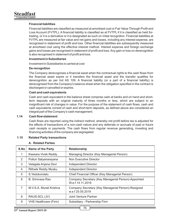## **Financial liabilities**

Financial liabilities are classified as measured at amortised cost or Fair Value Through Profit and Loss Account (FVTPL). A financial liability is classified as at FVTPL if it is classified as held fortrading, or it is a derivative or it is designated as such on initial recognition. Financial liabilities at FVTPL are measured at fair value and net gains and losses, including any interest expense, are recognised in statement of profit and loss. Other financial liabilities are subsequently measured at amortised cost using the effective interest method. Interest expense and foreign exchange gains and losses are recognised in statement of profit and loss. Any gain or loss on derecognition is also recognised in statement of profit and loss.

#### **Investment in Subsidiaries**

Investment in Subsidiaries is carried at cost

#### **De-recognition**

The Company derecognises a financial asset when the contractual rights to the cash flows from the financial asset expire or it transfers the financial asset and the transfer qualifies for derecognition as per Ind AS 109. A financial liability (or a part of a financial liability) is derecognised from the Company's balance sheet when the obligation specified in the contract is discharged or cancelled or expires.

#### **Cash and cash equivalents**

Cash and cash equivalent in the balance sheet comprise cash at banks and on hand and shortterm deposits with an original maturity of three months or less, which are subject to an insignificant risk of changes in value. For the purpose of the statement of cash flows, cash and cash equivalents consist of cash and short-term deposits, as defined above are considered an integral part of the Company's cash management.

#### **1.14** Cash flow statement

Cash flows are reported using the indirect method, whereby net profit before tax is adjusted for the effects of transactions of a non-cash nature and any deferrals or accruals of past or future cash receipts or payments. The cash flows from regular revenue generating, investing and financing activities of the company are segregated.

## **1.15 Related Party transactions**

| A. Related Parties |  |
|--------------------|--|
|--------------------|--|

| S.No           | <b>Name of the Party</b>     | <b>Relationship</b>                                                     |
|----------------|------------------------------|-------------------------------------------------------------------------|
| 1              | Keesara Vivek Reddy          | Managing Director (Key Managerial Person)                               |
| $\mathcal{P}$  | Potluri Satyanarayana        | Non Executive Director                                                  |
| 3              | Velagala Anjana Devi         | Independent Director                                                    |
| 4              | Rithwik Reddy Musku          | Independent Director                                                    |
| 5              | S. Yedukondalu               | Chief Financial Officer (Key Managerial Person)                         |
| 6              | B. Sriniyasa Rao             | Company Secretary (Key Managerial Person)-Appointed<br>W.e.f 14.11.2019 |
| $\overline{7}$ | M.V.S.A. Murali Krishna      | Company Secretary (Key Managerial Person)-Resigned<br>w.e.f 25.05.2019  |
| 8              | RAUS-SCL (JV)                | Joint Venture Partner                                                   |
| 9              | <b>VHS Healthcare (Firm)</b> | Subsidiary - Partnership Firm                                           |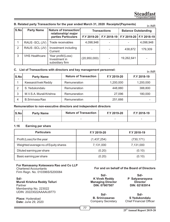**Steadfast Corporation Limited**

|      | B. Related party Transactions for the year ended March 31, 2020 Receipts/(Payments)<br>In INR |                                                        |                     |             |                            |                           |  |
|------|-----------------------------------------------------------------------------------------------|--------------------------------------------------------|---------------------|-------------|----------------------------|---------------------------|--|
| S.No | <b>Party Name</b>                                                                             | Nature of transaction/<br>relationship/ major          | <b>Transactions</b> |             | <b>Balance Outstanding</b> |                           |  |
|      |                                                                                               | parties Particulars                                    | F.Y 2019-20         | F.Y 2018-19 |                            | F.Y 2019-20   F.Y 2018-19 |  |
|      | RAUS -SCL (JV)                                                                                | Trade receivables                                      | 4.098.948           |             |                            | 4,098,948                 |  |
| 2    | RAUS -SCL (JV)                                                                                | Investment including<br>Current                        |                     |             | 438.872                    | 179,309                   |  |
| 3    | <b>VHS Healthcare</b>                                                                         | Year profit/(Loss)<br>Investment in<br>subsidiary firm | (20,950,000)        |             | 19.262.641                 |                           |  |

#### **C. List of Transactions with directors and key management personnel:**

In INR

| S.No | <b>Party Name</b>       | <b>Nature of Transaction</b> | F.Y 2019-20 | F.Y 2018-19 |
|------|-------------------------|------------------------------|-------------|-------------|
|      | KeesaraVivek Reddy      | Remuneration                 | 1,200,000   | 1,200,000   |
|      | S. Yedukondalu          | Remuneration                 | 448,880     | 388,800     |
|      | M.V.S.A. Murali Krishna | Remuneration                 | 27.096      | 180,000     |
|      | B.Sriniyasa Rao         | Remuneration                 | 251,666     |             |

#### **Remuneration to non-executive directors and independent directors**

| S.Nol                    | <b>Party Name</b> | <b>Nature of Transaction</b> | F.Y 2019-20              | F.Y 2018-19              |
|--------------------------|-------------------|------------------------------|--------------------------|--------------------------|
| $\overline{\phantom{0}}$ |                   | $\sim$                       | $\overline{\phantom{a}}$ | $\overline{\phantom{0}}$ |

# **1.16 Earning per share**

| <b>Particulars</b>                   | F.Y 2019-20 | F.Y 2018-19 |
|--------------------------------------|-------------|-------------|
| Profit (Loss) for the year           | (1,437,254) | (730, 171)  |
| Weighted average no.of Equity shares | 7,131,000   | 7,131,000   |
| Diluted earning per share            | (0.20)      | (0.10)      |
| Basic earning per share              | (0.20)      | (0.10)      |

## **For Ramasamy Koteswara Rao and Co LLP**

Chartered Accountants Firm Regn. No. 010396S/S200084

**Sd/- Murali Krishna Reddy Telluri** Partner Membership No. 223022 UDIN: 20223022AAAAIJ9773

**Place:** Hyderabad **Date:** June 29, 2020 **For and on behalf of the Board of Directors**

**Sd/- K Vivek Reddy Managing Director DIN: 07907507**

**Sd/- P Satyanarayana Director DIN: 02183914**

**Sd/- B. Srinivasarao** Company Secretary

**Sd/- S Yedukondalu** Chief Financial Officer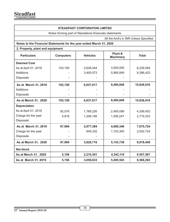# **STEADFAST CORPORATION LIMITED**

Notes forming part of Standalone financials statements

All the Amt's in INR Unless Specified

# **Notes to the Financial Statements for the year ended March 31, 2020**

| 2. Property, plant and equipment |  |  |
|----------------------------------|--|--|
|----------------------------------|--|--|

| <b>Particulars</b>   | <b>Computers</b> | <b>Vehicles</b> | Plant &<br><b>Machinery</b> | <b>Total</b> |
|----------------------|------------------|-----------------|-----------------------------|--------------|
| <b>Deemed Cost</b>   |                  |                 |                             |              |
| As at April 01, 2018 | 103,150          | 2,636,444       | 3,500,000                   | 6,239,594    |
| Additions            |                  | 3,400,573       | 5,995,849                   | 9,396,422    |
| <b>Disposals</b>     |                  |                 |                             |              |
| As at March 31, 2019 | 103,150          | 6,037,017       | 9,495,849                   | 15,636,016   |
| Additions            |                  |                 |                             |              |
| <b>Disposals</b>     |                  |                 |                             |              |
| As at March 31, 2020 | 103,150          | 6,037,017       | 9,495,849                   | 15,636,016   |
| <b>Depreciation</b>  |                  |                 |                             |              |
| As at April 01, 2018 | 92,076           | 1,769,226       | 2,495,099                   | 4,356,402    |
| Charge for the year  | 5,918            | 1,208,158       | 1,505,247                   | 2,719,323    |
| <b>Disposals</b>     |                  |                 |                             |              |
| As at March 31, 2019 | 97,994           | 2,977,384       | 4,000,346                   | 7,075,724    |
| Charge for the year  |                  | 849,332         | 1,153,393                   | 2,002,724    |
| <b>Disposals</b>     |                  |                 |                             |              |
| As at March 31, 2020 | 97,994           | 3,826,716       | 5,153,739                   | 9,078,449    |
| <b>Net block</b>     |                  |                 |                             |              |
| As at March 31, 2020 | 5,156            | 2,210,301       | 4,342,110                   | 6,557,567    |
| As at March 31, 2019 | 5,156            | 3,059,633       | 5,495,503                   | 8,560,292    |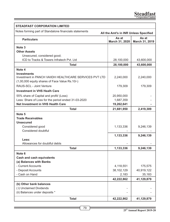| <b>STEADFAST CORPORATION LIMITED</b>                                                            |                         |                         |  |  |  |
|-------------------------------------------------------------------------------------------------|-------------------------|-------------------------|--|--|--|
| Notes forming part of Standalone financials statements<br>All the Amt's in INR Unless Specified |                         |                         |  |  |  |
| <b>Particulars</b>                                                                              | As at<br>March 31, 2020 | As at<br>March 31, 2019 |  |  |  |
| Note 3                                                                                          |                         |                         |  |  |  |
| <b>Other Assets</b>                                                                             |                         |                         |  |  |  |
| Unsecured, considered good;                                                                     |                         |                         |  |  |  |
| ICD to Tracks & Towers Infratech Pyt. Ltd                                                       | 28,100,000              | 43,600,000              |  |  |  |
| Total                                                                                           | 28,100,000              | 43,600,000              |  |  |  |
| Note 4                                                                                          |                         |                         |  |  |  |
| <b>Investments</b><br>Investment in PANCH VAIIDH HEALTHCARE SERVICES PVT LTD                    | 2,240,000               | 2,240,000               |  |  |  |
| (1,00,000 equity shares of Face Value Rs.10/-)                                                  |                         |                         |  |  |  |
| RAUS-SCL - Joint Venture                                                                        | 179,309                 | 179,309                 |  |  |  |
| <b>Investment in VHS Healh Care</b>                                                             |                         |                         |  |  |  |
| 55% share of Capital and profit/ (Loss)                                                         | 20,950,000              |                         |  |  |  |
| Less: Share of Loss for the period ended 31-03-2020                                             | 1,687,359               |                         |  |  |  |
| <b>Net Investment in VHS Health Care</b>                                                        | 19,262,641              |                         |  |  |  |
| <b>Total</b>                                                                                    | 21,681,950              | 2,419,309               |  |  |  |
| Note 5                                                                                          |                         |                         |  |  |  |
| <b>Trade Receivables</b>                                                                        |                         |                         |  |  |  |
| Unsecured                                                                                       |                         |                         |  |  |  |
| Considered good                                                                                 | 1,133,336               | 9,246,139               |  |  |  |
| Considered doubtful                                                                             |                         |                         |  |  |  |
|                                                                                                 | 1,133,336               | 9,246,139               |  |  |  |
| Less:                                                                                           |                         |                         |  |  |  |
| Allowances for doubtful debts                                                                   |                         |                         |  |  |  |
| <b>Total</b>                                                                                    | 1,133,336               | 9,246,139               |  |  |  |
| Note 6                                                                                          |                         |                         |  |  |  |
| <b>Cash and cash equivalents</b>                                                                |                         |                         |  |  |  |
| (a) Balances with Banks                                                                         |                         |                         |  |  |  |
| - Current Accounts                                                                              | 4,118,551               | 175,575                 |  |  |  |
| - Deposit Accounts                                                                              | 38,102,129              | 40,919,122              |  |  |  |
| - Cash on Hand                                                                                  | 2,183                   | 35,183                  |  |  |  |
|                                                                                                 | 42,222,862              | 41,129,879              |  |  |  |
| (b) Other bank balances                                                                         |                         |                         |  |  |  |
| (i) Unclaimed Dividends                                                                         |                         |                         |  |  |  |
| (ii) Balances under deposits *                                                                  |                         |                         |  |  |  |
| <b>Total</b>                                                                                    | 42,222,862              | 41,129,879              |  |  |  |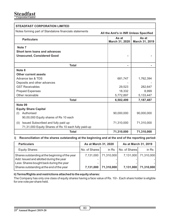# **Steadfast Corporation Limited**

| <b>STEADFAST CORPORATION LIMITED</b>                                                            |                                                    |            |  |  |  |
|-------------------------------------------------------------------------------------------------|----------------------------------------------------|------------|--|--|--|
| Notes forming part of Standalone financials statements<br>All the Amt's in INR Unless Specified |                                                    |            |  |  |  |
| <b>Particulars</b>                                                                              | As at<br>As at<br>March 31, 2020<br>March 31, 2019 |            |  |  |  |
| Note <sub>7</sub>                                                                               |                                                    |            |  |  |  |
| Short term loans and advances                                                                   |                                                    |            |  |  |  |
| <b>Unsecured, Considered Good</b>                                                               |                                                    |            |  |  |  |
| <b>Total</b>                                                                                    |                                                    |            |  |  |  |
| Note 8                                                                                          |                                                    |            |  |  |  |
| Other current assets                                                                            |                                                    |            |  |  |  |
| Advance tax & TDS                                                                               | 681,747                                            | 1,762,394  |  |  |  |
| Deposits and other advances                                                                     |                                                    |            |  |  |  |
| <b>GST Receivables</b>                                                                          | 29,523                                             | 282,647    |  |  |  |
| <b>Prepaid Expenses</b>                                                                         | 18.332                                             | 8.999      |  |  |  |
| Other receivable                                                                                | 5,772,897                                          | 5,133,447  |  |  |  |
| <b>Total</b>                                                                                    | 6,502,499                                          | 7,187,487  |  |  |  |
| Note 09                                                                                         |                                                    |            |  |  |  |
| <b>Equity Share Capital</b>                                                                     |                                                    |            |  |  |  |
| Authorised<br>(1)                                                                               | 90,000,000                                         | 90,000,000 |  |  |  |
| 90,00,000 Equity shares of Rs 10 each                                                           |                                                    |            |  |  |  |
| Issued Subscribed and fully paid up:<br>(ii)                                                    | 71,310,000                                         | 71,310,000 |  |  |  |
| 71,31,000 Equity Shares of Rs 10 each fully paid-up                                             |                                                    |            |  |  |  |
| <b>Total</b>                                                                                    | 71,310,000                                         | 71,310,000 |  |  |  |

## **ii) Reconciliation of the shares outstanding at the beginning and at the end of the reporting period:**

| <b>Particulars</b>                                                                                                                                                                   | As at March 31, 2020   |                          | As at March 31, 2019   |                          |
|--------------------------------------------------------------------------------------------------------------------------------------------------------------------------------------|------------------------|--------------------------|------------------------|--------------------------|
| Equity Shares:                                                                                                                                                                       | No. of Shares I        | in Rs                    | No. of Shares          | in Rs                    |
| Shares outstanding at the beginning of the year<br>Add: Issued and allotted during the year<br>Less: Shares bought back during the year<br>Shares outstanding at the end of the year | 7,131,000<br>7,131,000 | 71,310,000<br>71.310.000 | 7.131.000<br>7,131,000 | 71,310,000<br>71,310,000 |

## **ii) Terms/Rights and restrictions attached to the equity shares:**

The Company has only one class of equity shares having a face value of Rs. 10/-. Each share holder is eligible for one vote per share held.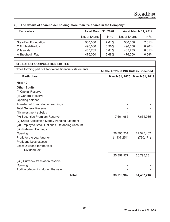| <b>Particulars</b>   | As at March 31, 2020 |        | As at March 31, 2019 |        |
|----------------------|----------------------|--------|----------------------|--------|
|                      | No. of Shares        | in $%$ | No. of Shares        | in $%$ |
| Steadfast Foundation | 500,000              | 7.01%  | 500,000              | 7.01%  |
| C Akhilesh Reddy     | 496,500              | 6.96%  | 496,500              | 6.96%  |
| K Jayalata           | 485,785              | 6.81%  | 485,785              | 6.81%  |
| A Sheshagiri Rao     | 476,000              | 6.68%  | 476,000              | 6.68%  |

# **iii) The details of shareholder holding more than 5% shares in the Company:**

| <b>STEADFAST CORPORATION LIMITED</b>                                                            |                                  |            |  |  |
|-------------------------------------------------------------------------------------------------|----------------------------------|------------|--|--|
| Notes forming part of Standalone financials statements<br>All the Amt's in INR Unless Specified |                                  |            |  |  |
| <b>Particulars</b>                                                                              | March 31, 2019<br>March 31, 2020 |            |  |  |
| Note 10                                                                                         |                                  |            |  |  |
| <b>Other Equity</b>                                                                             |                                  |            |  |  |
| (i) Capital Reserve                                                                             |                                  |            |  |  |
| (ii) General Reserve                                                                            |                                  |            |  |  |
| Opening balance                                                                                 |                                  |            |  |  |
| Transferred from retained earnings                                                              |                                  |            |  |  |
| <b>Total General Reserve</b>                                                                    |                                  |            |  |  |
| (iii) Investment subsidy                                                                        |                                  |            |  |  |
| (iv) Securities Premium Reserve                                                                 | 7,661,985                        | 7,661,985  |  |  |
| (v) Share Application Money Pending Allotment                                                   |                                  |            |  |  |
| (vi) Employee Stock Options Outstanding Account                                                 |                                  |            |  |  |
| (vii) Retained Earnings                                                                         |                                  |            |  |  |
| Opening                                                                                         | 26,795,231                       | 27,525,402 |  |  |
| Profit for the year/quarter                                                                     | (1,437,254)                      | (730, 171) |  |  |
| Profit and Loss excess                                                                          |                                  |            |  |  |
| Less: Dividend for the year                                                                     |                                  |            |  |  |
| Dividend tax                                                                                    |                                  |            |  |  |
|                                                                                                 | 25,357,977                       | 26,795,231 |  |  |
| (viii) Currency translation reserve                                                             |                                  |            |  |  |
| Opening                                                                                         |                                  |            |  |  |
| Addition/deduction during the year                                                              |                                  |            |  |  |
| <b>Total</b>                                                                                    | 33,019,962                       | 34,457,216 |  |  |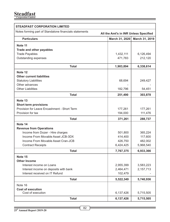| <b>STEADFAST CORPORATION LIMITED</b>                                                            |                                  |           |  |  |
|-------------------------------------------------------------------------------------------------|----------------------------------|-----------|--|--|
| Notes forming part of Standalone financials statements<br>All the Amt's in INR Unless Specified |                                  |           |  |  |
| <b>Particulars</b>                                                                              | March 31, 2020<br>March 31, 2019 |           |  |  |
| Note 11                                                                                         |                                  |           |  |  |
| Trade and other payables                                                                        |                                  |           |  |  |
| <b>Trade Payables</b>                                                                           | 1,432,111                        | 6,126,494 |  |  |
| Outstanding expenses                                                                            | 471,783                          | 212,120   |  |  |
| <b>Total</b>                                                                                    | 1,903,894                        | 6,338,614 |  |  |
| Note 12                                                                                         |                                  |           |  |  |
| <b>Other current liabilities</b>                                                                |                                  |           |  |  |
| <b>Statutory Liabilities</b>                                                                    | 68,694                           | 249,427   |  |  |
| Other advances                                                                                  |                                  |           |  |  |
| <b>Other Liabilities</b>                                                                        | 182,796                          | 54,451    |  |  |
| <b>Total</b>                                                                                    | 251,490                          | 303,878   |  |  |
| Note 13                                                                                         |                                  |           |  |  |
| <b>Short term provisions</b>                                                                    |                                  |           |  |  |
| Provision for Leave Encashment - Short Term                                                     | 177,261                          | 177,261   |  |  |
| Provision for tax                                                                               | 194,000                          | 111,476   |  |  |
| <b>Total</b>                                                                                    | 371,261                          | 288,737   |  |  |
| Note 14                                                                                         |                                  |           |  |  |
| <b>Revenue from Operations</b>                                                                  |                                  |           |  |  |
| Income from Dozer - Hire charges                                                                | 501,800                          | 365,224   |  |  |
| Income From Movable Asset JCB-3DX                                                               | 414,400                          | 117,600   |  |  |
| Income From Movable Asset Cran-JCB                                                              | 426,750                          | 482,002   |  |  |
| <b>Contract Receipts</b>                                                                        | 6,424,425                        | 5,968,540 |  |  |
| <b>Total</b>                                                                                    | 7,767,375                        | 6,933,366 |  |  |
| Note 15                                                                                         |                                  |           |  |  |
| <b>Other Income</b>                                                                             |                                  |           |  |  |
| Interest income on Loans                                                                        | 2,955,399                        | 3,583,223 |  |  |
| Interest income on deposits with bank                                                           | 2,464,471                        | 2,157,713 |  |  |
| Interest received on IT Refund                                                                  | 102,479                          |           |  |  |
| <b>Total</b>                                                                                    | 5,522,349                        | 5,740,936 |  |  |
| Note 16                                                                                         |                                  |           |  |  |
| <b>Cost of execution</b>                                                                        |                                  |           |  |  |
| Cost of execution                                                                               | 6,137,426                        | 5,715,505 |  |  |
| <b>Total</b>                                                                                    | 6,137,426                        | 5,715,505 |  |  |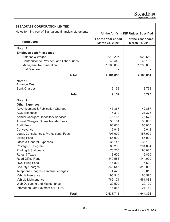| <b>STEADFAST CORPORATION LIMITED</b>                   |                                      |                                       |  |  |
|--------------------------------------------------------|--------------------------------------|---------------------------------------|--|--|
| Notes forming part of Standalone financials statements |                                      | All the Amt's in INR Unless Specified |  |  |
| <b>Particulars</b>                                     | For the Year ended<br>March 31, 2020 | For the Year ended<br>March 31, 2019  |  |  |
| Note 17                                                |                                      |                                       |  |  |
| <b>Employee benefit expense</b>                        |                                      |                                       |  |  |
| Salaries & Wages                                       | 912,207                              | 920,689                               |  |  |
| Contribution to Provident and Other Funds              | 49,448                               | 46,165                                |  |  |
| Managerial Remuneration                                | 1,200,000                            | 1,200,000                             |  |  |
| <b>Staff Welfare</b>                                   |                                      |                                       |  |  |
| <b>Total</b>                                           | 2,161,655                            | 2,166,854                             |  |  |
| Note 18                                                |                                      |                                       |  |  |
| <b>Finance Cost</b>                                    |                                      |                                       |  |  |
| <b>Bank Charges</b>                                    | 9,152                                | 8,798                                 |  |  |
| <b>Total</b>                                           | 9,152                                | 8,798                                 |  |  |
| Note 19                                                |                                      |                                       |  |  |
| <b>Other Expenses</b>                                  |                                      |                                       |  |  |
| <b>Advertisement &amp; Publication Charges</b>         | 45,367                               | 42,887                                |  |  |
| <b>AGM Expenses</b>                                    | 5,312                                | 21,375                                |  |  |
| <b>Annual Charges: Depository Services</b>             | 71,185                               | 76,573                                |  |  |
| Annual Charges: Share Transfer Fees                    | 36,184                               | 30,000                                |  |  |
| <b>Audit Fees</b>                                      | 65,000                               | 65,000                                |  |  |
| Conveyance                                             | 6,943                                | 5,642                                 |  |  |
| Legal, Consultancy & Professional Fees                 | 707,000                              | 157,000                               |  |  |
| <b>Listing Fees</b>                                    | 55,000                               | 55,000                                |  |  |
| Office & General Expenses                              | 31,145                               | 36,100                                |  |  |
| Postage & Telegram                                     | 89,290                               | 201,004                               |  |  |
| Printing & Stationary                                  | 70,200                               | 90,025                                |  |  |
| Rates & Taxes                                          | 18,600                               | 6,850                                 |  |  |
| Regd Office Rent                                       | 149,586                              | 144,000                               |  |  |
| <b>ROC Filing Fees</b>                                 | 16,800                               | 6,600                                 |  |  |
| <b>Security Charges</b>                                | 346,645                              | 313,006                               |  |  |
| Telephone Chagres & Internet charges                   | 4,426                                | 9,012                                 |  |  |
| Vehicle Insurance                                      | 95,546                               | 60,570                                |  |  |
| <b>Vehicle Maintenance</b>                             | 786,124                              | 581,883                               |  |  |
| Web Designing and Maintenance                          | 20,500                               | 20,100                                |  |  |
| Interest on Late Payment of IT TDS                     | 16,863                               | 21,769                                |  |  |
| <b>Total</b>                                           | 2,637,715                            | 1,944,396                             |  |  |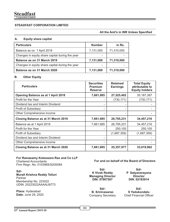# **STEADFAST CORPORATION LIMITED**

#### **All the Amt's in INR Unless Specified**

#### **A. Equity share capital**

| <b>Particulars</b>                              | <b>Number</b>            | in Rs.     |
|-------------------------------------------------|--------------------------|------------|
| Balance as on 1 April 2018                      | 7,131,000                | 71,310,000 |
| Changes in equity share capital during the year |                          |            |
| Balance as on 31 March 2019                     | 7,131,000                | 71,310,000 |
| Changes in equity share capital during the year | $\overline{\phantom{0}}$ |            |
| Balance as on 31 March 2020                     | 7,131,000                | 71,310,000 |

#### **B. Other Equity**

| <b>Particulars</b>                        | <b>Securities</b><br><b>Premium</b><br><b>Reserve</b> | <b>Retained</b><br><b>Earnings</b> | <b>Total Equity</b><br>attributable to<br><b>Equity holders</b> |
|-------------------------------------------|-------------------------------------------------------|------------------------------------|-----------------------------------------------------------------|
| <b>Opening Balance as at 1 April 2018</b> | 7,661,985                                             | 27,525,402                         | 35, 187, 387                                                    |
| Profit for the Year                       |                                                       | (730, 171)                         | (730, 171)                                                      |
| Dividend tax and Interim Dividend         |                                                       |                                    |                                                                 |
| Profit of Subsidiary                      |                                                       |                                    |                                                                 |
| Other Comprehensive income                |                                                       |                                    |                                                                 |
| Closing Balance as at 31 March 2019       | 7,661,985                                             | 26,795,231                         | 34,457,216                                                      |
| Balance as at 1 April 2019                | 7,661,985                                             | 26,795,231                         | 34,457,216                                                      |
| Profit for the Year                       |                                                       | 250,105                            | 250,105                                                         |
| Profit of Subsidiary                      |                                                       | (1,687,359)                        | (1,687,359)                                                     |
| Dividend tax and Interim Dividend         |                                                       |                                    |                                                                 |
| Other Comprehensive income                |                                                       |                                    |                                                                 |
| Closing Balance as at 31 March 2020       | 7,661,985                                             | 25,357,977                         | 33,019,962                                                      |

#### **For Ramasamy Koteswara Rao and Co LLP** Chartered Accountants

Firm Regn. No. 010396S/S200084

#### **Sd/- Murali Krishna Reddy Telluri** Partner Membership No. 223022 UDIN: 20223022AAAAIJ9773

**Place:** Hyderabad **Date:** June 29, 2020 **For and on behalf of the Board of Directors**

**Sd/- K Vivek Reddy Managing Director DIN: 07907507**

**Sd/- B. Srinivasarao** Company Secretary

**Sd/- P Satyanarayana Director DIN: 02183914**

**Sd/- S Yedukondalu** Chief Financial Officer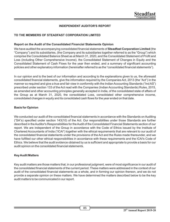# **INDEPENDENT AUDITOR'S REPORT**

# **TO THE MEMBERS OF STEADFAST CORPORATION LIMITED**

#### **Report on the Audit of the Consolidated Financial Statements Opinion**

We have audited the accompanying consolidated financial statements of Steadfast Corporation Limited (the "Company") and its subsidiaries, (the Company and its subsidiaries together referred to as the "Group") which comprise the Consolidated Balance Sheet as at March 31, 2020, and the Consolidated Statement of Profit and Loss (including Other Comprehensive Income), the Consolidated Statement of Changes in Equity and the Consolidated Statement of Cash Flows for the year then ended, and a summary of significant accounting policies and other explanatory information (hereinafter referred to as the "consolidated financial statements").

In our opinion and to the best of our information and according to the explanations given to us, the aforesaid consolidated financial statements, give the information required by the Companies Act, 2013 (the "Act") in the manner so required and give a true and fair view in conformity with the Indian Accounting Standards ("Ind AS") prescribed under section 133 of the Act read with the Companies (Indian Accounting Standards) Rules, 2015, as amended and other accounting principles generally accepted in India, of the consolidated state of affairs of the Group as at March 31, 2020, the consolidated Loss, consolidated other comprehensive income, consolidated changes in equity and its consolidated cash flows for the year ended on that date.

#### **Basis for Opinion**

We conducted our audit of the consolidated financial statements in accordance with the Standards on Auditing ("SA"s) specified under section 143(10) of the Act. Our responsibilities under those Standards are further described in the Auditor's Responsibilities for the Audit of the Consolidated Financial Statements section of our report. We are independent of the Group in accordance with the Code of Ethics issued by the Institute of Chartered Accountants of India ("ICAI") together with the ethical requirements that are relevant to our audit of the consolidated financial statements under the provisions of the Act and the Rules made thereunder, and we have fulfilled our other ethical responsibilities in accordance with these requirements and the ICAI's Code of Ethics. We believe that the audit evidence obtained by us is sufficient and appropriate to provide a basis for our audit opinion on the consolidated financial statements.

#### **Key Audit Matters**

Key audit matters are those matters that, in our professional judgment, were of most significance in our audit of the consolidated financial statements of the current period. These matters were addressed in the context of our audit of the consolidated financial statements as a whole, and in forming our opinion thereon, and we do not provide a separate opinion on these matters. We have determined the matters described below to be the key audit matters to be communicated in our report.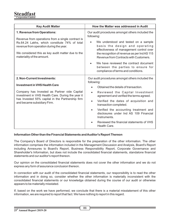| <b>Key Audit Matter</b>                                                                                                                                                                                                                                         | How the Matter was addressed in Audit                                                                                                                                                                                                                                                                                                                                                                                                                          |  |  |
|-----------------------------------------------------------------------------------------------------------------------------------------------------------------------------------------------------------------------------------------------------------------|----------------------------------------------------------------------------------------------------------------------------------------------------------------------------------------------------------------------------------------------------------------------------------------------------------------------------------------------------------------------------------------------------------------------------------------------------------------|--|--|
| 1. Revenue from Operations:<br>Revenue from operations from a single contract is<br>Rs.64.24 Lakhs, which constitute 74% of total<br>revenue from operation during the year.<br>We considered this as key audit matter due to the<br>materiality of the amount. | Our audit procedures amongst others included the<br>following:<br>We understood and tested on a sample<br>basis the design and operating<br>effectiveness of management control over<br>the recognition of revenue as per Ind AS 115<br>Revenue from Contracts with Customers.<br>We have reviewed the contract document<br>$\bullet$<br>between the parties to ensure for<br>compliance of terms and conditions.                                              |  |  |
| 2. Non-Current Investments:<br><b>Investment in VHS Health Care</b><br>Company has Invested as Partner vide Capital<br>investment in VHS Health Care. During the year it<br>has Invested 55% capital in the Partnership firm<br>and became subsidiary Firm.     | Our audit procedures amongst others included the<br>following:<br>Obtained the details of transaction.<br>Reviewed the Capital Investment<br>$\bullet$<br>agreement and verified the terms agreed.<br>Verified the dates of acquisition and<br>$\bullet$<br>transaction completed.<br>Verified the accounting treatment and<br>$\bullet$<br>disclosures under Ind AS 109 Financial<br>Instruments.<br>Reviewed the financial statements of VHS<br>Health Care. |  |  |

## **Information Other than the Financial Statements and Auditor's Report Thereon**

The Company's Board of Directors is responsible for the preparation of the other information. The other information comprises the information included in the Management Discussion and Analysis, Board's Report including Annexures to Board's Report, Business Responsibility Report, Corporate Governance and Shareholder's Information, but does not include the consolidated financial statements, standalone financial statements and our auditor's report thereon.

Our opinion on the consolidated financial statements does not cover the other information and we do not express any form of assurance conclusion thereon.

In connection with our audit of the consolidated financial statements, our responsibility is to read the other information and in doing so, consider whether the other information is materially inconsistent with the consolidated financial statements or our knowledge obtained during the course of our audit or otherwise appears to be materially misstated.

If, based on the work we have performed, we conclude that there is a material misstatement of this other information, we are required to report that fact. We have nothing to report in this regard.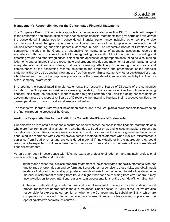## **Management's Responsibilities for the Consolidated Financial Statements**

The Company's Board of Directors is responsible for the matters stated in section 134(5) of the Act with respect to the preparation and presentation of these consolidated financial statements that give a true and fair view of the consolidated financial position, consolidated financial performance including other comprehensive income, consolidated changes in equity and consolidated cash flows of the Group in accordance with the Ind AS and other accounting principles generally accepted in India. The respective Boards of Directors of the companies included in the Group are responsible for maintenance of adequate accounting records in accordance with the provisions of the Act for safeguarding the assets of the Group and for preventing and detecting frauds and other irregularities; selection and application of appropriate accounting policies; making judgments and estimates that are reasonable and prudent; and design, implementation and maintenance of adequate internal financial controls, that were operating effectively for ensuring the accuracy and completeness of the accounting records, relevant to the preparation and presentation of the financial statements that give a true and fair view and are free from material misstatement, whether due to fraud or error, which have been used for the purpose of preparation of the consolidated financial statements by the Directors of the Company, as aforesaid.

In preparing the consolidated financial statements, the respective Boards of Directors of the companies included in the Group are responsible for assessing the ability of the respective entities to continue as a going concern, disclosing, as applicable, matters related to going concern and using the going concern basis of accounting unless the respective Boards of Directors either intend to liquidate their respective entities or to cease operations, or have no realistic alternative but to do so.

The respective Boards of Directors of the companies included in the Group are also responsible for overseeing the financial reporting process of the Group.

#### **Auditor's Responsibilities for the Audit of the Consolidated Financial Statements**

Our objectives are to obtain reasonable assurance about whether the consolidated financial statements as a whole are free from material misstatement, whether due to fraud or error, and to issue an auditor's report that includes our opinion. Reasonable assurance is a high level of assurance, but is not a guarantee that an audit conducted in accordance with SAs will always detect a material misstatement when it exists. Misstatements can arise from fraud or error and are considered material if, individually or in the aggregate, they could reasonably be expected to influence the economic decisions of users taken on the basis of these consolidated financial statements

As part of an audit in accordance with SAs, we exercise professional judgment and maintain professional skepticism throughout the audit. We also:

- Identify and assess the risks of material misstatement of the consolidated financial statements, whether due to fraud or error, design and perform audit procedures responsive to those risks, and obtain audit evidence that is sufficient and appropriate to provide a basis for our opinion. The risk of not detecting a material misstatement resulting from fraud is higher than for one resulting from error, as fraud may involve collusion, forgery, intentional omissions, misrepresentations, or the override of internal control.
- Obtain an understanding of internal financial control relevant to the audit in order to design audit procedures that are appropriate in the circumstances. Under section 143(3)(i) of the Act, we are also responsible for expressing our opinion on whether the Company and its subsidiary Entity which are companies incorporated in India, has adequate internal financial controls system in place and the operating effectiveness of such controls.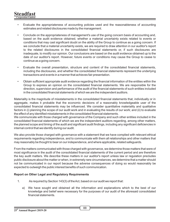- Evaluate the appropriateness of accounting policies used and the reasonableness of accounting estimates and related disclosures made by the management.
- Conclude on the appropriateness of management's use of the going concern basis of accounting and, based on the audit evidence obtained, whether a material uncertainty exists related to events or conditions that may cast significant doubt on the ability of the Group to continue as a going concern. If we conclude that a material uncertainty exists, we are required to draw attention in our auditor's report to the related disclosures in the consolidated financial statements or, if such disclosures are inadequate, to modify our opinion. Our conclusions are based on the audit evidence obtained up to the date of our auditor's report. However, future events or conditions may cause the Group to cease to continue as a going concern.
- Evaluate the overall presentation, structure and content of the consolidated financial statements, including the disclosures, and whether the consolidated financial statements represent the underlying transactions and events in a manner that achieves fair presentation.
- Obtain sufficient appropriate audit evidence regarding the financial information of the entities within the Group to express an opinion on the consolidated financial statements. We are responsible for the direction, supervision and performance of the audit of the financial statements of such entities included in the consolidated financial statements of which we are the independent auditors.

Materiality is the magnitude of misstatements in the consolidated financial statements that, individually or in aggregate, makes it probable that the economic decisions of a reasonably knowledgeable user of the consolidated financial statements may be influenced. We consider quantitative materiality and qualitative factors in (i) planning the scope of our audit work and in evaluating the results of our work; and (ii) to evaluate the effect of any identified misstatements in the consolidated financial statements.

We communicate with those charged with governance of the Company and such other entities included in the consolidated financial statements of which we are the independent auditors regarding, among other matters, the planned scope and timing of the audit and significant audit findings, including any significant deficiencies in internal control that we identify during our audit.

We also provide those charged with governance with a statement that we have complied with relevant ethical requirements regarding independence, and to communicate with them all relationships and other matters that may reasonably be thought to bear on our independence, and where applicable, related safeguards.

From the matters communicated with those charged with governance, we determine those matters that were of most significance in the audit of the consolidated financial statements of the current period and are therefore the key audit matters. We describe these matters in our auditor's report unless law or regulation precludes public disclosure about the matter or when, in extremely rare circumstances, we determine that a matter should not be communicated in our report because the adverse consequences of doing so would reasonably be expected to outweigh the public interest benefits of such communication.

# **Report on Other Legal and Regulatory Requirements**

- 1. As required by Section 143(3) of the Act, based on our audit we report that:
	- a) We have sought and obtained all the information and explanations which to the best of our knowledge and belief were necessary for the purposes of our audit of the aforesaid consolidated financial statements.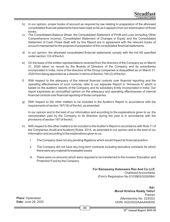- b) In our opinion, proper books of account as required by law relating to preparation of the aforesaid consolidated financial statements have been kept so far as it appears from our examination of those books.
- c) The Consolidated Balance Sheet, the Consolidated Statement of Profit and Loss (including Other Comprehensive Income), Consolidated Statement of Changes in Equity and the Consolidated Statement of Cash Flows dealt with by this Report are in agreement with the relevant books of account maintained for the purpose of preparation of the consolidated financial statements.
- d) In our opinion, the aforesaid consolidated financial statements comply with the Ind AS specified under section 133 of the Act.
- e) On the basis of the written representations received from the directors of the Company as on March 31, 2020 taken on record by the Boards of Directors of the Company and its subsidiaries incorporated in India, none of the directors of the Group companies is disqualified as on March 31, 2020 from being appointed as a director in terms of Section 164 (2) of the Act.
- f) With respect to the adequacy of the internal financial controls over financial reporting and the operating effectiveness of such controls, refer to our separate Report in "Annexure A" which is based on the auditors' reports of the Company and its subsidiary Entity incorporated in India. Our report expresses an unmodified opinion on the adequacy and operating effectiveness of internal financial controls over financial reporting of those companies.
- g) With respect to the other matters to be included in the Auditor's Report in accordance with the requirements of section 197(16) of the Act, as amended:

In our opinion and to the best of our information and according to the explanations given to us, the remuneration paid by the Company to its directors during the year is in accordance with the provisions of section 197 of the Act.

- h) With respect to the other matters to be included in the Auditor's Report in accordance with Rule 11 of the Companies (Audit and Auditors) Rules, 2014, as amended in our opinion and to the best of our information and according to the explanations given to us:
	- I. The Company does not any pending litigations which would impact its financial position.
	- ii. The Company did not have any long-term contracts including derivative contracts for which there were any material foreseeable losses.
	- iii. There were no amounts which were required to be transferred to the Investor Education and Protection Fund by the Company.

# **For Ramasamy Koteswara Rao And Co LLP,** Chartered Accountants

(Firm's Registration No.010396S/S200084)

**Place:** Hyderabad **Date:** June 29, 2020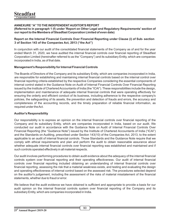# **ANNEXURE "A" TO THE INDEPENDENT AUDITOR'S REPORT**

**(Referred to in paragraph 1 (f) under 'Report on Other Legal and Regulatory Requirements' section of our report to the Members of Steadfast Corporation Limited of even date)**

## **Report on the Internal Financial Controls Over Financial Reporting under Clause (i) of Sub- section 3 of Section 143 of the Companies Act, 2013 ("the Act")**

In conjunction with our audit of the consolidated financial statements of the Company as of and for the year ended March 31, 2020, we have audited the internal financial controls over financial reporting of Steadfast Corporation Limited (hereinafter referred to as the "Company") and its subsidiary Entity, which are companies incorporated in India, as of that date.

## **Management's Responsibility for Internal Financial Controls**

The Boards of Directors of the Company and its subsidiary Entity, which are companies incorporated in India, are responsible for establishing and maintaining internal financial controls based on the internal control over financial reporting criteria established by the respective Companies considering the essential components of internal control stated in the Guidance Note on Audit of Internal Financial Controls Over Financial Reporting issued by the Institute of Chartered Accountants of India (the "ICAI"). These responsibilities include the design, implementation and maintenance of adequate internal financial controls that were operating effectively for ensuring the orderly and efficient conduct of its business, including adherence to the respective company's policies, the safeguarding of its assets, the prevention and detection of frauds and errors, the accuracy and completeness of the accounting records, and the timely preparation of reliable financial information, as required under the Act.

## **Auditor's Responsibility**

Our responsibility is to express an opinion on the internal financial controls over financial reporting of the Company and its subsidiary Entity, which are companies incorporated in India, based on our audit. We conducted our audit in accordance with the Guidance Note on Audit of Internal Financial Controls Over Financial Reporting (the "Guidance Note") issued by the Institute of Chartered Accountants of India ("ICAI") and the Standards on Auditing, prescribed under Section 143(10) of the Companies Act, 2013, to the extent applicable to an audit of internal financial controls. Those Standards and the Guidance Note require that we comply with ethical requirements and plan and perform the audit to obtain reasonable assurance about whether adequate internal financial controls over financial reporting was established and maintained and if such controls operated effectively in all material respects.

Our audit involves performing procedures to obtain audit evidence about the adequacy of the internal financial controls system over financial reporting and their operating effectiveness. Our audit of internal financial controls over financial reporting included obtaining an understanding of internal financial controls over financial reporting, assessing the risk that a material weakness exists, and testing and evaluating the design and operating effectiveness of internal control based on the assessed risk. The procedures selected depend on the auditor's judgement, including the assessment of the risks of material misstatement of the financial statements, whether due to fraud or error.

We believe that the audit evidence we have obtained is sufficient and appropriate to provide a basis for our audit opinion on the internal financial controls system over financial reporting of the Company and its subsidiary Entity, which are companies incorporated in India.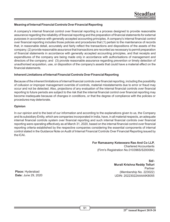# **Meaning of Internal Financial Controls Over Financial Reporting**

A company's internal financial control over financial reporting is a process designed to provide reasonable assurance regarding the reliability of financial reporting and the preparation of financial statements for external purposes in accordance with generally accepted accounting principles. A company's internal financial control over financial reporting includes those policies and procedures that (1) pertain to the maintenance of records that, in reasonable detail, accurately and fairly reflect the transactions and dispositions of the assets of the company; (2) provide reasonable assurance that transactions are recorded as necessary to permit preparation of financial statements in accordance with generally accepted accounting principles, and that receipts and expenditures of the company are being made only in accordance with authorisations of management and directors of the company; and (3) provide reasonable assurance regarding prevention or timely detection of unauthorised acquisition, use, or disposition of the company's assets that could have a material effect on the financial statements.

## **Inherent Limitations of Internal Financial Controls Over Financial Reporting**

Because of the inherent limitations of internal financial controls over financial reporting, including the possibility of collusion or improper management override of controls, material misstatements due to error or fraud may occur and not be detected. Also, projections of any evaluation of the internal financial controls over financial reporting to future periods are subject to the risk that the internal financial control over financial reporting may become inadequate because of changes in conditions, or that the degree of compliance with the policies or procedures may deteriorate.

# **Opinion**

In our opinion and to the best of our information and according to the explanations given to us, the Company and its subsidiary Entity, which are companies incorporated in India, have, in all material respects, an adequate internal financial controls system over financial reporting and such internal financial controls over financial reporting were operating effectively as at March 31, 2020, based on the internal financial control over financial reporting criteria established by the respective companies considering the essential components of internal control stated in the Guidance Note on Audit of Internal Financial Controls Over Financial Reporting issued by the ICAI**.**

# **For Ramasamy Koteswara Rao And Co LLP,**

Chartered Accountants (Firm's Registration No.010396S/S200084)

> **Sd/- Murali Krishna Reddy Telluri** Partner (Membership No. 223022) UDIN: 20223022AAAAIK8055

**Place:** Hyderabad **Date:** June 29, 2020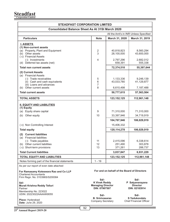| <b>STEADFAST CORPORATION LIMITED</b>                                                                                                                                                                                                                       |                                                                                                                                                                                                 |                                                    |                                                    |  |
|------------------------------------------------------------------------------------------------------------------------------------------------------------------------------------------------------------------------------------------------------------|-------------------------------------------------------------------------------------------------------------------------------------------------------------------------------------------------|----------------------------------------------------|----------------------------------------------------|--|
| <b>Consolidated Balance Sheet As At 31St March 2020</b>                                                                                                                                                                                                    |                                                                                                                                                                                                 |                                                    |                                                    |  |
| All the Amt's in INR Unless Specified                                                                                                                                                                                                                      |                                                                                                                                                                                                 |                                                    |                                                    |  |
| <b>Particulars</b>                                                                                                                                                                                                                                         | <b>Note</b>                                                                                                                                                                                     | March 31, 2020                                     | March 31, 2019                                     |  |
| <b>I. ASSETS</b><br>(1) Non-current assets<br>(a) Property, Plant and Equipment<br>(b) Other assets<br>(c) Financial Assets<br>(i) Investments                                                                                                             | 2<br>3<br>4                                                                                                                                                                                     | 40,818,823<br>28,100,000                           | 8,560,294<br>43,600,000                            |  |
| (d) Deferred tax assets (net)                                                                                                                                                                                                                              |                                                                                                                                                                                                 | 2,797,296<br>658,391                               | 2,682,012<br>555,338                               |  |
| <b>Total non current assets</b>                                                                                                                                                                                                                            |                                                                                                                                                                                                 | 72,374,510                                         | 55,397,644                                         |  |
| (2) Current Assets<br>(a) Financial Assets<br>(i) Trade receivables<br>(ii) Cash and cash equivalents<br>(iii) Loans and advances<br>(b) Other current assets<br><b>Total current assets</b>                                                               | 5<br>6<br>7<br>8                                                                                                                                                                                | 1,133,336<br>43,033,780<br>6,610,498<br>50,777,615 | 9,246,139<br>41,129,877<br>7,187,488<br>57,563,504 |  |
| <b>TOTAL ASSETS</b>                                                                                                                                                                                                                                        |                                                                                                                                                                                                 | 123,152,125                                        | 112,961,148                                        |  |
| <b>II. EQUITY AND LIABILITIES</b><br>(1) Equity<br>(a) Equity share capital<br>(b) Other equity                                                                                                                                                            | 9<br>10                                                                                                                                                                                         | 71,310,000<br>33,397,946                           | 71,310,000<br>34,719,919                           |  |
|                                                                                                                                                                                                                                                            |                                                                                                                                                                                                 | 104,707,946                                        | 106,029,919                                        |  |
| (c) Non Controlling Interest                                                                                                                                                                                                                               |                                                                                                                                                                                                 | 15,406,332                                         |                                                    |  |
| <b>Total equity</b>                                                                                                                                                                                                                                        |                                                                                                                                                                                                 | 120, 114, 278                                      | 106,029,919                                        |  |
| (2) Current liabilities<br>(a) Financial liabilities<br>(i) Trade payables<br>(b) Other current liabilities<br>(c) Short-term provisions<br><b>Total Current liabilities</b>                                                                               | 11<br>12<br>13                                                                                                                                                                                  | 2,415,096<br>251,490<br>371,261<br>3,037,847       | 6,338,614<br>303,878<br>288,737<br>6,931,229       |  |
| <b>TOTAL EQUITY AND LIABILITIES</b>                                                                                                                                                                                                                        |                                                                                                                                                                                                 | 123, 152, 125                                      | 112,961,148                                        |  |
| Notes forming part of the financial statements                                                                                                                                                                                                             | $1 - 19$                                                                                                                                                                                        |                                                    |                                                    |  |
| As per our report of even date attached<br>For Ramasamy Koteswara Rao and Co LLP<br><b>Chartered Accountants</b><br>Firm Regn. No. 010396S/S200084<br>Sd/-<br>Murali Krishna Reddy Telluri<br>Partner<br>Membership No. 223022<br>UDIN: 20223022AAAAIK8055 | For and on behalf of the Board of Directors<br>Sd/-<br>Sd/-<br><b>K Vivek Reddy</b><br>P Satyanarayana<br><b>Director</b><br><b>Managing Director</b><br>DIN: 07907507<br>DIN: 02183914<br>Sd/- |                                                    |                                                    |  |
| Place: Hyderabad<br>Date: June 29, 2020                                                                                                                                                                                                                    | Sd/-<br><b>B. Srinivasarao</b><br>Company Secretary                                                                                                                                             |                                                    | S Yedukondalu<br><b>Chief Financial Officer</b>    |  |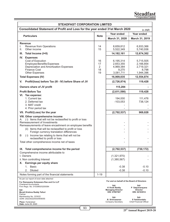| <b>STEADFAST CORPORATION LIMITED</b>                                                                                                                                                                                                                  |                           |                                                                    |                                                           |  |  |
|-------------------------------------------------------------------------------------------------------------------------------------------------------------------------------------------------------------------------------------------------------|---------------------------|--------------------------------------------------------------------|-----------------------------------------------------------|--|--|
| Consolidated Statement of Profit and Loss for the year ended 31st March 2020<br>In INR                                                                                                                                                                |                           |                                                                    |                                                           |  |  |
| <b>Particulars</b>                                                                                                                                                                                                                                    | <b>Note</b>               | Year ended                                                         | Year ended                                                |  |  |
|                                                                                                                                                                                                                                                       |                           | March 31, 2020                                                     | March 31, 2019                                            |  |  |
| <b>Revenue</b><br>Revenue from Operations<br>I.<br>Other income<br>II.                                                                                                                                                                                | 14<br>15                  | 8,659,812<br>5,522,349                                             | 6,933,366<br>5,740,936                                    |  |  |
| Ш.<br>Total Income (I+II)                                                                                                                                                                                                                             |                           | 14,182,161                                                         | 12,674,302                                                |  |  |
| IV. Expenses<br>Cost of Execution<br><b>Employee Benefits Expenses</b><br>Depreciation and Amortization Expenses<br>Finance Cost<br><b>Other Expenses</b>                                                                                             | 16<br>17<br>2<br>18<br>19 | 6,195,314<br>2,653,355<br>4,969,384<br>9,270<br>3,081,711          | 5,715,505<br>2,166,854<br>2,719,321<br>8,798<br>1,944,396 |  |  |
| <b>Total Expenses (IV)</b>                                                                                                                                                                                                                            |                           | 16,909,035                                                         | 12,554,874                                                |  |  |
| Profit/(loss) before Tax (III - IV) before Share of JV<br>V.                                                                                                                                                                                          |                           | (2,726,874)                                                        | 119,428                                                   |  |  |
| Owners share of JV profit                                                                                                                                                                                                                             |                           | 115,284                                                            |                                                           |  |  |
| <b>Profit Before Tax</b>                                                                                                                                                                                                                              |                           | (2,611,590)                                                        | 119,428                                                   |  |  |
| VI. Tax expense:<br>1. Current tax<br>2. Deferred tax<br>3. MAT credit<br>4. Prior period tax                                                                                                                                                         |                           | 194,000<br>$-103,053$                                              | 111,476<br>738,124                                        |  |  |
| VII. Profit/(Loss) for the year                                                                                                                                                                                                                       |                           | (2,702,537)                                                        | 969,028                                                   |  |  |
| VIII. Other comprehensive income<br>A. (i) Items that will not be reclassified to profit or loss<br>Remeasurement of Investments<br>Remeasurements of leave encashment on employee benefits<br>(ii) Items that will be reclassified to profit or loss |                           |                                                                    |                                                           |  |  |
| Foreign currency translation differences<br>(i) Income tax relating to items that will not be<br>B<br>reclassified to profit or loss                                                                                                                  |                           |                                                                    |                                                           |  |  |
| Total other comprehensive income net of taxes                                                                                                                                                                                                         |                           |                                                                    |                                                           |  |  |
| IX. Total comprehensive income for the period                                                                                                                                                                                                         |                           | (2,702,537)                                                        | (730,172)                                                 |  |  |
| Comprehensive income attributable to<br>I. Owners<br>ii. Non controlling Interest<br>X. Earnings per equity share                                                                                                                                     |                           | (1,321,970)<br>(1,380,567)                                         |                                                           |  |  |
| 1. Basic                                                                                                                                                                                                                                              |                           | $-0.38$                                                            | $-0.10$                                                   |  |  |
| 2. Diluted                                                                                                                                                                                                                                            |                           | $-0.38$                                                            | $-0.10$                                                   |  |  |
| Notes forming part of the financial statements                                                                                                                                                                                                        | $1 - 19$                  |                                                                    |                                                           |  |  |
| As per our report of even date attached                                                                                                                                                                                                               |                           | For and on behalf of the Board of Directors                        |                                                           |  |  |
| For Ramasamy Koteswara Rao and Co LLP<br><b>Chartered Accountants</b><br>Firm Regn. No. 010396S/S200084<br>Sd/-<br>Murali Krishna Reddy Telluri                                                                                                       |                           | Sd/-<br>K Vivek Reddy<br><b>Managing Director</b><br>DIN: 07907507 | Sd/-<br>P Satyanarayana<br>Director<br>DIN: 02183914      |  |  |
| Partner<br>Membership No. 223022<br>UDIN: 20223022AAAAIK8055<br>Place: Hyderabad<br>Date: June 29, 2020                                                                                                                                               |                           | Sd/-<br><b>B. Srinivasarao</b><br>Company Secretary                | Sd/-<br>S Yedukondalu<br>Chief Financial Officer          |  |  |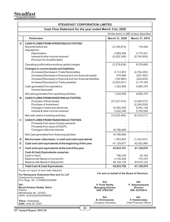| <b>STEADFAST CORPORATION LIMITED</b>                    |                                                                                                                                                                                                                                                                                                                             |                                                                           |                                                                |                                                                   |  |
|---------------------------------------------------------|-----------------------------------------------------------------------------------------------------------------------------------------------------------------------------------------------------------------------------------------------------------------------------------------------------------------------------|---------------------------------------------------------------------------|----------------------------------------------------------------|-------------------------------------------------------------------|--|
| Cash Flow Statement for the year ended March 31st, 2020 |                                                                                                                                                                                                                                                                                                                             |                                                                           |                                                                |                                                                   |  |
|                                                         |                                                                                                                                                                                                                                                                                                                             |                                                                           |                                                                | All the Amt's in INR Unless Specified                             |  |
|                                                         | <b>Particulars</b>                                                                                                                                                                                                                                                                                                          |                                                                           | March 31, 2020                                                 | March 31, 2019                                                    |  |
| A                                                       | <b>CASH FLOWS FROM OPERATING ACTIVITIES:</b><br>Net profit before tax<br>Adjusted for:<br>Depreciation<br>Interest & other income received<br>Provision for doubtful debts                                                                                                                                                  |                                                                           | (2,726,874)<br>4,969,384<br>(5,522,349)                        | 119,428<br>2,719,321<br>(5,740,936)                               |  |
|                                                         | Operating profits before working capital charges                                                                                                                                                                                                                                                                            |                                                                           | (3,279,839)                                                    | 8,579,685                                                         |  |
|                                                         | <b>Changes in current assets and liabilities</b><br>(Increase)/Decrease in Trade Receivables<br>(Increase)/Decrease in financial and non-financial assets<br>Increase/(Decrease) in financial and non-financial liabilities<br>Increase/(Decrease) in Trade payables<br>Cash generated from operations<br>Income taxes paid |                                                                           | 8,112,803<br>576,989<br>(163, 864)<br>(3,923,521)<br>1,322,569 | (4,792,205)<br>(527, 463)<br>(423, 839)<br>2,119,192<br>4,955,370 |  |
| в                                                       | Net cash generated from operating activities<br><b>CASH FLOWS FROM INVESTING ACTIVITIES:</b><br>Purchase of fixed assets<br>Purchase of Investment<br>Changes in loans and advances<br>Interest & other income received                                                                                                     |                                                                           | 1,322,569<br>(37, 227, 914)<br>15,500,000<br>5,522,349         | 4,955,370<br>(3,400,573)<br>(2,240,000)<br>5,003,138<br>5,740,936 |  |
|                                                         | Net cash used in investing activities                                                                                                                                                                                                                                                                                       |                                                                           | (16, 205, 565)                                                 | (6,378,371)                                                       |  |
| C                                                       | <b>CASH FLOWS FROM FINANCING ACTIVITIES:</b><br>Proceeds from issue of share warrants<br>Proceeds from issue of ESOPs<br>Changes in Minority Interest                                                                                                                                                                       |                                                                           | 16,786,899                                                     |                                                                   |  |
|                                                         | Net Cash generated from financing activities                                                                                                                                                                                                                                                                                |                                                                           | 16,786,899                                                     |                                                                   |  |
| D<br>Е                                                  | Net increase / (decrease) in cash and cash equivalents<br>Cash and cash equivalents at the beginning of the year                                                                                                                                                                                                            |                                                                           | 1,903,903<br>41,129,877                                        | (1,423,001)<br>42,552,880                                         |  |
| F                                                       | Cash and cash equivalents at the end of the year                                                                                                                                                                                                                                                                            |                                                                           | 43,033,781                                                     | 41,129,879                                                        |  |
|                                                         | Cash & Cash Equivalents comprise:<br>Cash in Hand<br>Balance with Banks in Current A/c<br>Balance with Banks in Deposit A/c                                                                                                                                                                                                 |                                                                           | 796,230<br>4,135,424<br>38,102,129                             | 35,183<br>175,575<br>40,919,122                                   |  |
|                                                         | Total Cash & Cash Equivalents:                                                                                                                                                                                                                                                                                              |                                                                           | 43,033,782                                                     | 41,129,879                                                        |  |
|                                                         | As per our report of even date attached<br>For Ramasamy Koteswara Rao and Co LLP<br><b>Chartered Accountants</b><br>Firm Regn. No. 010396S/S200084                                                                                                                                                                          |                                                                           | For and on behalf of the Board of Directors                    |                                                                   |  |
| Sd/-<br>Partner                                         | Murali Krishna Reddy Telluri                                                                                                                                                                                                                                                                                                | Sd/-<br><b>K Vivek Reddy</b><br><b>Managing Director</b><br>DIN: 07907507 |                                                                | Sd/-<br>P Satyanarayana<br><b>Director</b><br>DIN: 02183914       |  |
|                                                         | Membership No. 223022<br>UDIN: 20223022AAAAIK8055<br><b>Place: Hyderabad</b><br>Date: June 29, 2020                                                                                                                                                                                                                         | Sd/-<br><b>B. Srinivasarao</b><br>Company Secretary                       |                                                                | Sd/-<br>S Yedukondalu<br><b>Chief Financial Officer</b>           |  |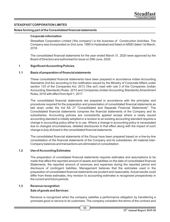## **STEADFAST CORPORATION LIMITED**

#### **Notes forming part of the Consolidated financial statements**

#### **Corporate information**

Streadfast Corporation Limited ('the company') is the business of Construction Activities. The Company was incorporated on 2nd June, 1995 in Hyderabad and listed on MSEI dated 1st March, 2018.

The consolidated financial statements for the year ended March 31, 2020 were approved by the Board of Directors and authorised for issue on 29th June, 2020.

#### **1 Signicant Accounting Policies**

#### 1.1 Basis of preparation of financial statements

These consolidated financial statements have been prepared in accordance Indian Accounting Standards (Ind As) according to the notification issued by the Ministry of Corporate Affairs under section 133 of the Companies Act, 2013 ('the act') read with rule 3 of the Companies (Indian Accounting Standards) Rules, 2015 and Companies (Indian Accounting Standards) Amendment Rules, 2016 with effect from April 1, 2017

The consolidated financial statements are prepared in accordance with the principles and procedures required for the preparation and presentation of consolidated financial statements as laid down under the Ind AS 27 "Consolidated and Separate Financial Statements". The Consolidated financial statements comprise the financial statements of the Company and its subsidiaries. Accounting policies are consistently applied except where a newly issued accounting standard is initially adopted or a revision to an existing accounting standard requires a change in accounting policy either to in use. Where a change in accounting policy is necessiated due to changed circumstances, detailed disclosures to that effect along with the impact of such change is duly diclosed in the consolidated financial statements.

The consolidated financial statements of the Group have been prepared based on a line-by-line consolidation of the financial statements of the Company and its subsidiaries. All material inter-Company balances and transactions are eliminated on consolidation.

#### **1.2 Use of Accounting Estimates**

The preparation of consildated financial statements requires estimates and assumptions to be made that affect the reported amount of assets and liabilities on the date of consolidated financial Statements, the reported amount of revenues and expenses during the reported period and disclosure of contingent liabilites. Management believes that the estimates used in the preparation of consolidated financial statements are prudent and reasonable. Actual results could differ from these estimates. Any revision to accounting estimates is recognised prospectively in the current and future periods.

#### **1.3 Revenue recognition**

#### **Sale of goods and Services:**

Revenue is recognized when the company satisfies a performance obligation by transferring a promised good or service to its customers. The company considers the terms of the contract and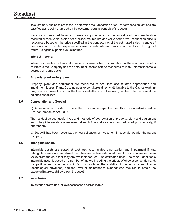its customary business practices to determine the transaction price. Performance obligations are satisfied at the point of time when the customer obtains controls of the asset.

Revenue is measured based on transaction price, which is the fair value of the consideration received or receivable, stated net of discounts, returns and value added tax. Transaction price is recognised based on the price specified in the contract, net of the estimated sales incentives / discounts. Accumulated experience is used to estimate and provide for the discounts/ right of return, using the expected value method.

#### **Interest Income:**

Interest income from a financial asset is recognised when it is probable that the economic benefits will flow to the Company and the amount of income can be measured reliably. Interest income is accrued on a time basis.

## **1.4 Property, plant and equipment**

Property, plant and equipment are measured at cost less accumulated depreciation and impairment losses, if any. Cost includes expenditures directly attributable to the Capital work-inprogress comprises the cost of the fixed assets that are not yet ready for their intended use at the balance sheet date.

#### **1.5 Depreciation and Goodwill**

a) Depreciation is provided on the written down value as per the useful life prescribed in Schedule II to the Companies Act, 2013.

The residual values, useful lives and methods of depreciation of property, plant and equipment and Intangible assets are reviewed at each financial year end and adjusted prospectively, if appropriate.

b) Goodwill has been recognized on consolidation of investment in subsidiaries with the parent company.

#### **1.6 Intangible Assets**

Intangible assets are stated at cost less accumulated amortization and impairment if any. Intangible assets are amortized over their respective estimated useful lives on a written down value, from the date that they are available for use. The estimated useful life of an identifiable intangible asset is based on a number of factors including the effects of obsolescence, demand, competition and other economic factors (such as the stability of the industry and known technological advances) and the level of maintenance expenditures required to obtain the expected future cash flows from the asset.

## **1.7 Inventories**

Inventories are valued at lower of cost and net realisable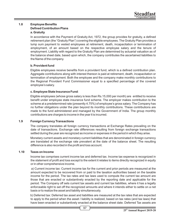# **1.8 Employee Benets Defined Contribution Plans a. Gratuity**

In accordance with the Payment of Gratuity Act, 1972, the group provides for gratuity, a defined retirement plan (the "Gratuity Plan") covering the eligible employees. The Gratuity Plan provides a lump sum payment to vested employees at retirement, death, incapacitation or termination of employment, of an amount based on the respective employee salary and the tenure of employment. Liability with regard to the Gratuity Plan are determined by actuarial valuation as of the balance sheet date, based upon which, the company contributes the ascertained liabilities to the Name of the company.

# **b. Provident fund**

Eligible employees receive benefits from a provident fund, which is a defined contribution plan. Aggregate contributions along with interest thereon is paid at retirement, death, incapacitation or termination of employment. Both the employee and the company make monthly contributions to the Regional Provident Fund Commissioner equal to a specified percentage of the covered employee's salary.

# **c. Employee State Insurance Fund**:

Eligible employees (whose gross salary is less than Rs.15,000 per month) are entitled to receive benefit under employee state insurance fund scheme. The employer makes contribution to the scheme at a predetermined rate (presently 4.75%) of employee's gross salary. The Company has no further obligations under the plan beyond its monthly contributions. These contributions are made to the fund administered and managed by the Government of India. The group monthly contributions are charges to income in the year it is incurred.

# **1.9 Foreign Currency Transactions**

The company translates all foreign currency transactions at Exchange Rates prevailing on the date of transactions. Exchange rate differences resulting from foreign exchange transactions settled during the year are recognized as income or expenses in the period in which they arise.

Monetary current assets and monetary current liabilities that are denominated in foreign currency are translated at the exchange rate prevalent at the date of the balance sheet. The resulting difference is also recorded in the profit and loss account.

## **1.10 Taxes on Income**

Income tax comprises current income tax and deferred tax. Income tax expense is recognized in the statement of profit and loss except to the extent it relates to items directly recognized in equity or in other comprehensive income.

a) Current income tax: Current income tax for the current and prior periods are measured at the amount expected to be recovered from or paid to the taxation authorities based on the taxable income for the period. The tax rates and tax laws used to compute the current tax amount are those that are enacted or substantively enacted by the reporting date and applicable for the period. The Company off sets current tax assets and current tax liabilities, where it has a legally enforceable right to set off the recognized amounts and where it intends either to settle on a net basis or to realize the asset and liability simultaneously.

b) Deferred tax: Deferred tax asset and liabilities are measured at the tax rates that are expected to apply to the period when the asset / liability is realized, based on tax rates (and tax laws) that have been enacted or substantively enacted at the balance sheet date. Deferred Tax assets are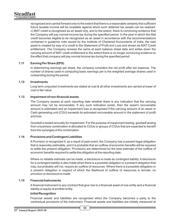recognized and carried forward only to the extent that there is a reasonable certainty that sufficient future taxable income will be available against which such deferred tax assets can be realized. c) MAT credit is recognized as an asset only, and to the extent, there is convincing evidence that the Company will pay normal income tax during the specified period. In the year in which the Mat credit becomes eligible to be recognized as an asset in accordance with the recommendations contained in guidance note issued by the Institute of Chartered Accountants of India, the said asset is created by way of a credit to the Statement of Profit and Loss and shown as MAT Credit entitlement. The Company reviews the same at each balance sheet date and writes down the carrying amount of MAT credit entitlement to the extent there is no longer convincing evidence to the effect that company will pay normal income tax during the specified period.

# **1.11 Earning Per Share (EPS)**

In determining earnings per share, the company considers the net profit after tax expense. The number of shares used in computing basic earnings per is the weighted average shares used in outstanding during the period.

## **1.12 Investments**

Long term unquoted investments are stated at cost & all other investments are carried at lower of cost or fair value.

# 1.13 Impairment of non-financial assets

The Company assess at each reporting date whether there is any indication that the carrying amount may not be recoverable. If any such indication exists, then the asset's recoverable amount is estimated and an impairment loss is recognised if the carrying amount of an asset or Cash generating unit (CGU) exceeds its estimated recoverable amount in the statement of profit and loss.

Goodwill is tested annually for impairment. For the purpose of impairment testing, goodwill arising from a business combination is allocated to CGUs or groups of CGUs that are expected to benefit from the synergies of the combination.

## **1.14 Provisions and Contingent Liabilities**

AProvision is recognized if, as a result of past event, the Company has a present legal obligation that is reasonbly estimable, and it is probable that an outflow of economic benefits will be required to settle the present obligation. Provisions are determined by the best estimate of the outflow of economic benefits required to settle the obligation at the reporting date.

Where no reliable estimate can be made, a disclosure is made as contingent liability. Adisclosure for a contingent liability is also made when there is a possible obligation or a present obligation that may, but probably will not, require an outflow of resources. Where there is a possible obligation or a present obligation in respect of which the likelihood of outflow of resources is remote, no provision or disclosure is made.

## **1.15 Financial Instruments**

A financial instrument is any contract that give rise to a financial asset of one entity and a financial liability or equity of another entity.

## **Initial Recognition**

Financial assets and liabilities are recognised when the Company becomes a party to the contractual provisions of the instrument. Financial assets and liabilities are initially measured at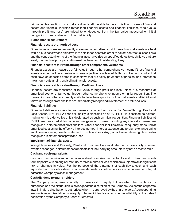fair value. Transaction costs that are directly attributable to the acquisition or issue of financial assets and financial liabilities (other than financial assets and financial liabilities at fair value through profit and loss) are added to or deducted from the fair value measured on initial recognition of financial asset or financial liability.

#### **Subsequent Measurement**

#### **Financial assets at amortised cost**

Financial assets are subsequently measured at amortised cost if these financial assets are held within a business whose objective is to hold these assets in order to collect contractual cash flows and the contractual terms of the financial asset give rise on specified dates to cash flows that are solely payments of principal and interest on the amount outstanding if any.

## **Financial assets at fair value through other comprehensive income**

Financial assets are measured at fair value through other comprehensive income if these financial assets are held within a business whose objective is achieved both by collectiong contractual cash flows on specified dates to cash flows that are solely payments of principal and interest on the amount outstanding and selling financial assets.

#### **Financial assets at fair value through Profit and Loss**

Financial assets are measured at fair value through profit and loss unless it is measured at amortised cost or at fair value through other comprehensive income on initial recognition. The transaction costs that are directly attributable to the acquisition of financial assets and liabilities at fair value through profit and loss are immediately recognised in statement of profit and loss.

#### **Financial liabilities**

Financial liabilities are classified as measured at amortised cost or Fair Value Through Profit and Loss Account (FVTPL). A financial liability is classified as at FVTPL if it is classified as heldfortrading, or it is a derivative or it is designated as such on initial recognition. Financial liabilities at FVTPL are measured at fair value and net gains and losses, including any interest expense, are recognised in statement of profit and loss. Other financial liabilities are subsequently measured at amortised cost using the effective interest method. Interest expense and foreign exchange gains and losses are recognised in statement of profit and loss. Any gain or loss on derecognition is also recognised in statement of profit and loss.

#### **Impairment of financial assets**

Intangible assets and Property, Plant and Equipment are evaluated for recoverability whenver events or changes in circumstances indicate that their carrying amounts may not be recoverable.

## **Cash and cash equivalents**

Cash and cash equivalent in the balance sheet comprise cash at banks and on hand and shortterm deposits with an original maturity of three months or less, which are subject to an insignificant risk of changes in value. For the purpose of the statement of cash flows, cash and cash equivalents consist of cash and short-term deposits, as defined above are considered an integral part of the Company's cash management.

## **Cash dividend to equity holders**

The Company recognises a liability to make cash to equity holders when the distribution is authorised and the distribution is no longer at the discretion of the Company. As per the corporate laws in India, a distribution is authorised when it is approved by the shareholders. Acorresponding amount is recognised directly in equity. Interim dividends are recorded as a liability on the date of declaration by the Company's Board of Directors.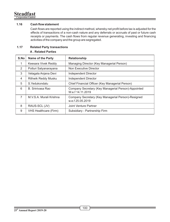# **1.16** Cash flow statement

Cash flows are reported using the indirect method, whereby net profit before tax is adjusted for the effects of transactions of a non-cash nature and any deferrals or accruals of past or future cash receipts or payments. The cash flows from regular revenue generating, investing and financing activities of the company and the group are segregated.

# **1.17 Related Party transactions**

# **A . Related Parties**

| S.No          | <b>Name of the Party</b> | <b>Relationship</b>                                                    |
|---------------|--------------------------|------------------------------------------------------------------------|
| 1             | Keesara Vivek Reddy      | Managing Director (Key Managerial Person)                              |
| $\mathcal{P}$ | Potluri Satyanarayana    | Non Executive Director                                                 |
| 3             | Velagala Anjana Devi     | Independent Director                                                   |
| 4             | Rithwik Reddy Musku      | Independent Director                                                   |
| 5             | S. Yedukondalu           | Chief Financial Officer (Key Managerial Person)                        |
| 6             | B. Sriniyasa Rao         | Company Secretary (Key Managerial Person)-Appointed<br>Wef 14.11.2019  |
| 7             | M.V.S.A. Murali Krishna  | Company Secretary (Key Managerial Person)-Resigned<br>w.e.f 25.05.2019 |
| 8             | RAUS-SCL (JV)            | Joint Venture Partner                                                  |
| 9             | VHS Healthcare (Firm)    | Subsidiary - Partnership Firm                                          |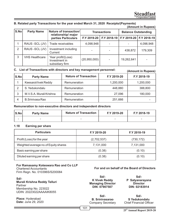#### **B. Related party Transactions for the year ended March 31, 2020 Receipts/(Payments) (Amount in Rupees)**

|               | IMIIUUIII III INUUCCOJ |                                                        |                     |             |                            |                           |  |
|---------------|------------------------|--------------------------------------------------------|---------------------|-------------|----------------------------|---------------------------|--|
| S.No          | <b>Party Name</b>      | Nature of transaction/<br>relationship/ major          | <b>Transactions</b> |             | <b>Balance Outstanding</b> |                           |  |
|               |                        | parties Particulars                                    | F.Y 2019-20         | F.Y 2018-19 |                            | F.Y 2019-20   F.Y 2018-19 |  |
|               | RAUS -SCL (JV)         | Trade receivables                                      | 4,098,948           |             |                            | 4,098,948                 |  |
| $\mathcal{P}$ | RAUS -SCL (JV)         | Investment including<br>Current                        |                     |             | 438.872                    | 179.309                   |  |
| 3             | <b>VHS Healthcare</b>  | Year profit/(Loss)<br>Investment in<br>subsidiary firm | (20,950,000)        |             | 19.262.641                 |                           |  |

# **(Amount in Rupees) C. List of Transactions with directors and key management personnel:**

**S.No Party Name Nature of Transaction F.Y 2019-20 F.Y 2018-19** 1 | KeesaraVivek Reddy | Remuneration | 1,200,000 | 1,200,000 2 S. Yedukondalu Remuneration 448,880 388,800 3 | M.V.S.A. Murali Krishna | Remuneration | 27,096 | 180,000 4 B.Srinivasa Rao Remuneration 251,666 - 251,666 - 251,666 - 251,666 - 251,666 - 251,666 - 251,666 - 251,666 - 251,666 - 251,666 - 251,666 - 251,666 - 251,666 - 251,666 - 251,666 - 251,666 - 251,666 - 251,666 - 251,666 - 2

#### **Remuneration to non-executive directors and independent directors**

| S.No                     | <b>Party Name</b> | <b>Nature of Transaction</b> | F.Y 2019-20              | F.Y 2018-19 |
|--------------------------|-------------------|------------------------------|--------------------------|-------------|
| $\overline{\phantom{0}}$ |                   | $\overline{\phantom{0}}$     | $\overline{\phantom{a}}$ |             |

#### **1.18 Earning per share**

| <b>Particulars</b>                   | F.Y 2019-20 | F.Y 2018-19 |
|--------------------------------------|-------------|-------------|
| Profit (Loss) for the year           | (2,702,537) | (730, 172)  |
| Weighted average no.of Equity shares | 7,131,000   | 7,131,000   |
| Basic earning per share              | (0.38)      | (0.10)      |
| Diluted earning per share            | (0.38)      | (0.10)      |

# **For Ramasamy Koteswara Rao and Co LLP**

Chartered Accountants Firm Regn. No. 010396S/S200084

**Sd/- Murali Krishna Reddy Telluri** Partner Membership No. 223022 UDIN: 20223022AAAAIK8055

**Place:** Hyderabad **Date:** June 29, 2020

#### **For and on behalf of the Board of Directors**

**Sd/- K Vivek Reddy Managing Director DIN: 07907507**

**Sd/- B. Srinivasarao** Company Secretary

**Sd/- P Satyanarayana Director DIN: 02183914**

**Sd/- S Yedukondalu** Chief Financial Officer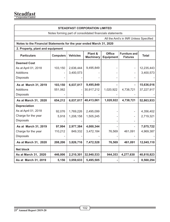# **STEADFAST CORPORATION LIMITED**

Notes forming part of consolidated financials statements

All the Amt's in INR Unless Specified

# **Notes to the Financial Statements for the year ended March 31, 2020**

# **2. Property, plant and equipment**

| <b>Particulars</b>   | <b>Computers</b> | <b>Vehicles</b> | Plant &<br><b>Machinery</b> | <b>Office</b><br><b>Equipment</b> | <b>Furniture and</b><br><b>Fixtures</b> | <b>Total</b> |
|----------------------|------------------|-----------------|-----------------------------|-----------------------------------|-----------------------------------------|--------------|
| <b>Deemed Cost</b>   |                  |                 |                             |                                   |                                         |              |
| As at April 01, 2018 | 103,150          | 2,636,444       | 9,495,849                   |                                   |                                         | 12,235,443   |
| Additions            |                  | 3,400,573       |                             |                                   |                                         | 3,400,573    |
| Disposals            |                  |                 |                             |                                   |                                         |              |
| As at March 31, 2019 | 103,150          | 6,037,017       | 9,495,849                   |                                   |                                         | 15,636,016   |
| Additions            | 551,062          |                 | 30,917,212                  | 1,020,922                         | 4,738,721                               | 37,227,917   |
| <b>Disposals</b>     |                  |                 |                             |                                   |                                         |              |
| As at March 31, 2020 | 654,212          | 6,037,017       | 40,413,061                  | 1,020,922                         | 4,738,721                               | 52,863,933   |
| <b>Depreciation</b>  |                  |                 |                             |                                   |                                         |              |
| As at April 01, 2018 | 92,076           | 1,769,226       | 2,495,099                   |                                   |                                         | 4,356,402    |
| Charge for the year  | 5,918            | 1,208,158       | 1,505,245                   |                                   |                                         | 2,719,321    |
| <b>Disposals</b>     |                  |                 |                             |                                   |                                         |              |
| As at March 31, 2019 | 97,994           | 2,977,384       | 4,000,344                   |                                   |                                         | 7,075,722    |
| Charge for the year  | 110,212          | 849,332         | 3,472,184                   | 76,569                            | 461,091                                 | 4,969,387    |
| <b>Disposals</b>     |                  |                 |                             |                                   |                                         |              |
| As at March 31, 2020 | 208,206          | 3,826,716       | 7,472,528                   | 76,569                            | 461,091                                 | 12,045,110   |
| <b>Net block</b>     |                  |                 |                             |                                   |                                         |              |
| As at March 31, 2020 | 446,006          | 2,210,301       | 32,940,533                  | 944,353                           | 4,277,630                               | 40,818,823   |
| As at March 31, 2019 | 5,156            | 3,059,633       | 5,495,505                   |                                   |                                         | 8,560,294    |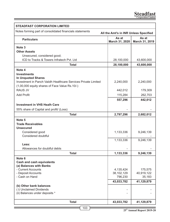| <b>STEADFAST CORPORATION LIMITED</b>                                                              |                         |                         |  |  |  |
|---------------------------------------------------------------------------------------------------|-------------------------|-------------------------|--|--|--|
| Notes forming part of consolidated financials statements<br>All the Amt's in INR Unless Specified |                         |                         |  |  |  |
| <b>Particulars</b>                                                                                | As at<br>March 31, 2020 | As at<br>March 31, 2019 |  |  |  |
| Note <sub>3</sub>                                                                                 |                         |                         |  |  |  |
| <b>Other Assets</b>                                                                               |                         |                         |  |  |  |
| Unsecured, considered good;                                                                       |                         |                         |  |  |  |
| ICD to Tracks & Towers Infratech Pyt. Ltd                                                         | 28,100,000              | 43,600,000              |  |  |  |
| Total                                                                                             | 28,100,000              | 43,600,000              |  |  |  |
| Note 4                                                                                            |                         |                         |  |  |  |
| <b>Investments</b>                                                                                |                         |                         |  |  |  |
| <b>In Unquoted Shares</b>                                                                         |                         |                         |  |  |  |
| Investment in Panch Vaiidh Healthcare Services Private Limited                                    | 2,240,000               | 2,240,000               |  |  |  |
| (1,00,000 equity shares of Face Value Rs.10/-)                                                    |                         |                         |  |  |  |
| <b>RAUS JV</b>                                                                                    | 442,012                 | 179,309                 |  |  |  |
| <b>Add Profit</b>                                                                                 | 115,284                 | 262,703                 |  |  |  |
|                                                                                                   | 557,296                 | 442,012                 |  |  |  |
| <b>Investment in VHS Healh Care</b>                                                               |                         |                         |  |  |  |
| 55% share of Capital and profit/ (Loss)                                                           |                         |                         |  |  |  |
| <b>Total</b>                                                                                      | 2,797,296               | 2,682,012               |  |  |  |
| Note 5                                                                                            |                         |                         |  |  |  |
| <b>Trade Receivables</b>                                                                          |                         |                         |  |  |  |
| <b>Unsecured</b>                                                                                  |                         |                         |  |  |  |
| Considered good                                                                                   | 1,133,336               | 9,246,139               |  |  |  |
| Considered doubtful                                                                               |                         |                         |  |  |  |
|                                                                                                   | 1,133,336               | 9,246,139               |  |  |  |
| Less:                                                                                             |                         |                         |  |  |  |
| Allowances for doubtful debts                                                                     |                         |                         |  |  |  |
| <b>Total</b>                                                                                      | 1,133,336               | 9,246,139               |  |  |  |
| Note 6                                                                                            |                         |                         |  |  |  |
| <b>Cash and cash equivalents</b>                                                                  |                         |                         |  |  |  |
| (a) Balances with Banks                                                                           |                         |                         |  |  |  |
| - Current Accounts                                                                                | 4,135,424               | 175,575                 |  |  |  |
| - Deposit Accounts                                                                                | 38,102,129              | 40,919,122              |  |  |  |
| - Cash on Hand                                                                                    | 796,230                 | 35,183                  |  |  |  |
|                                                                                                   | 43,033,782              | 41,129,879              |  |  |  |
| (b) Other bank balances                                                                           |                         |                         |  |  |  |
| (i) Unclaimed Dividends<br>(ii) Balances under deposits *                                         |                         |                         |  |  |  |
|                                                                                                   |                         |                         |  |  |  |
| <b>Total</b>                                                                                      | 43,033,782              | 41,129,879              |  |  |  |
|                                                                                                   |                         |                         |  |  |  |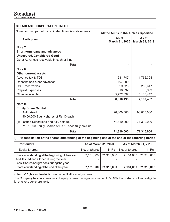# **Steadfast Corporation Limited**

| <b>STEADFAST CORPORATION LIMITED</b>                                                              |                         |                         |  |  |
|---------------------------------------------------------------------------------------------------|-------------------------|-------------------------|--|--|
| Notes forming part of consolidated financials statements<br>All the Amt's in INR Unless Specified |                         |                         |  |  |
| <b>Particulars</b>                                                                                | As at<br>March 31, 2020 | As at<br>March 31, 2019 |  |  |
| Note <sub>7</sub>                                                                                 |                         |                         |  |  |
| Short term loans and advances                                                                     |                         |                         |  |  |
| <b>Unsecured, Considered Good</b>                                                                 |                         |                         |  |  |
| Other Advances receivable in cash or kind                                                         |                         |                         |  |  |
| <b>Total</b>                                                                                      | ۰                       |                         |  |  |
| Note 8                                                                                            |                         |                         |  |  |
| Other current assets                                                                              |                         |                         |  |  |
| Advance tax & TDS                                                                                 | 681,747                 | 1,762,394               |  |  |
| Deposits and other advances                                                                       | 107,999                 |                         |  |  |
| <b>GST Receivables</b>                                                                            | 29,523                  | 282,647                 |  |  |
| <b>Prepaid Expenses</b>                                                                           | 18.332                  | 8.999                   |  |  |
| Other receivable                                                                                  | 5,772,897               | 5,133,447               |  |  |
| <b>Total</b>                                                                                      | 6,610,498               | 7,187,487               |  |  |
| Note 09                                                                                           |                         |                         |  |  |
| <b>Equity Share Capital</b>                                                                       |                         |                         |  |  |
| Authorised<br>(1)                                                                                 | 90,000,000              | 90,000,000              |  |  |
| 90,00,000 Equity shares of Rs 10 each                                                             |                         |                         |  |  |
| Issued Subscribed and fully paid up:<br>(ii)                                                      | 71,310,000              | 71,310,000              |  |  |
| 71,31,000 Equity Shares of Rs 10 each fully paid-up                                               |                         |                         |  |  |
| <b>Total</b>                                                                                      | 71,310,000              | 71,310,000              |  |  |

## **ii) Reconciliation of the shares outstanding at the beginning and at the end of the reporting period:**

| <b>Particulars</b>                                                                                                                                                                   | As at March 31, 2020        |                          | As at March 31, 2019   |                          |
|--------------------------------------------------------------------------------------------------------------------------------------------------------------------------------------|-----------------------------|--------------------------|------------------------|--------------------------|
| Equity Shares:                                                                                                                                                                       | No. of Shares               | in Rs                    | No. of Shares          | in Rs                    |
| Shares outstanding at the beginning of the year<br>Add: Issued and allotted during the year<br>Less: Shares bought back during the year<br>Shares outstanding at the end of the year | 7,131,000<br>-<br>7,131,000 | 71,310,000<br>71.310.000 | 7,131,000<br>7,131,000 | 71,310,000<br>71,310,000 |

ii) Terms/Rights and restrictions attached to the equity shares:

The Company has only one class of equity shares having a face value of Rs. 10/-. Each share holder is eligible for one vote per share held.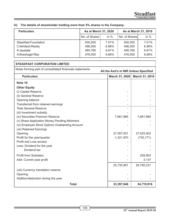| <b>Particulars</b>   | As at March 31, 2020 |        | As at March 31, 2019 |        |  |
|----------------------|----------------------|--------|----------------------|--------|--|
|                      | No. of Shares        | in $%$ | No. of Shares        | in $%$ |  |
| Steadfast Foundation | 500,000              | 7.01%  | 500,000              | 7.01%  |  |
| C Akhilesh Reddy     | 496,500              | 6.96%  | 496,500              | 6.96%  |  |
| K Jayalata           | 485,785              | 6.81%  | 485.785              | 6.81%  |  |
| A Sheshagiri Rao     | 476,000              | 6.68%  | 476,000              | 6.68%  |  |

# **iii) The details of shareholder holding more than 5% shares in the Company:**

| <b>STEADFAST CORPORATION LIMITED</b>                                                              |                |                |  |  |  |
|---------------------------------------------------------------------------------------------------|----------------|----------------|--|--|--|
| Notes forming part of consolidated financials statements<br>All the Amt's in INR Unless Specified |                |                |  |  |  |
| <b>Particulars</b>                                                                                | March 31, 2020 | March 31, 2019 |  |  |  |
| Note 10                                                                                           |                |                |  |  |  |
| <b>Other Equity</b>                                                                               |                |                |  |  |  |
| (i) Capital Reserve                                                                               |                |                |  |  |  |
| (ii) General Reserve                                                                              |                |                |  |  |  |
| Opening balance                                                                                   |                |                |  |  |  |
| Transferred from retained earnings                                                                |                |                |  |  |  |
| <b>Total General Reserve</b>                                                                      |                |                |  |  |  |
| (iii) Investment subsidy                                                                          |                |                |  |  |  |
| (iv) Securities Premium Reserve                                                                   | 7,661,985      | 7,661,985      |  |  |  |
| (v) Share Application Money Pending Allotment                                                     |                |                |  |  |  |
| (vi) Employee Stock Options Outstanding Account                                                   |                |                |  |  |  |
| (vii) Retained Earnings                                                                           |                |                |  |  |  |
| Opening                                                                                           | 27,057,931     | 27,525,402     |  |  |  |
| Profit for the year/quarter                                                                       | $-1,321,970$   | (730, 171)     |  |  |  |
| Profit and Loss excess                                                                            |                |                |  |  |  |
| Less: Dividend for the year                                                                       |                |                |  |  |  |
| Dividend tax                                                                                      |                |                |  |  |  |
| Profit from Subidairy                                                                             |                | 259,563        |  |  |  |
| Add: Current year profit                                                                          |                | 3,137          |  |  |  |
|                                                                                                   | 25,735,961     | 26,795,231     |  |  |  |
| (viii) Currency translation reserve                                                               |                |                |  |  |  |
| Opening                                                                                           |                |                |  |  |  |
| Addition/deduction during the year                                                                |                |                |  |  |  |
| <b>Total</b>                                                                                      | 33,397,946     | 34,719,916     |  |  |  |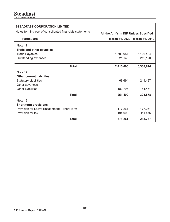| <b>STEADFAST CORPORATION LIMITED</b>                                                              |                                  |           |  |  |  |
|---------------------------------------------------------------------------------------------------|----------------------------------|-----------|--|--|--|
| Notes forming part of consolidated financials statements<br>All the Amt's in INR Unless Specified |                                  |           |  |  |  |
| <b>Particulars</b>                                                                                | March 31, 2020<br>March 31, 2019 |           |  |  |  |
| Note 11                                                                                           |                                  |           |  |  |  |
| Trade and other payables                                                                          |                                  |           |  |  |  |
| <b>Trade Payables</b>                                                                             | 1,593,951                        | 6,126,494 |  |  |  |
| Outstanding expenses                                                                              | 821,145                          | 212,120   |  |  |  |
| <b>Total</b>                                                                                      | 2,415,096                        | 6,338,614 |  |  |  |
| Note 12                                                                                           |                                  |           |  |  |  |
| <b>Other current liabilities</b>                                                                  |                                  |           |  |  |  |
| <b>Statutory Liabilities</b>                                                                      | 68,694                           | 249,427   |  |  |  |
| Other advances                                                                                    |                                  |           |  |  |  |
| <b>Other Liabilities</b>                                                                          | 182,796                          | 54,451    |  |  |  |
| <b>Total</b>                                                                                      | 251,490                          | 303,878   |  |  |  |
| Note 13                                                                                           |                                  |           |  |  |  |
| Short term provisions                                                                             |                                  |           |  |  |  |
| Provision for Leave Encashment - Short Term                                                       | 177,261                          | 177,261   |  |  |  |
| Provision for tax                                                                                 | 194,000                          | 111,476   |  |  |  |
| <b>Total</b>                                                                                      | 371,261                          | 288,737   |  |  |  |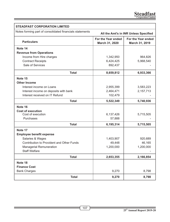| <b>STEADFAST CORPORATION LIMITED</b>                                                              |                                      |                                      |  |  |  |
|---------------------------------------------------------------------------------------------------|--------------------------------------|--------------------------------------|--|--|--|
| Notes forming part of consolidated financials statements<br>All the Amt's in INR Unless Specified |                                      |                                      |  |  |  |
| <b>Particulars</b>                                                                                | For the Year ended<br>March 31, 2020 | For the Year ended<br>March 31, 2019 |  |  |  |
| Note 14                                                                                           |                                      |                                      |  |  |  |
| <b>Revenue from Operations</b>                                                                    |                                      |                                      |  |  |  |
| Income from Hire charges                                                                          | 1,342,950                            | 964,826                              |  |  |  |
| <b>Contract Receipts</b>                                                                          | 6,424,425                            | 5,968,540                            |  |  |  |
| Sale of Services                                                                                  | 892,437                              |                                      |  |  |  |
| <b>Total</b>                                                                                      | 8,659,812                            | 6,933,366                            |  |  |  |
| Note 15                                                                                           |                                      |                                      |  |  |  |
| <b>Other Income</b>                                                                               |                                      |                                      |  |  |  |
| Interest income on Loans                                                                          | 2,955,399                            | 3,583,223                            |  |  |  |
| Interest income on deposits with bank                                                             | 2,464,471                            | 2,157,713                            |  |  |  |
| Interest received on IT Refund                                                                    | 102,479                              |                                      |  |  |  |
| <b>Total</b>                                                                                      | 5,522,349                            | 5,740,936                            |  |  |  |
| Note 16                                                                                           |                                      |                                      |  |  |  |
| <b>Cost of execution</b>                                                                          |                                      |                                      |  |  |  |
| Cost of execution                                                                                 | 6,137,426                            | 5,715,505                            |  |  |  |
| Purchases                                                                                         | 57,888                               |                                      |  |  |  |
| <b>Total</b>                                                                                      | 6,195,314                            | 5,715,505                            |  |  |  |
| Note 17                                                                                           |                                      |                                      |  |  |  |
| <b>Employee benefit expense</b>                                                                   |                                      |                                      |  |  |  |
| Salaries & Wages                                                                                  | 1,403,907                            | 920,689                              |  |  |  |
| Contribution to Provident and Other Funds                                                         | 49,448                               | 46,165                               |  |  |  |
| Managerial Remuneration                                                                           | 1,200,000                            | 1,200,000                            |  |  |  |
| <b>Staff Welfare</b>                                                                              |                                      |                                      |  |  |  |
| <b>Total</b>                                                                                      | 2,653,355                            | 2,166,854                            |  |  |  |
| Note 18                                                                                           |                                      |                                      |  |  |  |
| <b>Finance Cost</b>                                                                               |                                      |                                      |  |  |  |
| <b>Bank Charges</b>                                                                               | 9,270                                | 8,798                                |  |  |  |
| <b>Total</b>                                                                                      | 9,270                                | 8,798                                |  |  |  |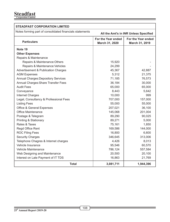# **Steadfast Corporation Limited**

| <b>STEADFAST CORPORATION LIMITED</b>                                                              |                                      |                                      |  |  |
|---------------------------------------------------------------------------------------------------|--------------------------------------|--------------------------------------|--|--|
| Notes forming part of consolidated financials statements<br>All the Amt's in INR Unless Specified |                                      |                                      |  |  |
| <b>Particulars</b>                                                                                | For the Year ended<br>March 31, 2020 | For the Year ended<br>March 31, 2019 |  |  |
| Note 19                                                                                           |                                      |                                      |  |  |
| <b>Other Expenses</b>                                                                             |                                      |                                      |  |  |
| Repairs & Maintenance                                                                             |                                      |                                      |  |  |
| Repairs & Maintenance: Others                                                                     | 15,920                               |                                      |  |  |
| Repairs & Maintenance: Vehicles                                                                   | 24,299                               |                                      |  |  |
| Advertisement & Publication Charges                                                               | 45,367                               | 42,887                               |  |  |
| <b>AGM Expenses</b>                                                                               | 5,312                                | 21,375                               |  |  |
| <b>Annual Charges: Depository Services</b>                                                        | 71,185                               | 76,573                               |  |  |
| Annual Charges: Share Transfer Fees                                                               | 36,184                               | 30,000                               |  |  |
| <b>Audit Fees</b>                                                                                 | 65,000                               | 65,000                               |  |  |
| Conveyance                                                                                        | 8,443                                | 5,642                                |  |  |
| Internet Charges                                                                                  | 10,000                               | 999                                  |  |  |
| Legal, Consultancy & Professional Fees                                                            | 707,000                              | 157,000                              |  |  |
| <b>Listing Fees</b>                                                                               | 55,000                               | 55,000                               |  |  |
| Office & General Expenses                                                                         | 207,021                              | 36,100                               |  |  |
| Office Maintenance                                                                                | 145,068                              | 201,004                              |  |  |
| Postage & Telegram                                                                                | 89,290                               | 90,025                               |  |  |
| Printing & Stationary                                                                             | 89,271                               | 5,000                                |  |  |
| Rates & Taxes                                                                                     | 75,161                               | 1,850                                |  |  |
| Regd Office Rent                                                                                  | 169,586                              | 144,000                              |  |  |
| <b>ROC Filing Fees</b>                                                                            | 16,800                               | 6,600                                |  |  |
| <b>Security Charges</b>                                                                           | 346,645                              | 313,006                              |  |  |
| Telephone Chagres & Internet charges                                                              | 4,426                                | 8,013                                |  |  |
| Vehicle Insurance                                                                                 | 95,546                               | 60,570                               |  |  |
| Vehicle Maintenance                                                                               | 786,124                              | 557,584                              |  |  |
| Web Designing and Maintenance                                                                     | 20.500                               | 20,100                               |  |  |
| Interest on Late Payment of IT TDS                                                                | 16,863                               | 21,769                               |  |  |
| <b>Total</b>                                                                                      | 3,081,711                            | 1,944,396                            |  |  |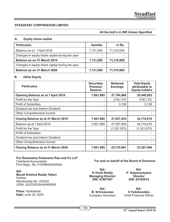## **STEADFAST CORPORATION LIMITED**

### **All the Amt's in INR Unless Specified**

#### **A. Equity share capital**

| <b>Particulars</b>                              | <b>Number</b> | in Rs.     |
|-------------------------------------------------|---------------|------------|
| Balance as on 1 April 2018                      | 7,131,000     | 71,310,000 |
| Changes in equity share capital during the year |               |            |
| Balance as on 31 March 2019                     | 7,131,000     | 71,310,000 |
| Changes in equity share capital during the year |               |            |
| Balance as on 31 March 2020                     | 7,131,000     | 71,310,000 |

### **B. Other Equity**

| <b>Particulars</b>                  | <b>Securities</b><br>Premium<br><b>Reserve</b> | <b>Retained</b><br><b>Earnings</b> | <b>Total Equity</b><br>attributable to<br><b>Equity holders</b> |
|-------------------------------------|------------------------------------------------|------------------------------------|-----------------------------------------------------------------|
| Opening Balance as at 1 April 2018  | 7,661,985                                      | 27,784,968                         | 35,446,953                                                      |
| Profit for the Year                 |                                                | (730, 172)                         | (730, 172)                                                      |
| Profit of Subsidiary                |                                                | 3,138                              | 3,138                                                           |
| Dividend tax and Interim Dividend   |                                                |                                    |                                                                 |
| Other Comprehensive income          |                                                |                                    |                                                                 |
| Closing Balance as at 31 March 2019 | 7,661,985                                      | 27,057,934                         | 34,719,919                                                      |
| Balance as at 1 April 2019          | 7,661,985                                      | 27,057,934                         | 34,719,919                                                      |
| Profit for the Year                 |                                                | (1,321,973)                        | (1,321,973)                                                     |
| Profit of Subsidiary                |                                                |                                    |                                                                 |
| Dividend tax and Interim Dividend   |                                                |                                    |                                                                 |
| Other Comprehensive income          |                                                |                                    |                                                                 |
| Closing Balance as at 31 March 2020 | 7,661,985                                      | 25,735,961                         | 33,397,946                                                      |

#### **For Ramasamy Koteswara Rao and Co LLP** Chartered Accountants

Firm Regn. No. 010396S/S200084

# **Sd/-**

**Murali Krishna Reddy Telluri** Partner Membership No. 223022 UDIN: 20223022AAAAIK8055

**Place:** Hyderabad **Date:** June 29, 2020 **For and on behalf of the Board of Directors**

**Sd/- K Vivek Reddy Managing Director DIN: 07907507**

**Sd/- B. Srinivasarao** Company Secretary

**Sd/- P Satyanarayana Director DIN: 02183914**

**Sd/- S Yedukondalu** Chief Financial Officer